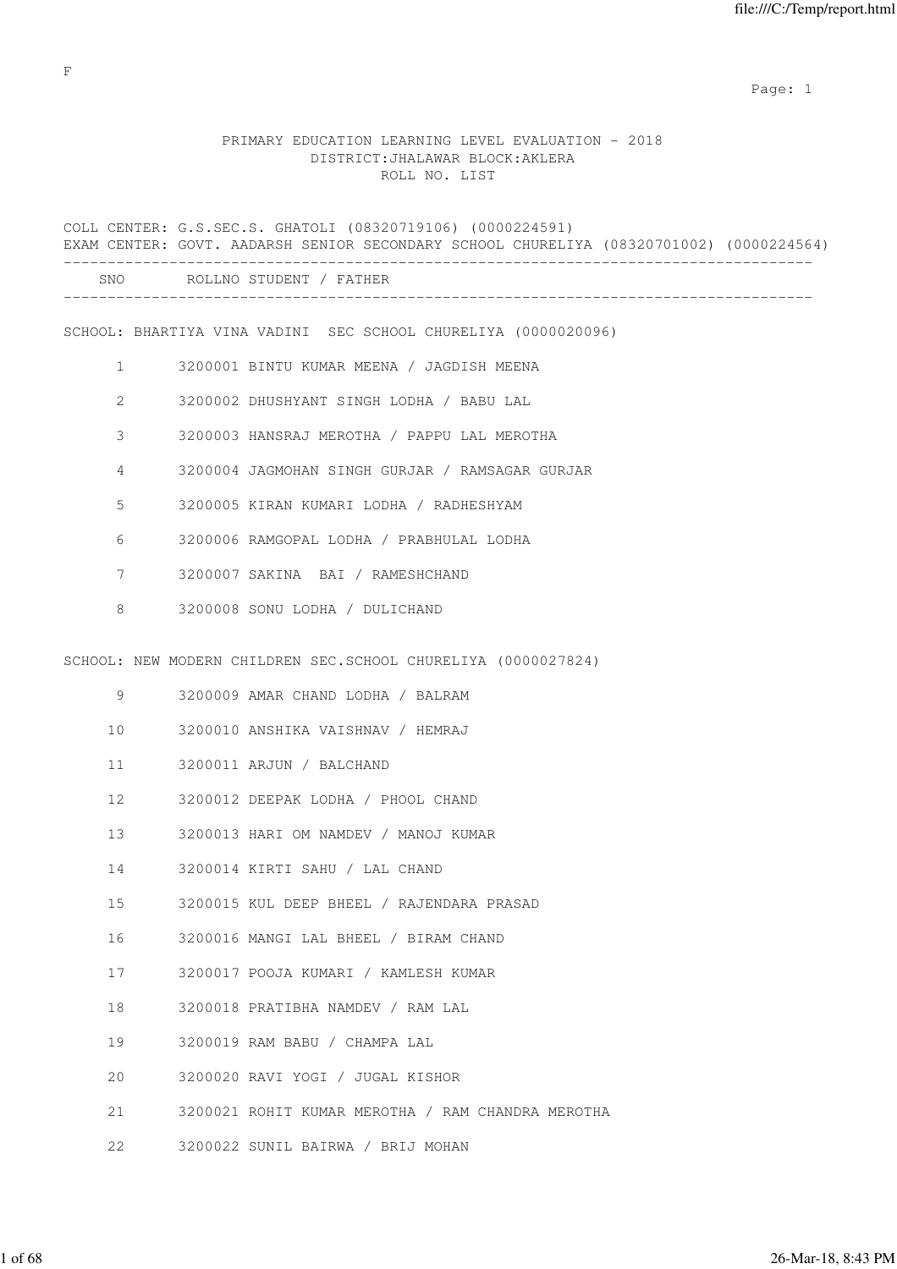# PRIMARY EDUCATION LEARNING LEVEL EVALUATION - 2018 DISTRICT:JHALAWAR BLOCK:AKLERA ROLL NO. LIST

|              | COLL CENTER: G.S.SEC.S. GHATOLI (08320719106) (0000224591)<br>EXAM CENTER: GOVT. AADARSH SENIOR SECONDARY SCHOOL CHURELIYA (08320701002) (0000224564) |
|--------------|-------------------------------------------------------------------------------------------------------------------------------------------------------|
|              | SNO ROLLNO STUDENT / FATHER                                                                                                                           |
|              | SCHOOL: BHARTIYA VINA VADINI SEC SCHOOL CHURELIYA (0000020096)                                                                                        |
| $\mathbf{1}$ | 3200001 BINTU KUMAR MEENA / JAGDISH MEENA                                                                                                             |
| 2            | 3200002 DHUSHYANT SINGH LODHA / BABU LAL                                                                                                              |
| 3            | 3200003 HANSRAJ MEROTHA / PAPPU LAL MEROTHA                                                                                                           |
| 4            | 3200004 JAGMOHAN SINGH GURJAR / RAMSAGAR GURJAR                                                                                                       |
| 5            | 3200005 KIRAN KUMARI LODHA / RADHESHYAM                                                                                                               |
| 6            | 3200006 RAMGOPAL LODHA / PRABHULAL LODHA                                                                                                              |
| 7            | 3200007 SAKINA BAI / RAMESHCHAND                                                                                                                      |
| 8            | 3200008 SONU LODHA / DULICHAND                                                                                                                        |
|              | SCHOOL: NEW MODERN CHILDREN SEC. SCHOOL CHURELIYA (0000027824)                                                                                        |
| 9            | 3200009 AMAR CHAND LODHA / BALRAM                                                                                                                     |
| 10           | 3200010 ANSHIKA VAISHNAV / HEMRAJ                                                                                                                     |
| 11           | 3200011 ARJUN / BALCHAND                                                                                                                              |
| 12           | 3200012 DEEPAK LODHA / PHOOL CHAND                                                                                                                    |
| 13           | 3200013 HARI OM NAMDEV / MANOJ KUMAR                                                                                                                  |
| 14           | 3200014 KIRTI SAHU / LAL CHAND                                                                                                                        |
| 15           | 3200015 KUL DEEP BHEEL / RAJENDARA PRASAD                                                                                                             |
| 16           | 3200016 MANGI LAL BHEEL / BIRAM CHAND                                                                                                                 |
| 17           | 3200017 POOJA KUMARI / KAMLESH KUMAR                                                                                                                  |
| 18           | 3200018 PRATIBHA NAMDEV / RAM LAL                                                                                                                     |
| 19           | 3200019 RAM BABU / CHAMPA LAL                                                                                                                         |
| 20           | 3200020 RAVI YOGI / JUGAL KISHOR                                                                                                                      |
| 21           | 3200021 ROHIT KUMAR MEROTHA / RAM CHANDRA MEROTHA                                                                                                     |
| 22           | 3200022 SUNIL BAIRWA / BRIJ MOHAN                                                                                                                     |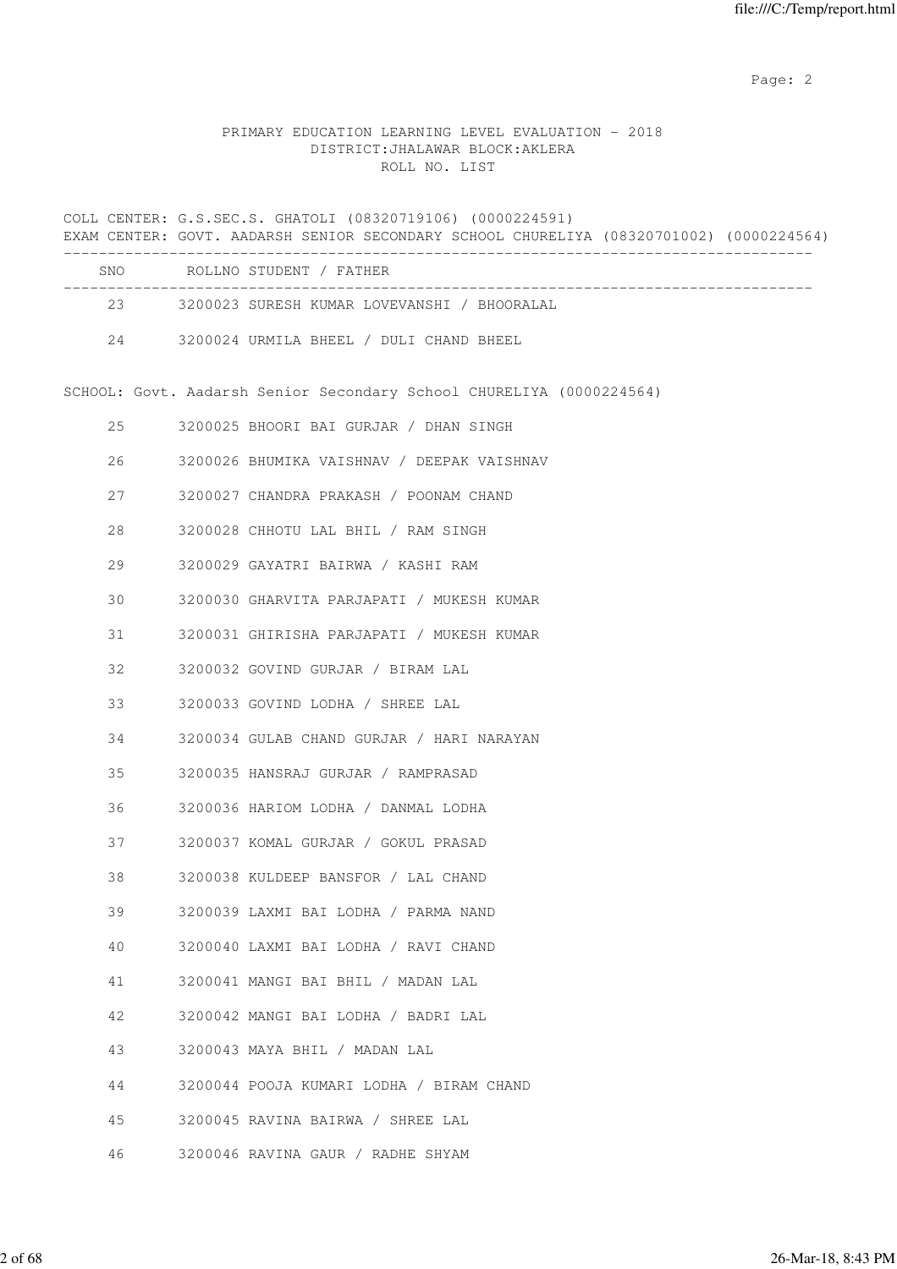# PRIMARY EDUCATION LEARNING LEVEL EVALUATION - 2018 DISTRICT:JHALAWAR BLOCK:AKLERA ROLL NO. LIST

COLL CENTER: G.S.SEC.S. GHATOLI (08320719106) (0000224591) EXAM CENTER: GOVT. AADARSH SENIOR SECONDARY SCHOOL CHURELIYA (08320701002) (0000224564) ------------------------------------------------------------------------------------- SNO ROLLNO STUDENT / FATHER ------------------------------------------------------------------------------------- 23 3200023 SURESH KUMAR LOVEVANSHI / BHOORALAL 24 3200024 URMILA BHEEL / DULI CHAND BHEEL SCHOOL: Govt. Aadarsh Senior Secondary School CHURELIYA (0000224564) 25 3200025 BHOORI BAI GURJAR / DHAN SINGH 26 3200026 BHUMIKA VAISHNAV / DEEPAK VAISHNAV 27 3200027 CHANDRA PRAKASH / POONAM CHAND 28 3200028 CHHOTU LAL BHIL / RAM SINGH 29 3200029 GAYATRI BAIRWA / KASHI RAM 30 3200030 GHARVITA PARJAPATI / MUKESH KUMAR 31 3200031 GHIRISHA PARJAPATI / MUKESH KUMAR 32 3200032 GOVIND GURJAR / BIRAM LAL 33 3200033 GOVIND LODHA / SHREE LAL 34 3200034 GULAB CHAND GURJAR / HARI NARAYAN 35 3200035 HANSRAJ GURJAR / RAMPRASAD 36 3200036 HARIOM LODHA / DANMAL LODHA 37 3200037 KOMAL GURJAR / GOKUL PRASAD 38 3200038 KULDEEP BANSFOR / LAL CHAND 39 3200039 LAXMI BAI LODHA / PARMA NAND 40 3200040 LAXMI BAI LODHA / RAVI CHAND 41 3200041 MANGI BAI BHIL / MADAN LAL 42 3200042 MANGI BAI LODHA / BADRI LAL 43 3200043 MAYA BHIL / MADAN LAL 44 3200044 POOJA KUMARI LODHA / BIRAM CHAND 45 3200045 RAVINA BAIRWA / SHREE LAL 46 3200046 RAVINA GAUR / RADHE SHYAM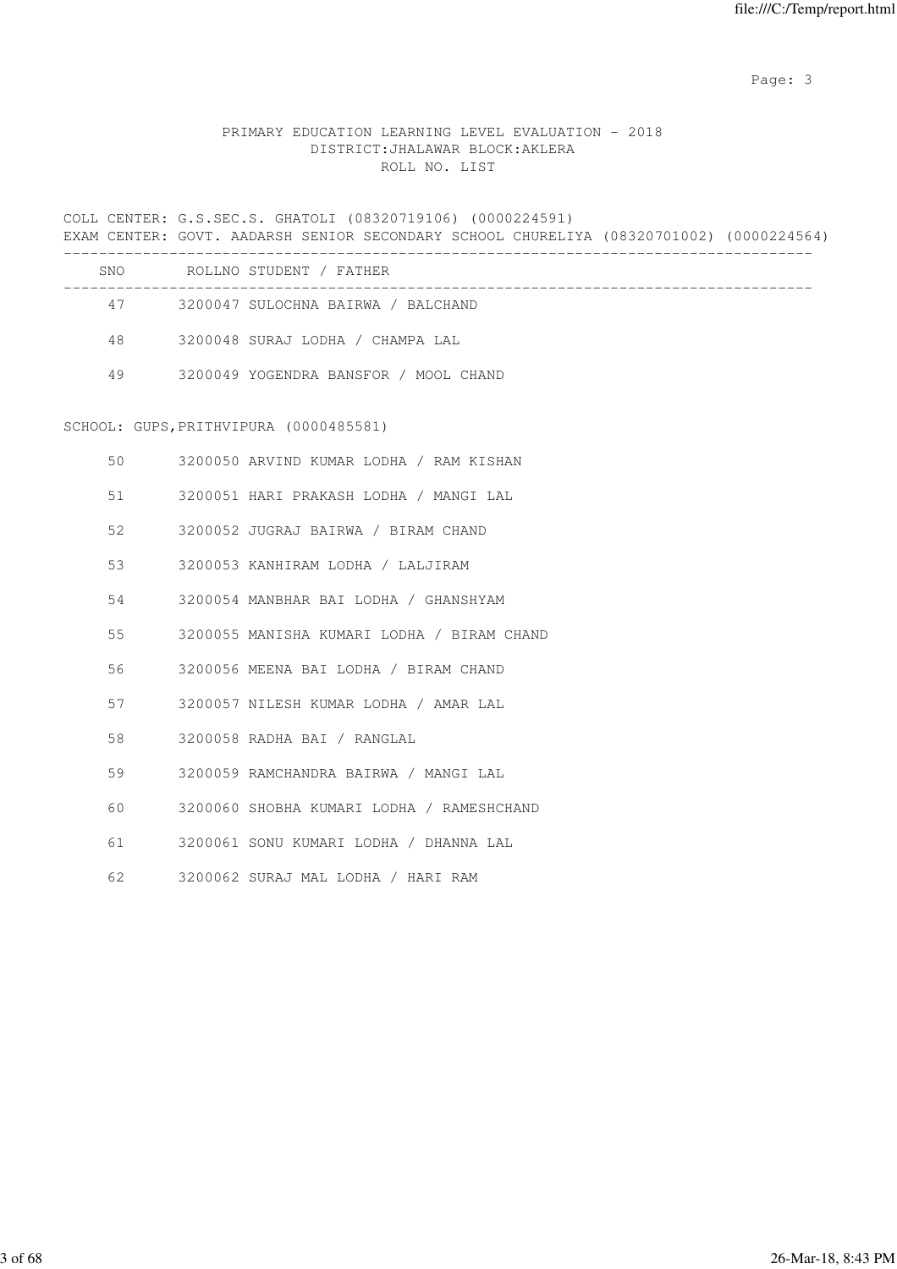# PRIMARY EDUCATION LEARNING LEVEL EVALUATION - 2018 DISTRICT:JHALAWAR BLOCK:AKLERA ROLL NO. LIST

COLL CENTER: G.S.SEC.S. GHATOLI (08320719106) (0000224591) EXAM CENTER: GOVT. AADARSH SENIOR SECONDARY SCHOOL CHURELIYA (08320701002) (0000224564) ------------------------------------------------------------------------------------- SNO ROLLNO STUDENT / FATHER ------------------------------------------------------------------------------------- 47 3200047 SULOCHNA BAIRWA / BALCHAND 48 3200048 SURAJ LODHA / CHAMPA LAL 49 3200049 YOGENDRA BANSFOR / MOOL CHAND SCHOOL: GUPS,PRITHVIPURA (0000485581) 50 3200050 ARVIND KUMAR LODHA / RAM KISHAN 51 3200051 HARI PRAKASH LODHA / MANGI LAL 52 3200052 JUGRAJ BAIRWA / BIRAM CHAND 53 3200053 KANHIRAM LODHA / LALJIRAM 54 3200054 MANBHAR BAI LODHA / GHANSHYAM 55 3200055 MANISHA KUMARI LODHA / BIRAM CHAND 56 3200056 MEENA BAI LODHA / BIRAM CHAND 57 3200057 NILESH KUMAR LODHA / AMAR LAL 58 3200058 RADHA BAI / RANGLAL 59 3200059 RAMCHANDRA BAIRWA / MANGI LAL 60 3200060 SHOBHA KUMARI LODHA / RAMESHCHAND 61 3200061 SONU KUMARI LODHA / DHANNA LAL 62 3200062 SURAJ MAL LODHA / HARI RAM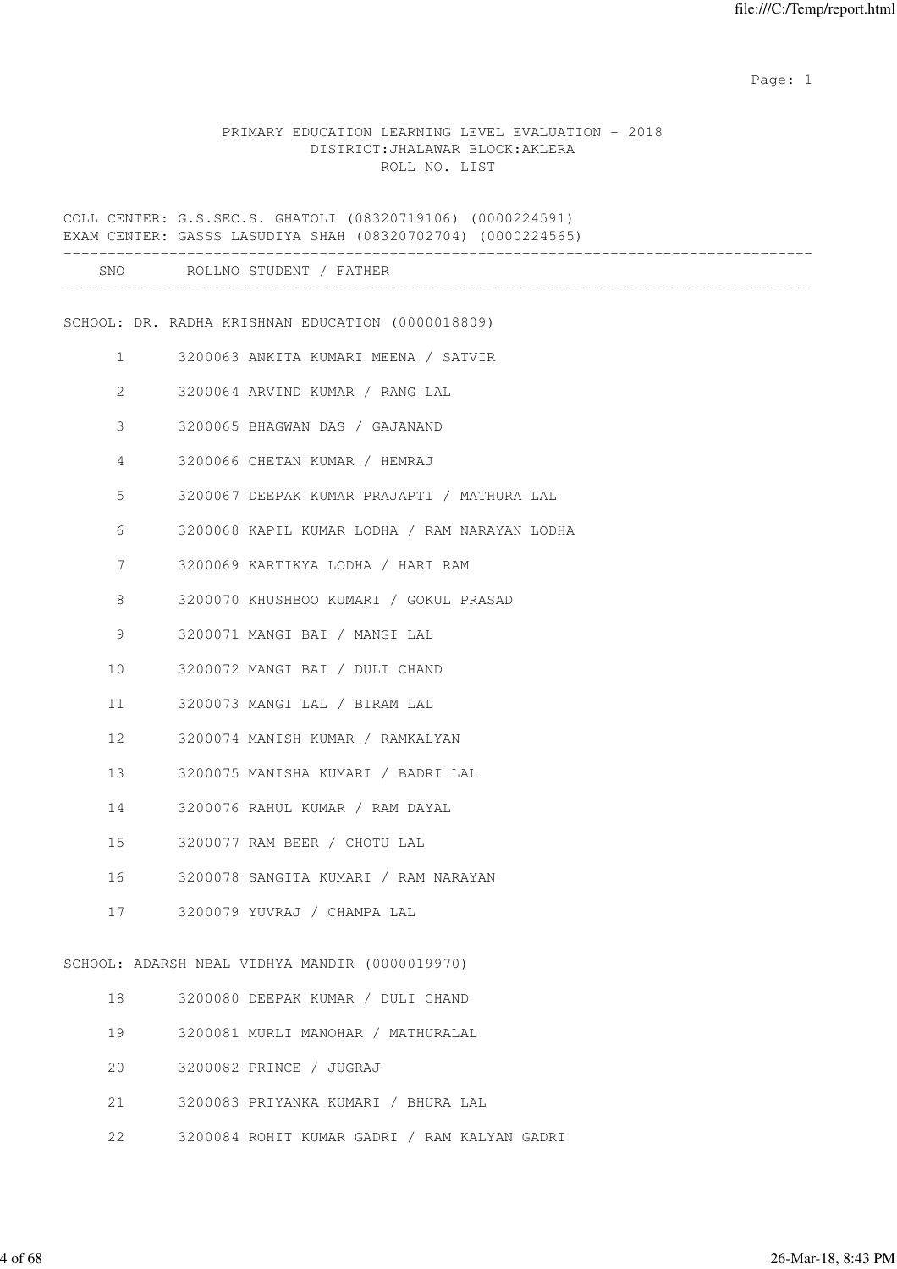#### PRIMARY EDUCATION LEARNING LEVEL EVALUATION - 2018 DISTRICT:JHALAWAR BLOCK:AKLERA ROLL NO. LIST

COLL CENTER: G.S.SEC.S. GHATOLI (08320719106) (0000224591) EXAM CENTER: GASSS LASUDIYA SHAH (08320702704) (0000224565) ------------------------------------------------------------------------------------- SNO ROLLNO STUDENT / FATHER ------------------------------------------------------------------------------------- SCHOOL: DR. RADHA KRISHNAN EDUCATION (0000018809) 1 3200063 ANKITA KUMARI MEENA / SATVIR 2 3200064 ARVIND KUMAR / RANG LAL 3 3200065 BHAGWAN DAS / GAJANAND 4 3200066 CHETAN KUMAR / HEMRAJ 5 3200067 DEEPAK KUMAR PRAJAPTI / MATHURA LAL 6 3200068 KAPIL KUMAR LODHA / RAM NARAYAN LODHA 7 3200069 KARTIKYA LODHA / HARI RAM 8 3200070 KHUSHBOO KUMARI / GOKUL PRASAD 9 3200071 MANGI BAI / MANGI LAL 10 3200072 MANGI BAI / DULI CHAND 11 3200073 MANGI LAL / BIRAM LAL 12 3200074 MANISH KUMAR / RAMKALYAN 13 3200075 MANISHA KUMARI / BADRI LAL 14 3200076 RAHUL KUMAR / RAM DAYAL 15 3200077 RAM BEER / CHOTU LAL 16 3200078 SANGITA KUMARI / RAM NARAYAN 17 3200079 YUVRAJ / CHAMPA LAL SCHOOL: ADARSH NBAL VIDHYA MANDIR (0000019970) 18 3200080 DEEPAK KUMAR / DULI CHAND 19 3200081 MURLI MANOHAR / MATHURALAL 20 3200082 PRINCE / JUGRAJ 21 3200083 PRIYANKA KUMARI / BHURA LAL

22 3200084 ROHIT KUMAR GADRI / RAM KALYAN GADRI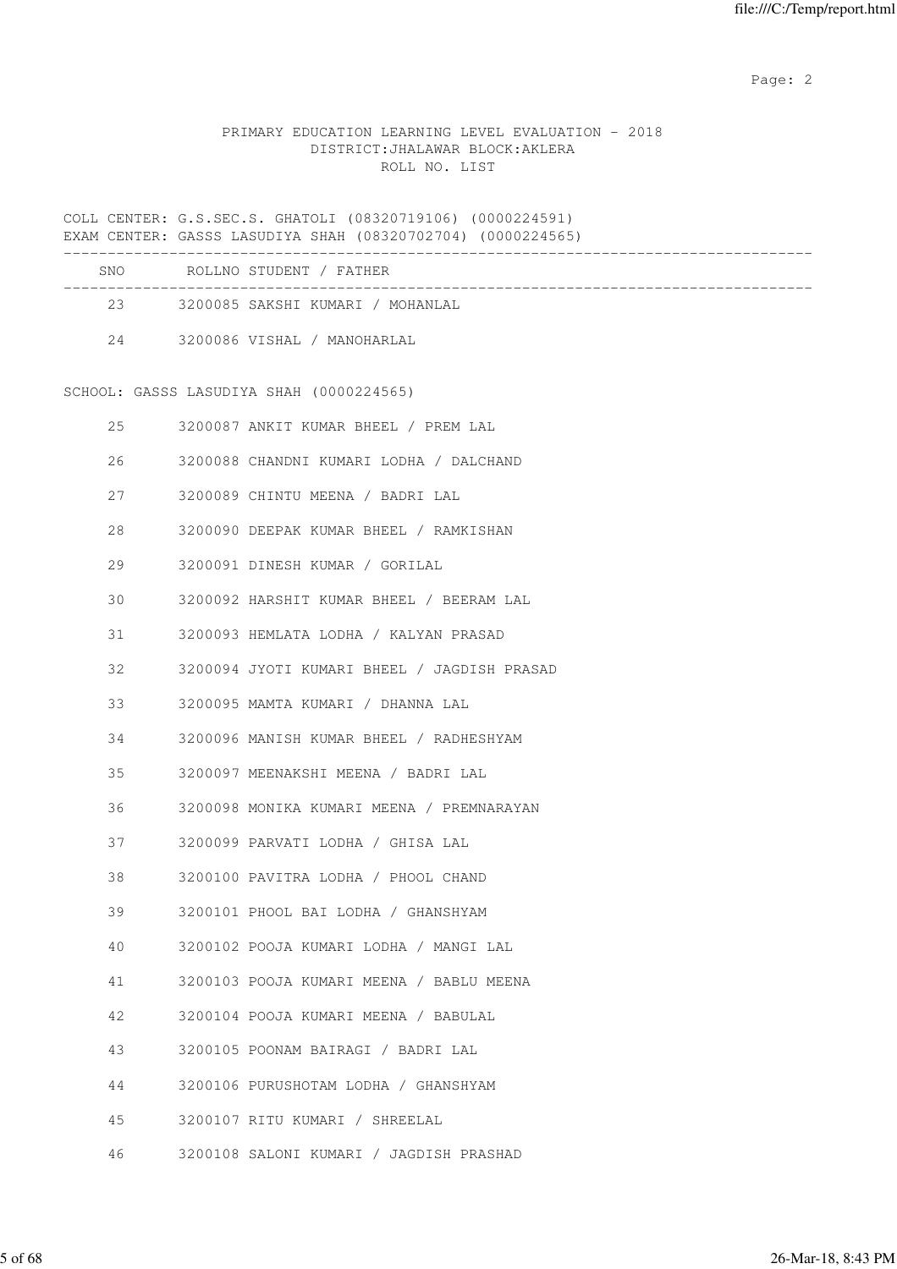# PRIMARY EDUCATION LEARNING LEVEL EVALUATION - 2018 DISTRICT:JHALAWAR BLOCK:AKLERA ROLL NO. LIST

COLL CENTER: G.S.SEC.S. GHATOLI (08320719106) (0000224591) EXAM CENTER: GASSS LASUDIYA SHAH (08320702704) (0000224565)

| SNO | ROLLNO STUDENT / FATHER          |
|-----|----------------------------------|
| 23  | 3200085 SAKSHI KUMARI / MOHANLAL |
| 2.4 | 3200086 VISHAL / MANOHARLAL      |

# SCHOOL: GASSS LASUDIYA SHAH (0000224565)

| 25 | 3200087 ANKIT KUMAR BHEEL / PREM LAL        |
|----|---------------------------------------------|
| 26 | 3200088 CHANDNI KUMARI LODHA / DALCHAND     |
| 27 | 3200089 CHINTU MEENA / BADRI LAL            |
| 28 | 3200090 DEEPAK KUMAR BHEEL / RAMKISHAN      |
| 29 | 3200091 DINESH KUMAR / GORILAL              |
| 30 | 3200092 HARSHIT KUMAR BHEEL / BEERAM LAL    |
| 31 | 3200093 HEMLATA LODHA / KALYAN PRASAD       |
| 32 | 3200094 JYOTI KUMARI BHEEL / JAGDISH PRASAD |
| 33 | 3200095 MAMTA KUMARI / DHANNA LAL           |
| 34 | 3200096 MANISH KUMAR BHEEL / RADHESHYAM     |
| 35 | 3200097 MEENAKSHI MEENA / BADRI LAL         |
| 36 | 3200098 MONIKA KUMARI MEENA / PREMNARAYAN   |
| 37 | 3200099 PARVATI LODHA / GHISA LAL           |
| 38 | 3200100 PAVITRA LODHA / PHOOL CHAND         |
| 39 | 3200101 PHOOL BAI LODHA / GHANSHYAM         |
| 40 | 3200102 POOJA KUMARI LODHA / MANGI LAL      |
| 41 | 3200103 POOJA KUMARI MEENA / BABLU MEENA    |
| 42 | 3200104 POOJA KUMARI MEENA / BABULAL        |
| 43 | 3200105 POONAM BAIRAGI / BADRI LAL          |
| 44 | 3200106 PURUSHOTAM LODHA / GHANSHYAM        |
| 45 | 3200107 RITU KUMARI / SHREELAL              |
| 46 | 3200108 SALONI KUMARI / JAGDISH PRASHAD     |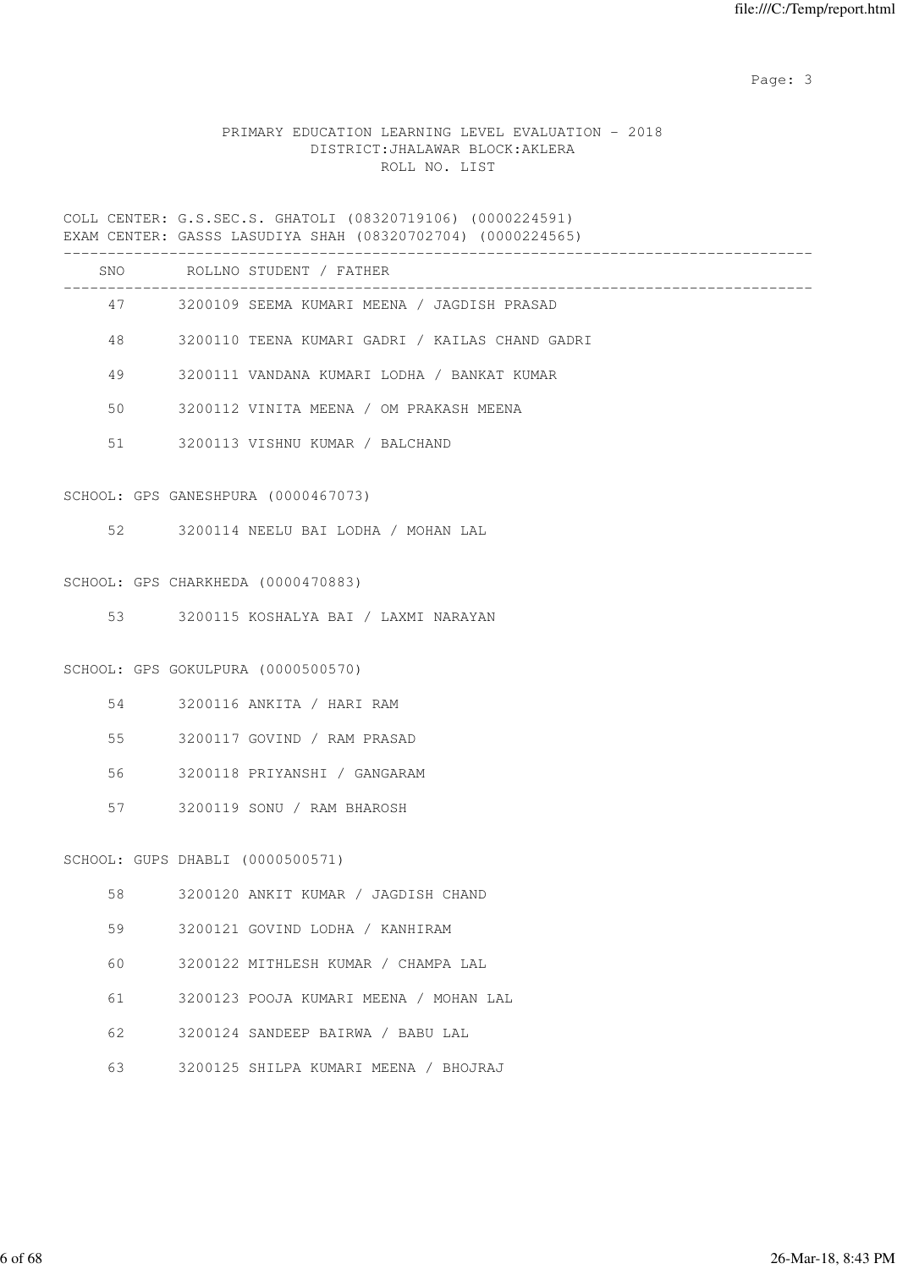# PRIMARY EDUCATION LEARNING LEVEL EVALUATION - 2018 DISTRICT:JHALAWAR BLOCK:AKLERA ROLL NO. LIST

COLL CENTER: G.S.SEC.S. GHATOLI (08320719106) (0000224591) EXAM CENTER: GASSS LASUDIYA SHAH (08320702704) (0000224565)

|    |                                  | SNO ROLLNO STUDENT / FATHER                     |
|----|----------------------------------|-------------------------------------------------|
|    |                                  | 47 3200109 SEEMA KUMARI MEENA / JAGDISH PRASAD  |
| 48 |                                  | 3200110 TEENA KUMARI GADRI / KAILAS CHAND GADRI |
| 49 |                                  | 3200111 VANDANA KUMARI LODHA / BANKAT KUMAR     |
| 50 |                                  | 3200112 VINITA MEENA / OM PRAKASH MEENA         |
| 51 |                                  | 3200113 VISHNU KUMAR / BALCHAND                 |
|    |                                  | SCHOOL: GPS GANESHPURA (0000467073)             |
| 52 |                                  | 3200114 NEELU BAI LODHA / MOHAN LAL             |
|    |                                  | SCHOOL: GPS CHARKHEDA (0000470883)              |
|    |                                  | 53 3200115 KOSHALYA BAI / LAXMI NARAYAN         |
|    |                                  | SCHOOL: GPS GOKULPURA (0000500570)              |
| 54 |                                  | 3200116 ANKITA / HARI RAM                       |
| 55 |                                  | 3200117 GOVIND / RAM PRASAD                     |
| 56 |                                  | 3200118 PRIYANSHI / GANGARAM                    |
| 57 |                                  | 3200119 SONU / RAM BHAROSH                      |
|    | SCHOOL: GUPS DHABLI (0000500571) |                                                 |
| 58 |                                  | 3200120 ANKIT KUMAR / JAGDISH CHAND             |
| 59 |                                  | 3200121 GOVIND LODHA / KANHIRAM                 |
| 60 |                                  | 3200122 MITHLESH KUMAR / CHAMPA LAL             |
| 61 |                                  | 3200123 POOJA KUMARI MEENA / MOHAN LAL          |
| 62 |                                  | 3200124 SANDEEP BAIRWA / BABU LAL               |

63 3200125 SHILPA KUMARI MEENA / BHOJRAJ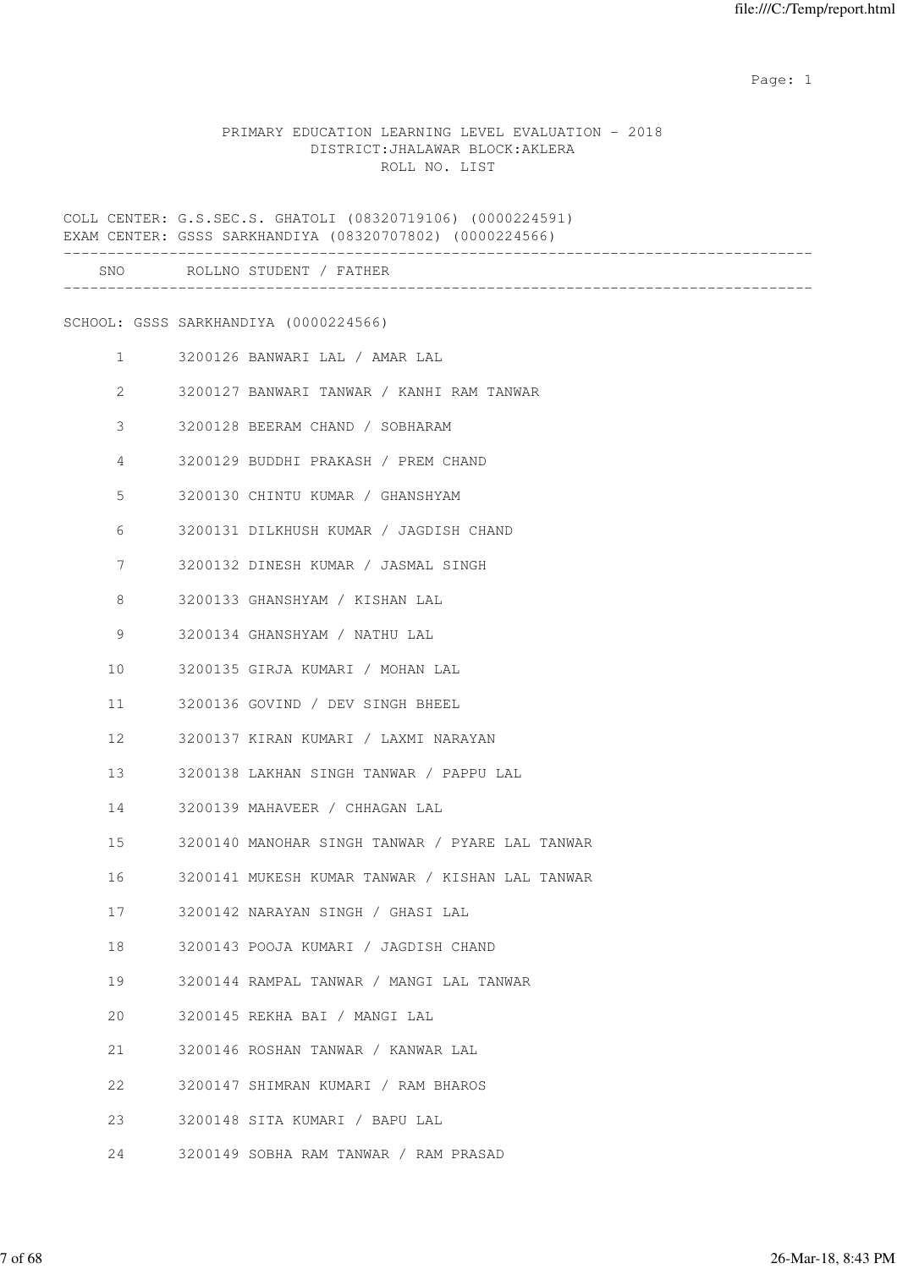#### PRIMARY EDUCATION LEARNING LEVEL EVALUATION - 2018 DISTRICT:JHALAWAR BLOCK:AKLERA ROLL NO. LIST

COLL CENTER: G.S.SEC.S. GHATOLI (08320719106) (0000224591) EXAM CENTER: GSSS SARKHANDIYA (08320707802) (0000224566) ------------------------------------------------------------------------------------- SNO ROLLNO STUDENT / FATHER ------------------------------------------------------------------------------------- SCHOOL: GSSS SARKHANDIYA (0000224566) 1 3200126 BANWARI LAL / AMAR LAL 2 3200127 BANWARI TANWAR / KANHI RAM TANWAR 3 3200128 BEERAM CHAND / SOBHARAM 4 3200129 BUDDHI PRAKASH / PREM CHAND 5 3200130 CHINTU KUMAR / GHANSHYAM 6 3200131 DILKHUSH KUMAR / JAGDISH CHAND 7 3200132 DINESH KUMAR / JASMAL SINGH 8 3200133 GHANSHYAM / KISHAN LAL 9 3200134 GHANSHYAM / NATHU LAL 10 3200135 GIRJA KUMARI / MOHAN LAL 11 3200136 GOVIND / DEV SINGH BHEEL 12 3200137 KIRAN KUMARI / LAXMI NARAYAN 13 3200138 LAKHAN SINGH TANWAR / PAPPU LAL 14 3200139 MAHAVEER / CHHAGAN LAL 15 3200140 MANOHAR SINGH TANWAR / PYARE LAL TANWAR 16 3200141 MUKESH KUMAR TANWAR / KISHAN LAL TANWAR 17 3200142 NARAYAN SINGH / GHASI LAL 18 3200143 POOJA KUMARI / JAGDISH CHAND 19 3200144 RAMPAL TANWAR / MANGI LAL TANWAR 20 3200145 REKHA BAI / MANGI LAL 21 3200146 ROSHAN TANWAR / KANWAR LAL 22 3200147 SHIMRAN KUMARI / RAM BHAROS 23 3200148 SITA KUMARI / BAPU LAL 24 3200149 SOBHA RAM TANWAR / RAM PRASAD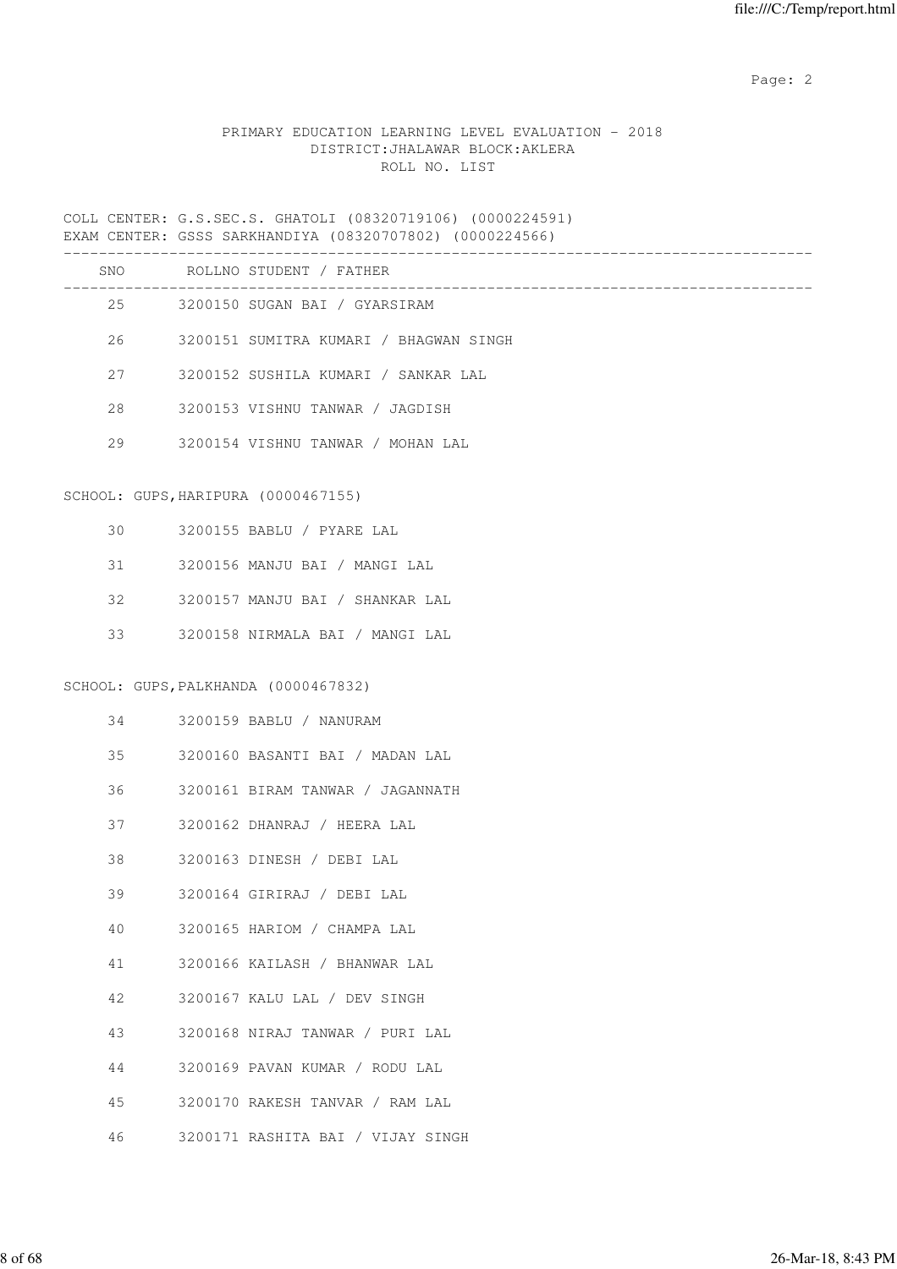# PRIMARY EDUCATION LEARNING LEVEL EVALUATION - 2018 DISTRICT:JHALAWAR BLOCK:AKLERA ROLL NO. LIST

COLL CENTER: G.S.SEC.S. GHATOLI (08320719106) (0000224591) EXAM CENTER: GSSS SARKHANDIYA (08320707802) (0000224566)

|    | SNO ROLLNO STUDENT / FATHER            |
|----|----------------------------------------|
|    | 25 3200150 SUGAN BAI / GYARSIRAM       |
| 26 | 3200151 SUMITRA KUMARI / BHAGWAN SINGH |
| 27 | 3200152 SUSHILA KUMARI / SANKAR LAL    |
| 28 | 3200153 VISHNU TANWAR / JAGDISH        |
| 29 | 3200154 VISHNU TANWAR / MOHAN LAL      |
|    | SCHOOL: GUPS, HARIPURA (0000467155)    |
| 30 | 3200155 BABLU / PYARE LAL              |
| 31 | 3200156 MANJU BAI / MANGI LAL          |
| 32 | 3200157 MANJU BAI / SHANKAR LAL        |
| 33 | 3200158 NIRMALA BAI / MANGI LAL        |
|    | SCHOOL: GUPS, PALKHANDA (0000467832)   |
| 34 | 3200159 BABLU / NANURAM                |
| 35 | 3200160 BASANTI BAI / MADAN LAL        |
| 36 | 3200161 BIRAM TANWAR / JAGANNATH       |
| 37 | 3200162 DHANRAJ / HEERA LAL            |
| 38 | 3200163 DINESH / DEBI LAL              |
| 39 | 3200164 GIRIRAJ / DEBI LAL             |
| 40 | 3200165 HARIOM / CHAMPA LAL            |
| 41 | 3200166 KAILASH / BHANWAR LAL          |
| 42 | 3200167 KALU LAL / DEV SINGH           |
| 43 | 3200168 NIRAJ TANWAR / PURI LAL        |
| 44 | 3200169 PAVAN KUMAR / RODU LAL         |
| 45 | 3200170 RAKESH TANVAR / RAM LAL        |
| 46 | 3200171 RASHITA BAI / VIJAY SINGH      |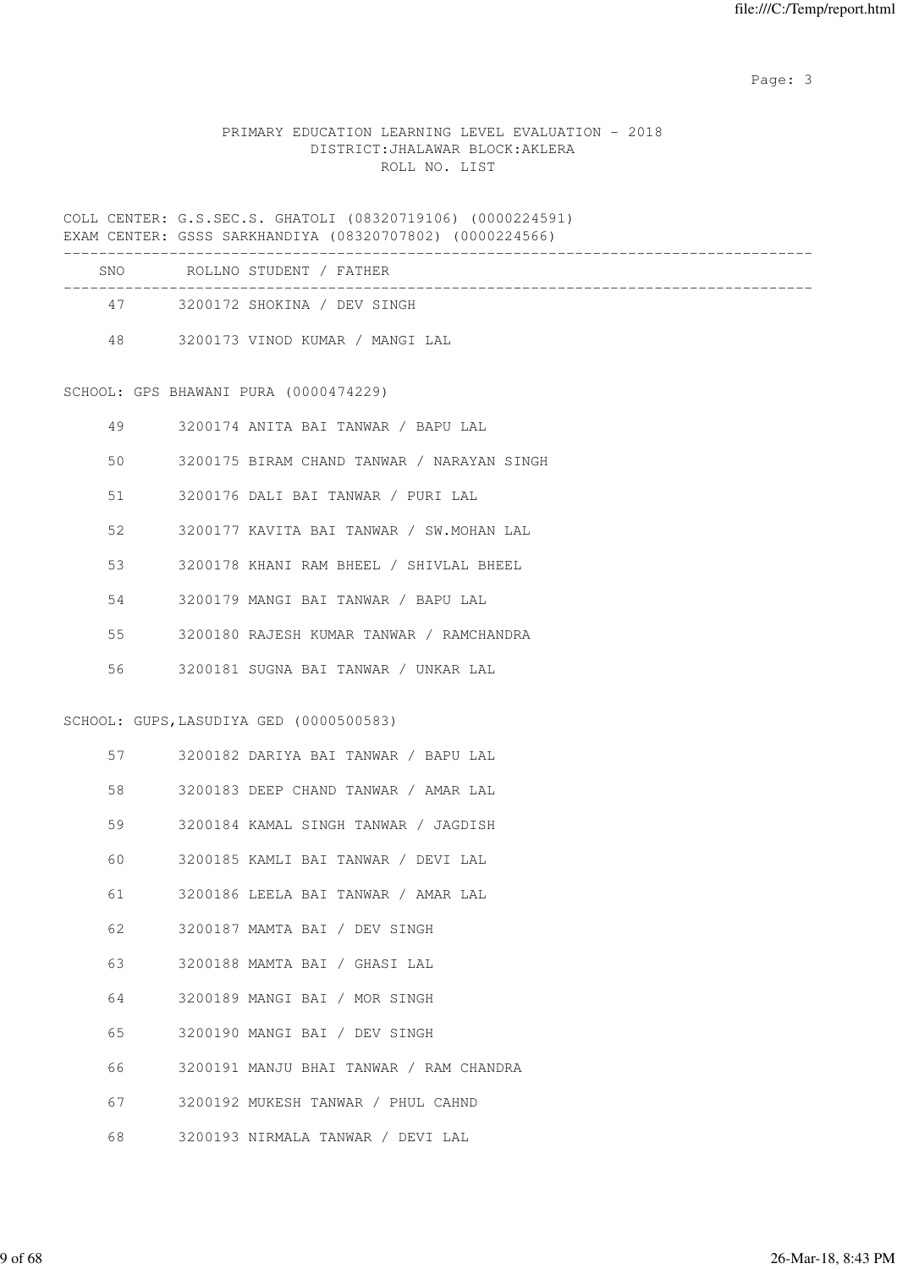# PRIMARY EDUCATION LEARNING LEVEL EVALUATION - 2018 DISTRICT:JHALAWAR BLOCK:AKLERA ROLL NO. LIST

COLL CENTER: G.S.SEC.S. GHATOLI (08320719106) (0000224591) EXAM CENTER: GSSS SARKHANDIYA (08320707802) (0000224566)

| <b>SNO</b> | ROLLNO STUDENT / FATHER         |  |
|------------|---------------------------------|--|
| 47         | 3200172 SHOKINA / DEV SINGH     |  |
| 48         | 3200173 VINOD KUMAR / MANGI LAL |  |

SCHOOL: GPS BHAWANI PURA (0000474229)

| 49 | 3200174 ANITA BAI TANWAR / BAPU LAL        |
|----|--------------------------------------------|
| 50 | 3200175 BIRAM CHAND TANWAR / NARAYAN SINGH |
| 51 | 3200176 DALI BAI TANWAR / PURI LAL         |
| 52 | 3200177 KAVITA BAI TANWAR / SW.MOHAN LAL   |
| 53 | 3200178 KHANI RAM BHEEL / SHIVLAL BHEEL    |
| 54 | 3200179 MANGI BAI TANWAR / BAPU LAL        |
| 55 | 3200180 RAJESH KUMAR TANWAR / RAMCHANDRA   |
| 56 | 3200181 SUGNA BAI TANWAR / UNKAR LAL       |

SCHOOL: GUPS,LASUDIYA GED (0000500583)

| 57      | 3200182 DARIYA BAI TANWAR / BAPU LAL    |
|---------|-----------------------------------------|
| 58      | 3200183 DEEP CHAND TANWAR / AMAR LAL    |
| 59      | 3200184 KAMAL SINGH TANWAR / JAGDISH    |
| 60      | 3200185 KAMLI BAI TANWAR / DEVI LAL     |
| 61      | 3200186 LEELA BAI TANWAR / AMAR LAL     |
| 62      | 3200187 MAMTA BAI / DEV SINGH           |
|         | 63 3200188 MAMTA BAI / GHASI LAL        |
| 64      | 3200189 MANGI BAI / MOR SINGH           |
| 65      | 3200190 MANGI BAI / DEV SINGH           |
| 66      | 3200191 MANJU BHAI TANWAR / RAM CHANDRA |
| 67 — 10 | 3200192 MUKESH TANWAR / PHUL CAHND      |
| 68      | 3200193 NIRMALA TANWAR / DEVI LAL       |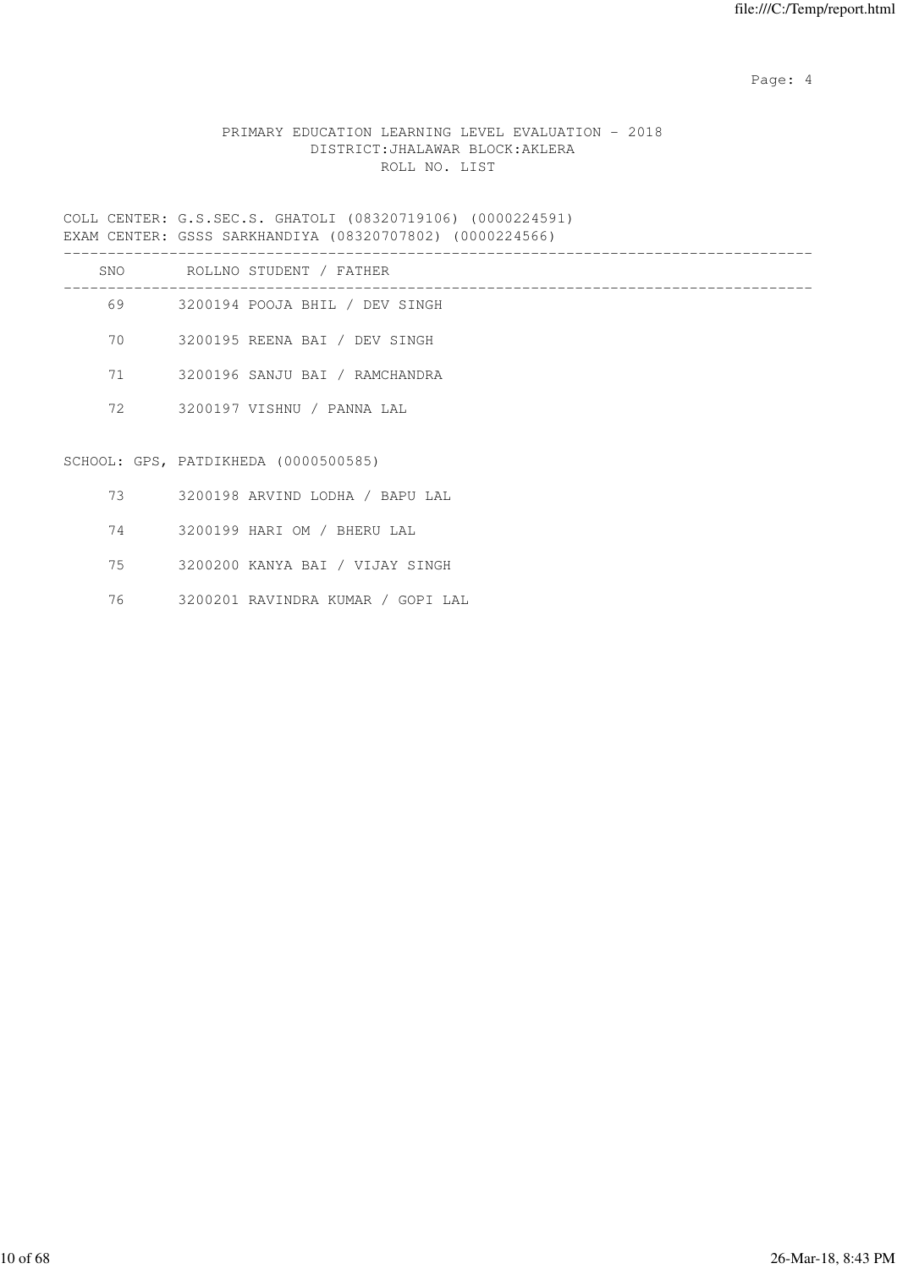Page: 4  $P$ 

# PRIMARY EDUCATION LEARNING LEVEL EVALUATION - 2018 DISTRICT:JHALAWAR BLOCK:AKLERA ROLL NO. LIST

COLL CENTER: G.S.SEC.S. GHATOLI (08320719106) (0000224591) EXAM CENTER: GSSS SARKHANDIYA (08320707802) (0000224566)

| SNO | ROLLNO STUDENT / FATHER        |
|-----|--------------------------------|
| 69  | 3200194 POOJA BHIL / DEV SINGH |
| 70  | 3200195 REENA BAI / DEV SINGH  |
| 71  | 3200196 SANJU BAI / RAMCHANDRA |
| 72  | 3200197 VISHNU / PANNA LAL     |
|     |                                |

# SCHOOL: GPS, PATDIKHEDA (0000500585)

- 73 3200198 ARVIND LODHA / BAPU LAL
- 74 3200199 HARI OM / BHERU LAL
- 75 3200200 KANYA BAI / VIJAY SINGH
- 76 3200201 RAVINDRA KUMAR / GOPI LAL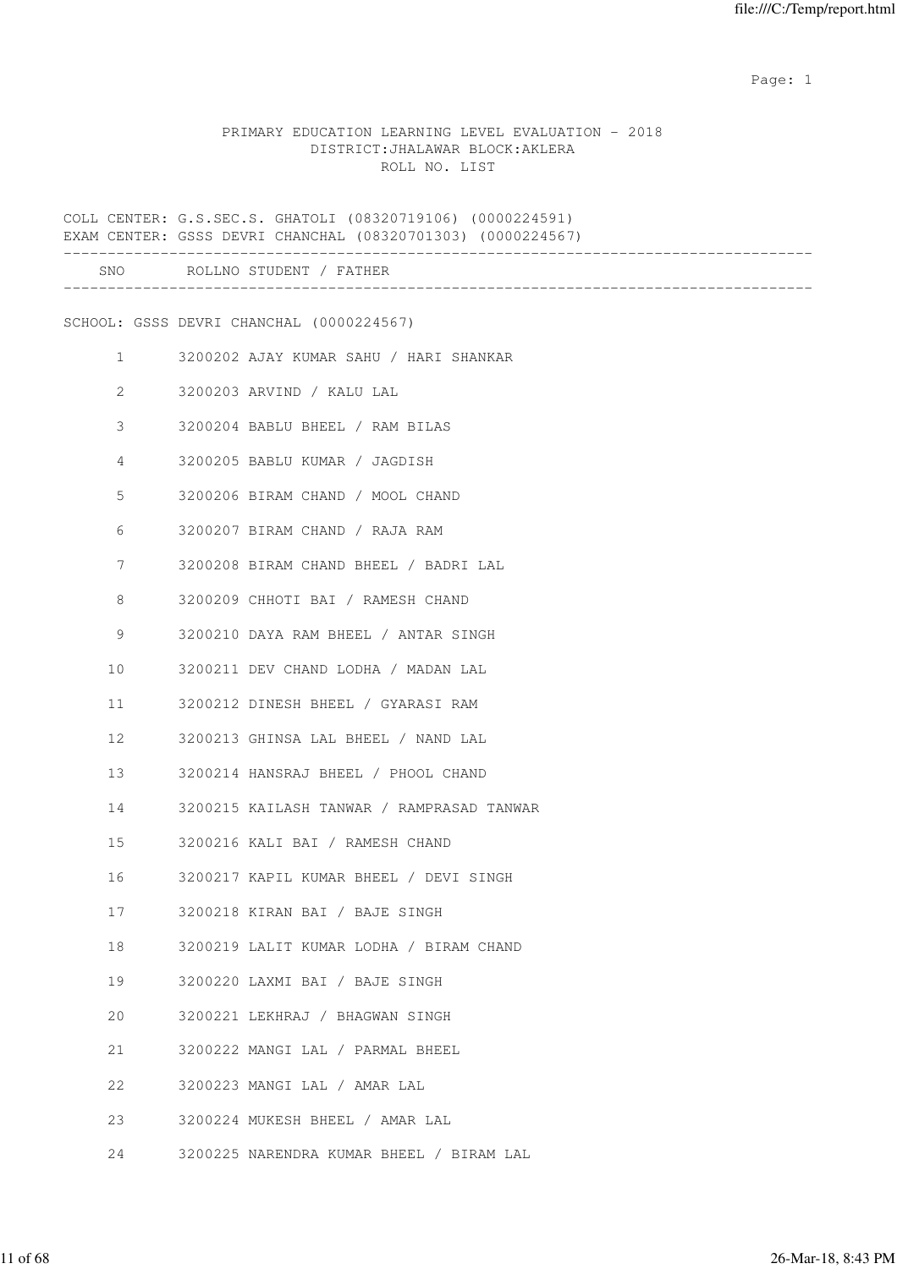#### PRIMARY EDUCATION LEARNING LEVEL EVALUATION - 2018 DISTRICT:JHALAWAR BLOCK:AKLERA ROLL NO. LIST

COLL CENTER: G.S.SEC.S. GHATOLI (08320719106) (0000224591) EXAM CENTER: GSSS DEVRI CHANCHAL (08320701303) (0000224567) ------------------------------------------------------------------------------------- SNO ROLLNO STUDENT / FATHER ------------------------------------------------------------------------------------- SCHOOL: GSSS DEVRI CHANCHAL (0000224567) 1 3200202 AJAY KUMAR SAHU / HARI SHANKAR 2 3200203 ARVIND / KALU LAL 3 3200204 BABLU BHEEL / RAM BILAS 4 3200205 BABLU KUMAR / JAGDISH 5 3200206 BIRAM CHAND / MOOL CHAND 6 3200207 BIRAM CHAND / RAJA RAM 7 3200208 BIRAM CHAND BHEEL / BADRI LAL 8 3200209 CHHOTI BAI / RAMESH CHAND 9 3200210 DAYA RAM BHEEL / ANTAR SINGH 10 3200211 DEV CHAND LODHA / MADAN LAL 11 3200212 DINESH BHEEL / GYARASI RAM 12 3200213 GHINSA LAL BHEEL / NAND LAL 13 3200214 HANSRAJ BHEEL / PHOOL CHAND 14 3200215 KAILASH TANWAR / RAMPRASAD TANWAR 15 3200216 KALI BAI / RAMESH CHAND 16 3200217 KAPIL KUMAR BHEEL / DEVI SINGH 17 3200218 KIRAN BAI / BAJE SINGH 18 3200219 LALIT KUMAR LODHA / BIRAM CHAND 19 3200220 LAXMI BAI / BAJE SINGH 20 3200221 LEKHRAJ / BHAGWAN SINGH 21 3200222 MANGI LAL / PARMAL BHEEL 22 3200223 MANGI LAL / AMAR LAL 23 3200224 MUKESH BHEEL / AMAR LAL 24 3200225 NARENDRA KUMAR BHEEL / BIRAM LAL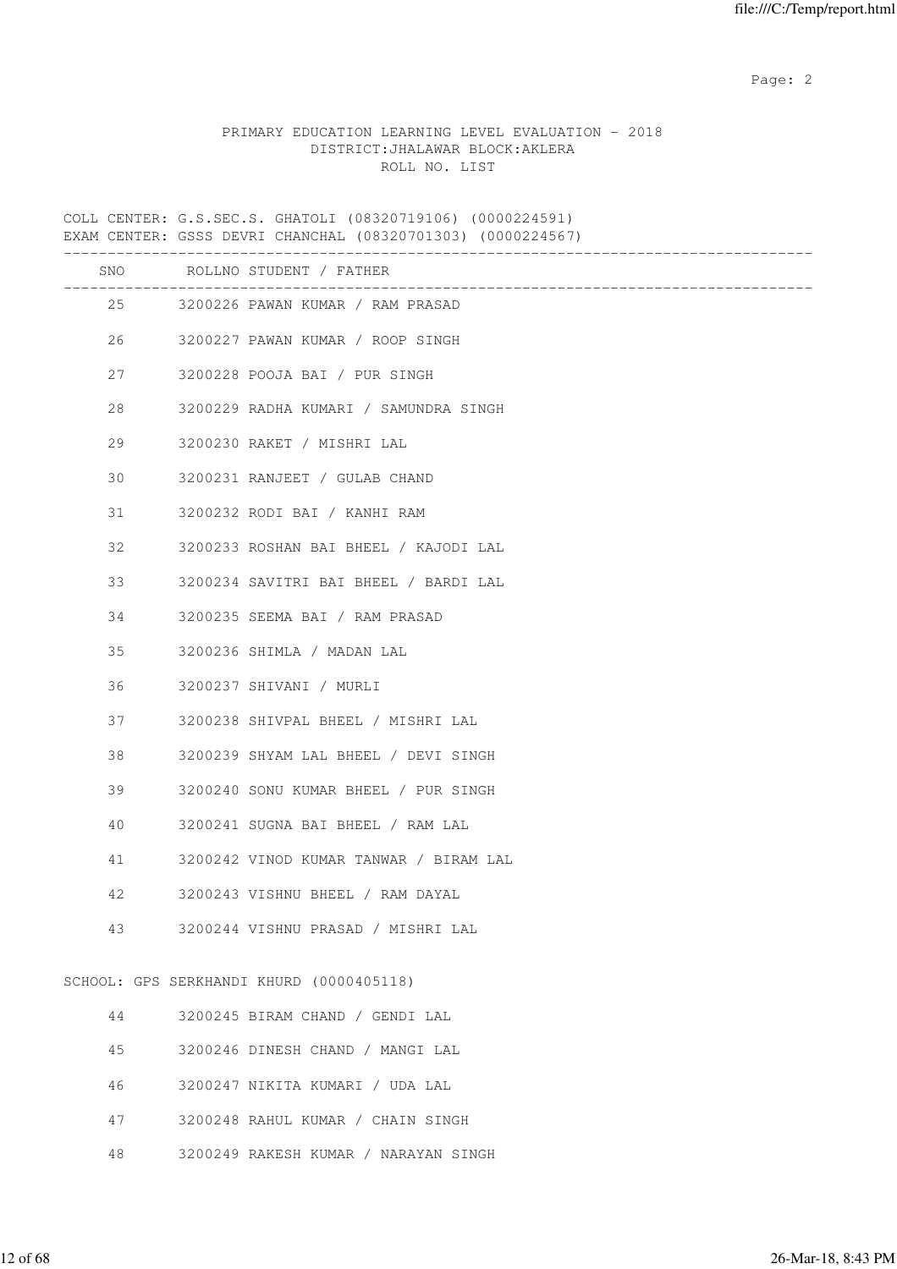# PRIMARY EDUCATION LEARNING LEVEL EVALUATION - 2018 DISTRICT:JHALAWAR BLOCK:AKLERA ROLL NO. LIST

COLL CENTER: G.S.SEC.S. GHATOLI (08320719106) (0000224591) EXAM CENTER: GSSS DEVRI CHANCHAL (08320701303) (0000224567)

|    | SNO ROLLNO STUDENT / FATHER                                               |
|----|---------------------------------------------------------------------------|
|    | ----------------------------------<br>25 3200226 PAWAN KUMAR / RAM PRASAD |
| 26 | 3200227 PAWAN KUMAR / ROOP SINGH                                          |
| 27 | 3200228 POOJA BAI / PUR SINGH                                             |
| 28 | 3200229 RADHA KUMARI / SAMUNDRA SINGH                                     |
| 29 | 3200230 RAKET / MISHRI LAL                                                |
| 30 | 3200231 RANJEET / GULAB CHAND                                             |
| 31 | 3200232 RODI BAI / KANHI RAM                                              |
| 32 | 3200233 ROSHAN BAI BHEEL / KAJODI LAL                                     |
| 33 | 3200234 SAVITRI BAI BHEEL / BARDI LAL                                     |
| 34 | 3200235 SEEMA BAI / RAM PRASAD                                            |
| 35 | 3200236 SHIMLA / MADAN LAL                                                |
| 36 | 3200237 SHIVANI / MURLI                                                   |
| 37 | 3200238 SHIVPAL BHEEL / MISHRI LAL                                        |
| 38 | 3200239 SHYAM LAL BHEEL / DEVI SINGH                                      |
| 39 | 3200240 SONU KUMAR BHEEL / PUR SINGH                                      |
| 40 | 3200241 SUGNA BAI BHEEL / RAM LAL                                         |
| 41 | 3200242 VINOD KUMAR TANWAR / BIRAM LAL                                    |
| 42 | 3200243 VISHNU BHEEL / RAM DAYAL                                          |
| 43 | 3200244 VISHNU PRASAD / MISHRI LAL                                        |
|    | SCHOOL: GPS SERKHANDI KHURD (0000405118)                                  |
| 44 | 3200245 BIRAM CHAND / GENDI LAL                                           |
| 45 | 3200246 DINESH CHAND / MANGI LAL                                          |
| 46 | 3200247 NIKITA KUMARI / UDA LAL                                           |

- 47 3200248 RAHUL KUMAR / CHAIN SINGH
- 48 3200249 RAKESH KUMAR / NARAYAN SINGH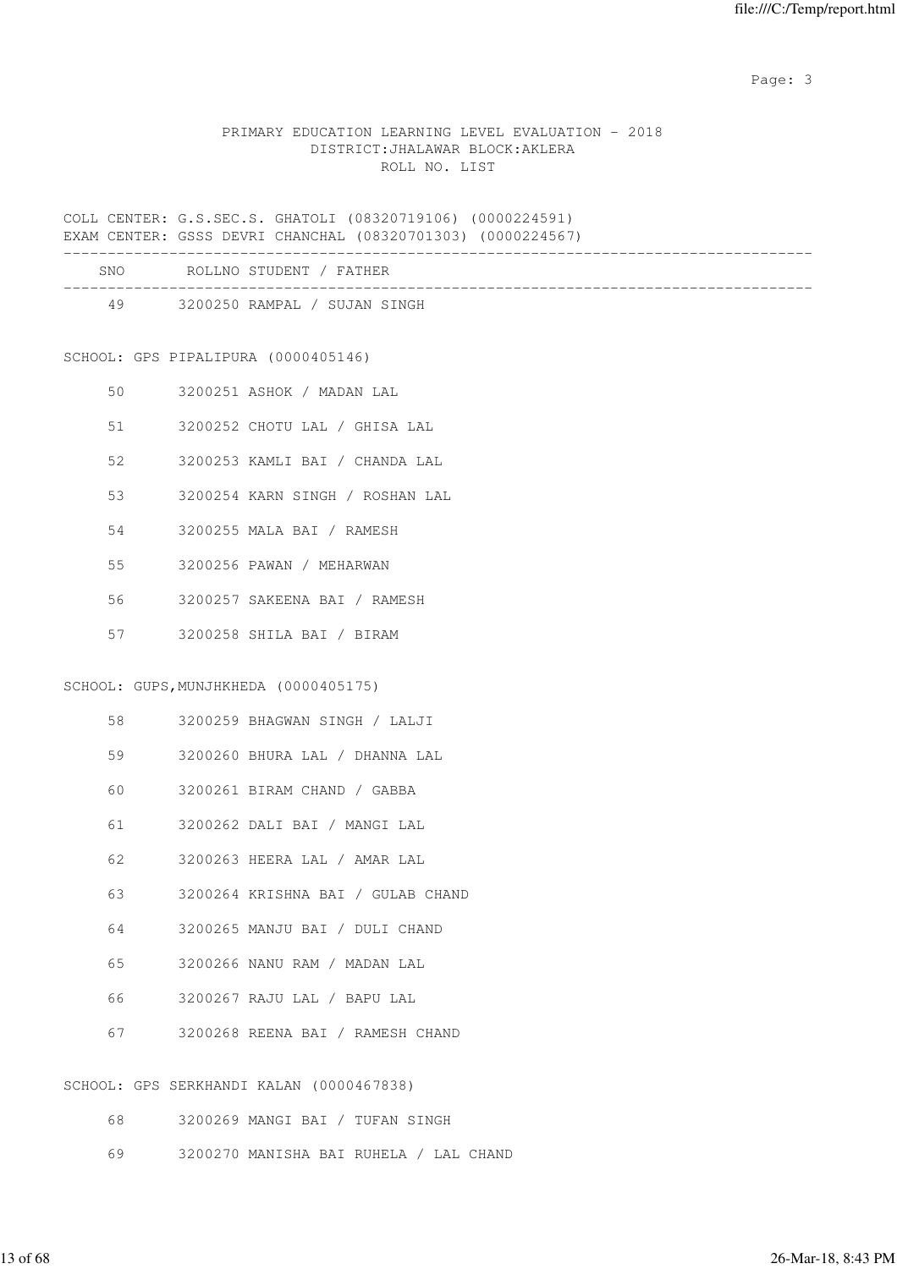#### PRIMARY EDUCATION LEARNING LEVEL EVALUATION - 2018 DISTRICT:JHALAWAR BLOCK:AKLERA ROLL NO. LIST

COLL CENTER: G.S.SEC.S. GHATOLI (08320719106) (0000224591) EXAM CENTER: GSSS DEVRI CHANCHAL (08320701303) (0000224567)

| CNT∩ | NT/<br>. |  |  |  |
|------|----------|--|--|--|

| SNU. | ROLLNO SIUDENI / FAIHER      |  |
|------|------------------------------|--|
| 49   | 3200250 RAMPAL / SUJAN SINGH |  |
|      |                              |  |

SCHOOL: GPS PIPALIPURA (0000405146)

- 50 3200251 ASHOK / MADAN LAL
- 51 3200252 CHOTU LAL / GHISA LAL
- 52 3200253 KAMLI BAI / CHANDA LAL
- 53 3200254 KARN SINGH / ROSHAN LAL
- 54 3200255 MALA BAI / RAMESH
- 55 3200256 PAWAN / MEHARWAN
- 56 3200257 SAKEENA BAI / RAMESH
- 57 3200258 SHILA BAI / BIRAM

# SCHOOL: GUPS,MUNJHKHEDA (0000405175)

- 58 3200259 BHAGWAN SINGH / LALJI
- 59 3200260 BHURA LAL / DHANNA LAL
- 60 3200261 BIRAM CHAND / GABBA
- 61 3200262 DALI BAI / MANGI LAL
- 62 3200263 HEERA LAL / AMAR LAL
- 63 3200264 KRISHNA BAI / GULAB CHAND
- 64 3200265 MANJU BAI / DULI CHAND
- 65 3200266 NANU RAM / MADAN LAL
- 66 3200267 RAJU LAL / BAPU LAL
- 67 3200268 REENA BAI / RAMESH CHAND

SCHOOL: GPS SERKHANDI KALAN (0000467838)

- 68 3200269 MANGI BAI / TUFAN SINGH
- 69 3200270 MANISHA BAI RUHELA / LAL CHAND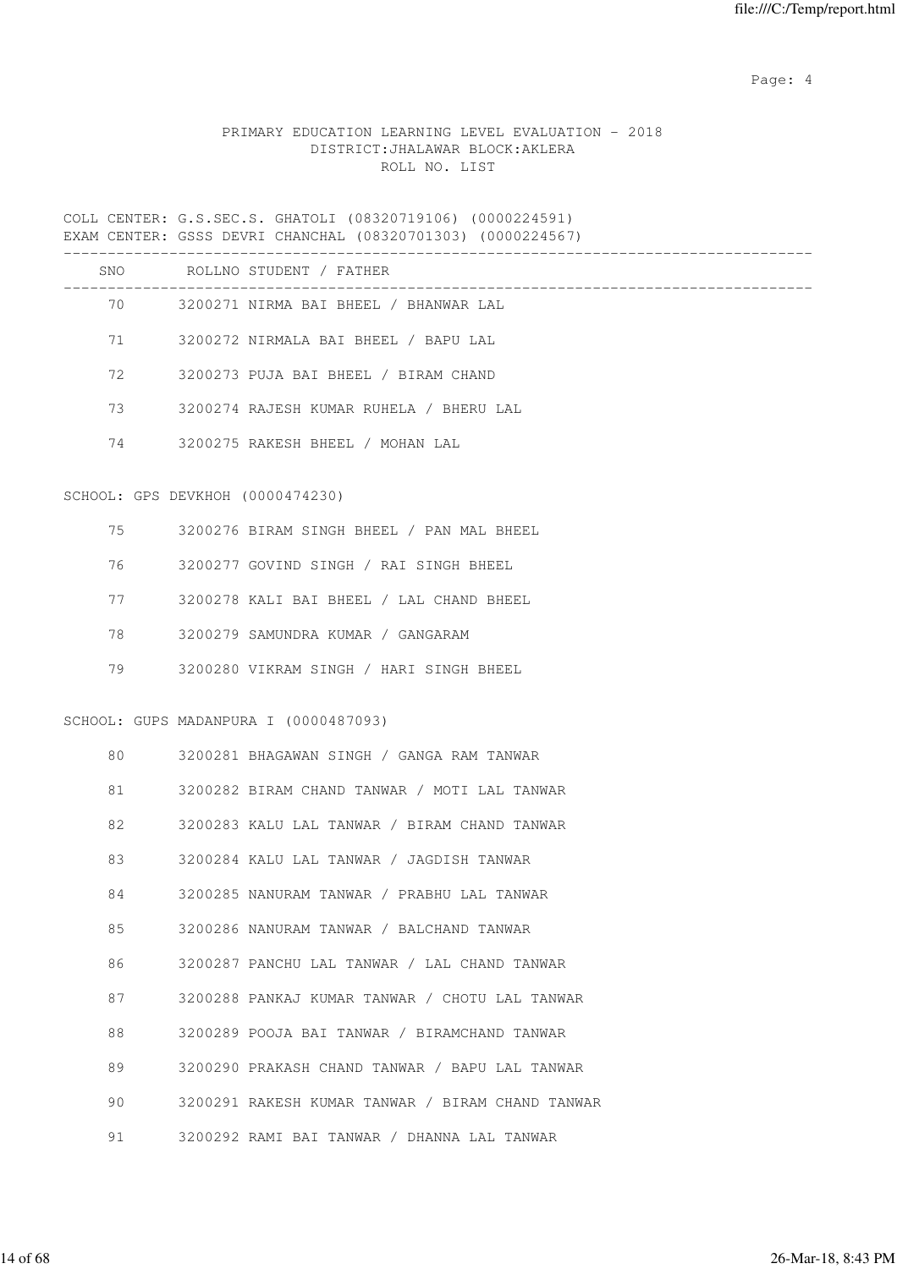Page: 4  $P$ 

# PRIMARY EDUCATION LEARNING LEVEL EVALUATION - 2018 DISTRICT:JHALAWAR BLOCK:AKLERA ROLL NO. LIST

COLL CENTER: G.S.SEC.S. GHATOLI (08320719106) (0000224591) EXAM CENTER: GSSS DEVRI CHANCHAL (08320701303) (0000224567)

|    |                                  | SNO ROLLNO STUDENT / FATHER                                        |
|----|----------------------------------|--------------------------------------------------------------------|
|    | 70 — 20                          | _________________________<br>3200271 NIRMA BAI BHEEL / BHANWAR LAL |
| 71 |                                  | 3200272 NIRMALA BAI BHEEL / BAPU LAL                               |
| 72 |                                  | 3200273 PUJA BAI BHEEL / BIRAM CHAND                               |
| 73 |                                  | 3200274 RAJESH KUMAR RUHELA / BHERU LAL                            |
| 74 |                                  | 3200275 RAKESH BHEEL / MOHAN LAL                                   |
|    | SCHOOL: GPS DEVKHOH (0000474230) |                                                                    |
| 75 |                                  | 3200276 BIRAM SINGH BHEEL / PAN MAL BHEEL                          |
| 76 |                                  | 3200277 GOVIND SINGH / RAI SINGH BHEEL                             |
| 77 |                                  | 3200278 KALI BAI BHEEL / LAL CHAND BHEEL                           |
| 78 |                                  | 3200279 SAMUNDRA KUMAR / GANGARAM                                  |
| 79 |                                  | 3200280 VIKRAM SINGH / HARI SINGH BHEEL                            |
|    |                                  | SCHOOL: GUPS MADANPURA I (0000487093)                              |
| 80 |                                  | 3200281 BHAGAWAN SINGH / GANGA RAM TANWAR                          |
| 81 |                                  | 3200282 BIRAM CHAND TANWAR / MOTI LAL TANWAR                       |
| 82 |                                  | 3200283 KALU LAL TANWAR / BIRAM CHAND TANWAR                       |
| 83 |                                  | 3200284 KALU LAL TANWAR / JAGDISH TANWAR                           |
| 84 |                                  | 3200285 NANURAM TANWAR / PRABHU LAL TANWAR                         |
| 85 |                                  | 3200286 NANURAM TANWAR / BALCHAND TANWAR                           |
| 86 |                                  | 3200287 PANCHU LAL TANWAR / LAL CHAND TANWAR                       |
| 87 |                                  | 3200288 PANKAJ KUMAR TANWAR / CHOTU LAL TANWAR                     |
| 88 |                                  | 3200289 POOJA BAI TANWAR / BIRAMCHAND TANWAR                       |
| 89 |                                  | 3200290 PRAKASH CHAND TANWAR / BAPU LAL TANWAR                     |
| 90 |                                  | 3200291 RAKESH KUMAR TANWAR / BIRAM CHAND TANWAR                   |
| 91 |                                  | 3200292 RAMI BAI TANWAR / DHANNA LAL TANWAR                        |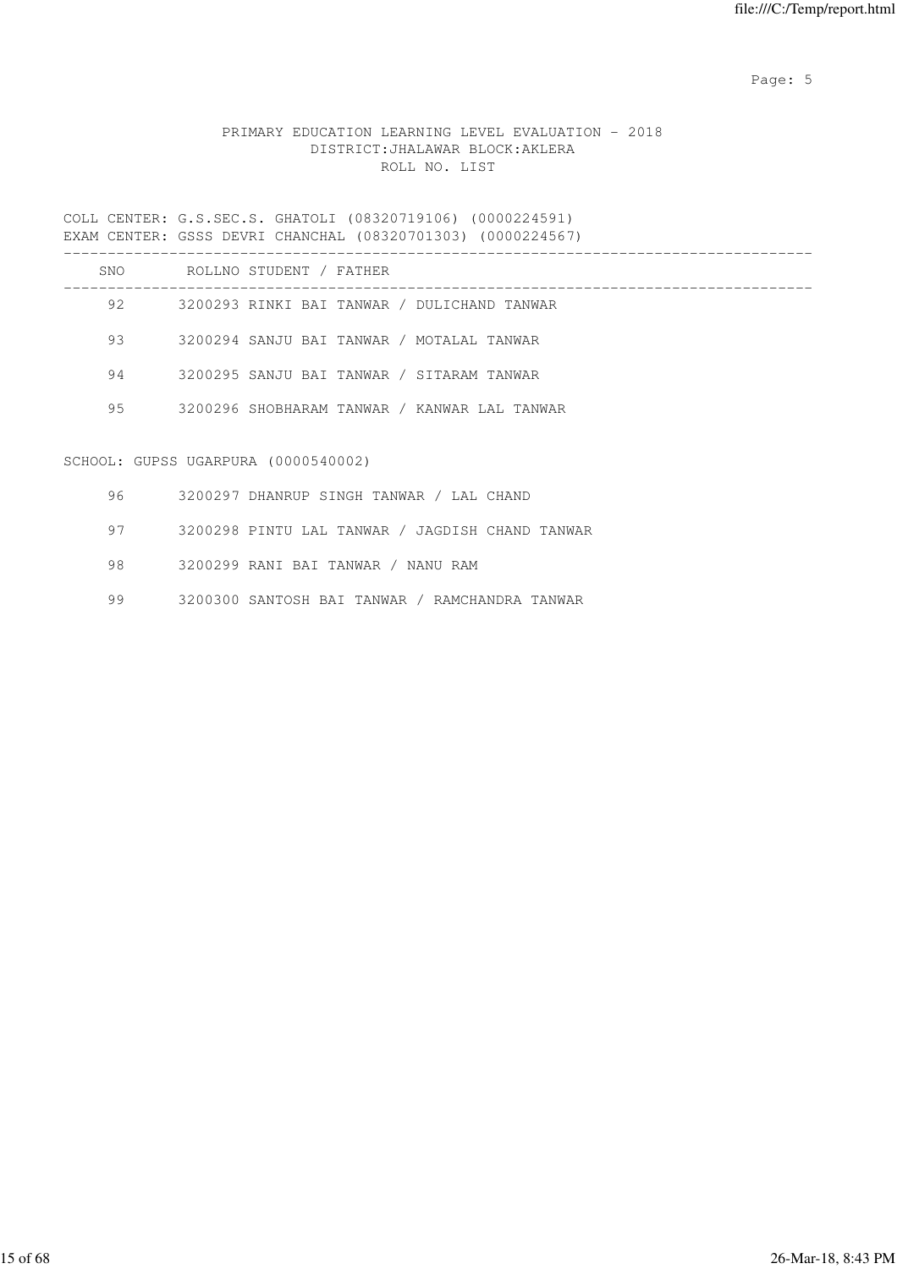Page: 5  $P$  and  $P$  and  $P$  and  $P$  and  $P$  and  $P$  and  $P$  and  $P$  and  $P$  and  $P$  and  $P$  and  $P$  and  $P$  and  $P$  and  $P$  and  $P$  and  $P$  and  $P$  and  $P$  and  $P$  and  $P$  and  $P$  and  $P$  and  $P$  and  $P$  and  $P$  and  $P$  an

# PRIMARY EDUCATION LEARNING LEVEL EVALUATION - 2018 DISTRICT:JHALAWAR BLOCK:AKLERA ROLL NO. LIST

COLL CENTER: G.S.SEC.S. GHATOLI (08320719106) (0000224591) EXAM CENTER: GSSS DEVRI CHANCHAL (08320701303) (0000224567)

| SNO | ROLLNO STUDENT / FATHER                      |
|-----|----------------------------------------------|
| 92. | 3200293 RINKI BAI TANWAR / DULICHAND TANWAR  |
| 93  | 3200294 SANJU BAI TANWAR / MOTALAL TANWAR    |
| 94  | 3200295 SANJU BAI TANWAR / SITARAM TANWAR    |
| 95  | 3200296 SHOBHARAM TANWAR / KANWAR LAL TANWAR |
|     |                                              |

# SCHOOL: GUPSS UGARPURA (0000540002)

| 96 - | 3200297 DHANRUP SINGH TANWAR / LAL CHAND        |
|------|-------------------------------------------------|
| 97   | 3200298 PINTU LAL TANWAR / JAGDISH CHAND TANWAR |
| 98.  | 3200299 RANI BAI TANWAR / NANU RAM              |
| 99   | 3200300 SANTOSH BAI TANWAR / RAMCHANDRA TANWAR  |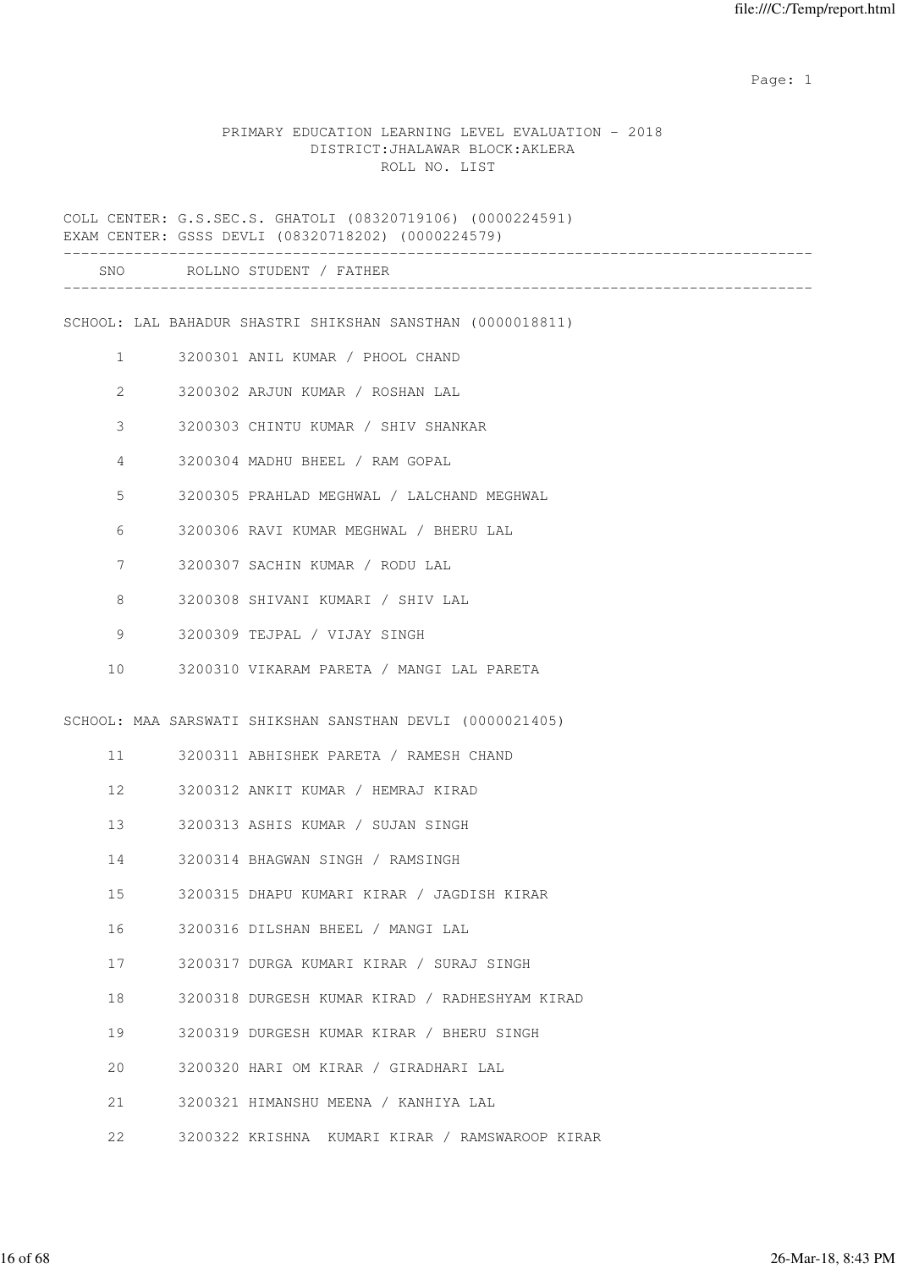#### PRIMARY EDUCATION LEARNING LEVEL EVALUATION - 2018 DISTRICT:JHALAWAR BLOCK:AKLERA ROLL NO. LIST

COLL CENTER: G.S.SEC.S. GHATOLI (08320719106) (0000224591) EXAM CENTER: GSSS DEVLI (08320718202) (0000224579) ------------------------------------------------------------------------------------- SNO ROLLNO STUDENT / FATHER ------------------------------------------------------------------------------------- SCHOOL: LAL BAHADUR SHASTRI SHIKSHAN SANSTHAN (0000018811) 1 3200301 ANIL KUMAR / PHOOL CHAND 2 3200302 ARJUN KUMAR / ROSHAN LAL 3 3200303 CHINTU KUMAR / SHIV SHANKAR 4 3200304 MADHU BHEEL / RAM GOPAL 5 3200305 PRAHLAD MEGHWAL / LALCHAND MEGHWAL 6 3200306 RAVI KUMAR MEGHWAL / BHERU LAL 7 3200307 SACHIN KUMAR / RODU LAL 8 3200308 SHIVANI KUMARI / SHIV LAL 9 3200309 TEJPAL / VIJAY SINGH 10 3200310 VIKARAM PARETA / MANGI LAL PARETA SCHOOL: MAA SARSWATI SHIKSHAN SANSTHAN DEVLI (0000021405) 11 3200311 ABHISHEK PARETA / RAMESH CHAND 12 3200312 ANKIT KUMAR / HEMRAJ KIRAD 13 3200313 ASHIS KUMAR / SUJAN SINGH 14 3200314 BHAGWAN SINGH / RAMSINGH 15 3200315 DHAPU KUMARI KIRAR / JAGDISH KIRAR 16 3200316 DILSHAN BHEEL / MANGI LAL 17 3200317 DURGA KUMARI KIRAR / SURAJ SINGH 18 3200318 DURGESH KUMAR KIRAD / RADHESHYAM KIRAD 19 3200319 DURGESH KUMAR KIRAR / BHERU SINGH 20 3200320 HARI OM KIRAR / GIRADHARI LAL 21 3200321 HIMANSHU MEENA / KANHIYA LAL 22 3200322 KRISHNA KUMARI KIRAR / RAMSWAROOP KIRAR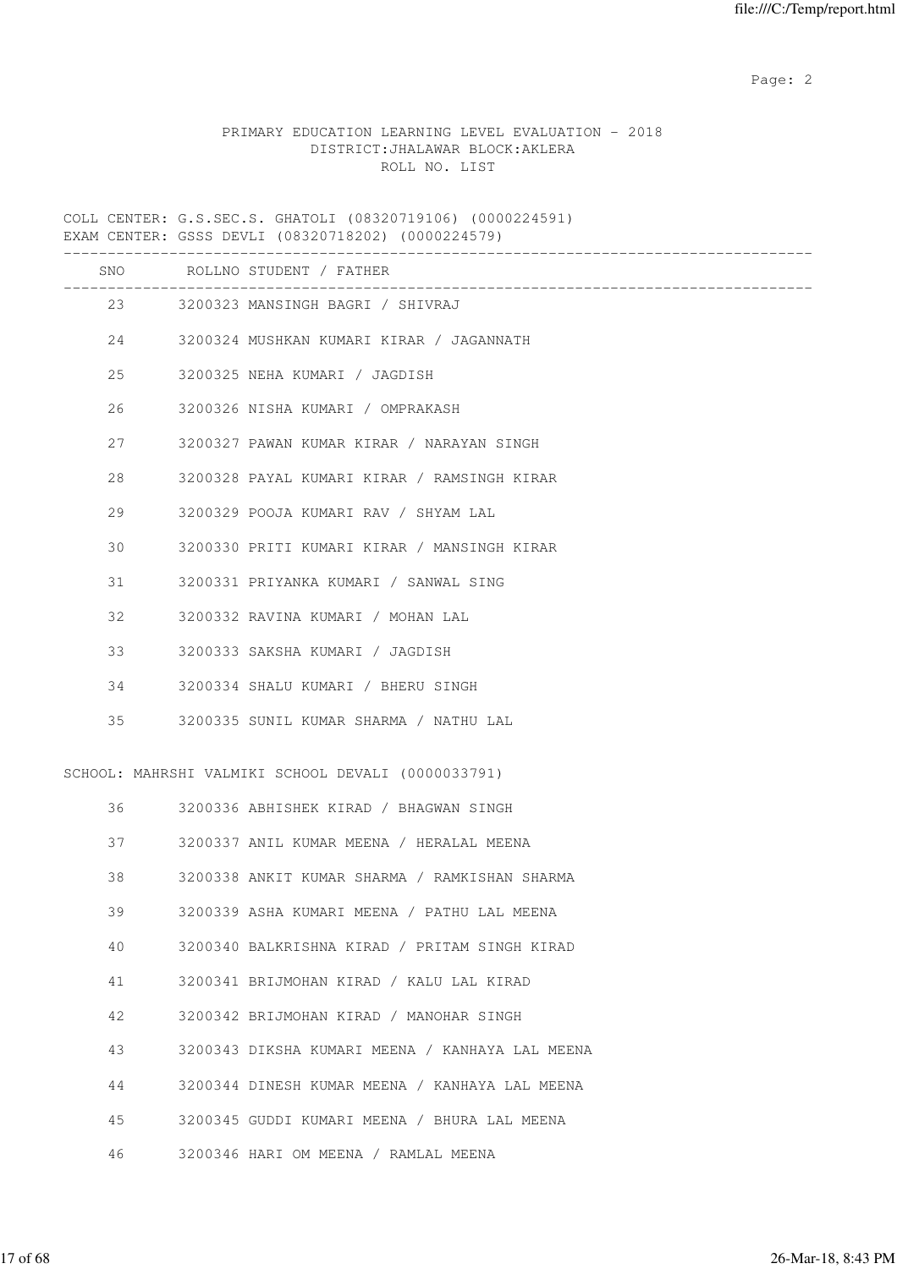# PRIMARY EDUCATION LEARNING LEVEL EVALUATION - 2018 DISTRICT:JHALAWAR BLOCK:AKLERA ROLL NO. LIST

COLL CENTER: G.S.SEC.S. GHATOLI (08320719106) (0000224591) EXAM CENTER: GSSS DEVLI (08320718202) (0000224579)

|    |        | SNO ROLLNO STUDENT / FATHER                        |
|----|--------|----------------------------------------------------|
|    |        | 23 3200323 MANSINGH BAGRI / SHIVRAJ                |
|    |        | 24 3200324 MUSHKAN KUMARI KIRAR / JAGANNATH        |
| 25 |        | 3200325 NEHA KUMARI / JAGDISH                      |
| 26 |        | 3200326 NISHA KUMARI / OMPRAKASH                   |
| 27 |        | 3200327 PAWAN KUMAR KIRAR / NARAYAN SINGH          |
| 28 |        | 3200328 PAYAL KUMARI KIRAR / RAMSINGH KIRAR        |
| 29 |        | 3200329 POOJA KUMARI RAV / SHYAM LAL               |
| 30 |        | 3200330 PRITI KUMARI KIRAR / MANSINGH KIRAR        |
| 31 |        | 3200331 PRIYANKA KUMARI / SANWAL SING              |
| 32 |        | 3200332 RAVINA KUMARI / MOHAN LAL                  |
| 33 |        | 3200333 SAKSHA KUMARI / JAGDISH                    |
| 34 |        | 3200334 SHALU KUMARI / BHERU SINGH                 |
| 35 |        | 3200335 SUNIL KUMAR SHARMA / NATHU LAL             |
|    |        | SCHOOL: MAHRSHI VALMIKI SCHOOL DEVALI (0000033791) |
|    | 36 — 1 | 3200336 ABHISHEK KIRAD / BHAGWAN SINGH             |
| 37 |        | 3200337 ANIL KUMAR MEENA / HERALAL MEENA           |
| 38 |        | 3200338 ANKIT KUMAR SHARMA / RAMKISHAN SHARMA      |
| 39 |        | 3200339 ASHA KUMARI MEENA / PATHU LAL MEENA        |
| 40 |        | 3200340 BALKRISHNA KIRAD / PRITAM SINGH KIRAD      |
| 41 |        | 3200341 BRIJMOHAN KIRAD / KALU LAL KIRAD           |
| 42 |        | 3200342 BRIJMOHAN KIRAD / MANOHAR SINGH            |
| 43 |        | 3200343 DIKSHA KUMARI MEENA / KANHAYA LAL MEENA    |
| 44 |        | 3200344 DINESH KUMAR MEENA / KANHAYA LAL MEENA     |
| 45 |        | 3200345 GUDDI KUMARI MEENA / BHURA LAL MEENA       |
| 46 |        | 3200346 HARI OM MEENA / RAMLAL MEENA               |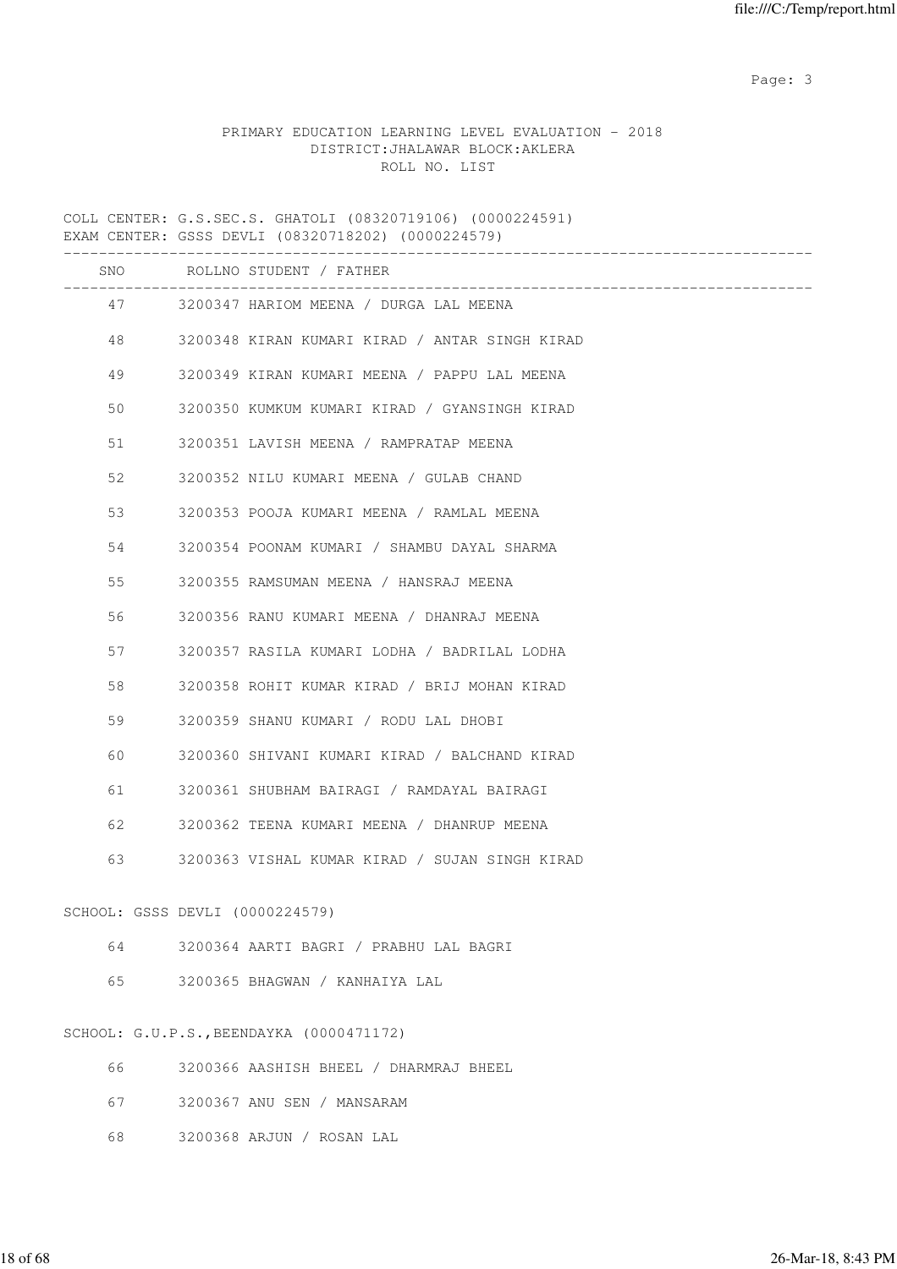# PRIMARY EDUCATION LEARNING LEVEL EVALUATION - 2018 DISTRICT:JHALAWAR BLOCK:AKLERA ROLL NO. LIST

COLL CENTER: G.S.SEC.S. GHATOLI (08320719106) (0000224591) EXAM CENTER: GSSS DEVLI (08320718202) (0000224579)

|    |                                 | SNO ROLLNO STUDENT / FATHER                    |
|----|---------------------------------|------------------------------------------------|
|    | 47 — 17                         | 3200347 HARIOM MEENA / DURGA LAL MEENA         |
|    | 48 — 18                         | 3200348 KIRAN KUMARI KIRAD / ANTAR SINGH KIRAD |
| 49 |                                 | 3200349 KIRAN KUMARI MEENA / PAPPU LAL MEENA   |
| 50 |                                 | 3200350 KUMKUM KUMARI KIRAD / GYANSINGH KIRAD  |
| 51 |                                 | 3200351 LAVISH MEENA / RAMPRATAP MEENA         |
| 52 |                                 | 3200352 NILU KUMARI MEENA / GULAB CHAND        |
| 53 |                                 | 3200353 POOJA KUMARI MEENA / RAMLAL MEENA      |
| 54 |                                 | 3200354 POONAM KUMARI / SHAMBU DAYAL SHARMA    |
| 55 |                                 | 3200355 RAMSUMAN MEENA / HANSRAJ MEENA         |
| 56 |                                 | 3200356 RANU KUMARI MEENA / DHANRAJ MEENA      |
| 57 |                                 | 3200357 RASILA KUMARI LODHA / BADRILAL LODHA   |
| 58 |                                 | 3200358 ROHIT KUMAR KIRAD / BRIJ MOHAN KIRAD   |
| 59 |                                 | 3200359 SHANU KUMARI / RODU LAL DHOBI          |
| 60 |                                 | 3200360 SHIVANI KUMARI KIRAD / BALCHAND KIRAD  |
|    | 61 — 10                         | 3200361 SHUBHAM BAIRAGI / RAMDAYAL BAIRAGI     |
|    | 62 6                            | 3200362 TEENA KUMARI MEENA / DHANRUP MEENA     |
| 63 |                                 | 3200363 VISHAL KUMAR KIRAD / SUJAN SINGH KIRAD |
|    | SCHOOL: GSSS DEVLI (0000224579) |                                                |
| 64 |                                 | 3200364 AARTI BAGRI / PRABHU LAL BAGRI         |
| 65 |                                 | 3200365 BHAGWAN / KANHAIYA LAL                 |
|    |                                 | SCHOOL: G.U.P.S., BEENDAYKA (0000471172)       |
| 66 |                                 | 3200366 AASHISH BHEEL / DHARMRAJ BHEEL         |
| 67 |                                 | 3200367 ANU SEN / MANSARAM                     |
| 68 |                                 | 3200368 ARJUN / ROSAN LAL                      |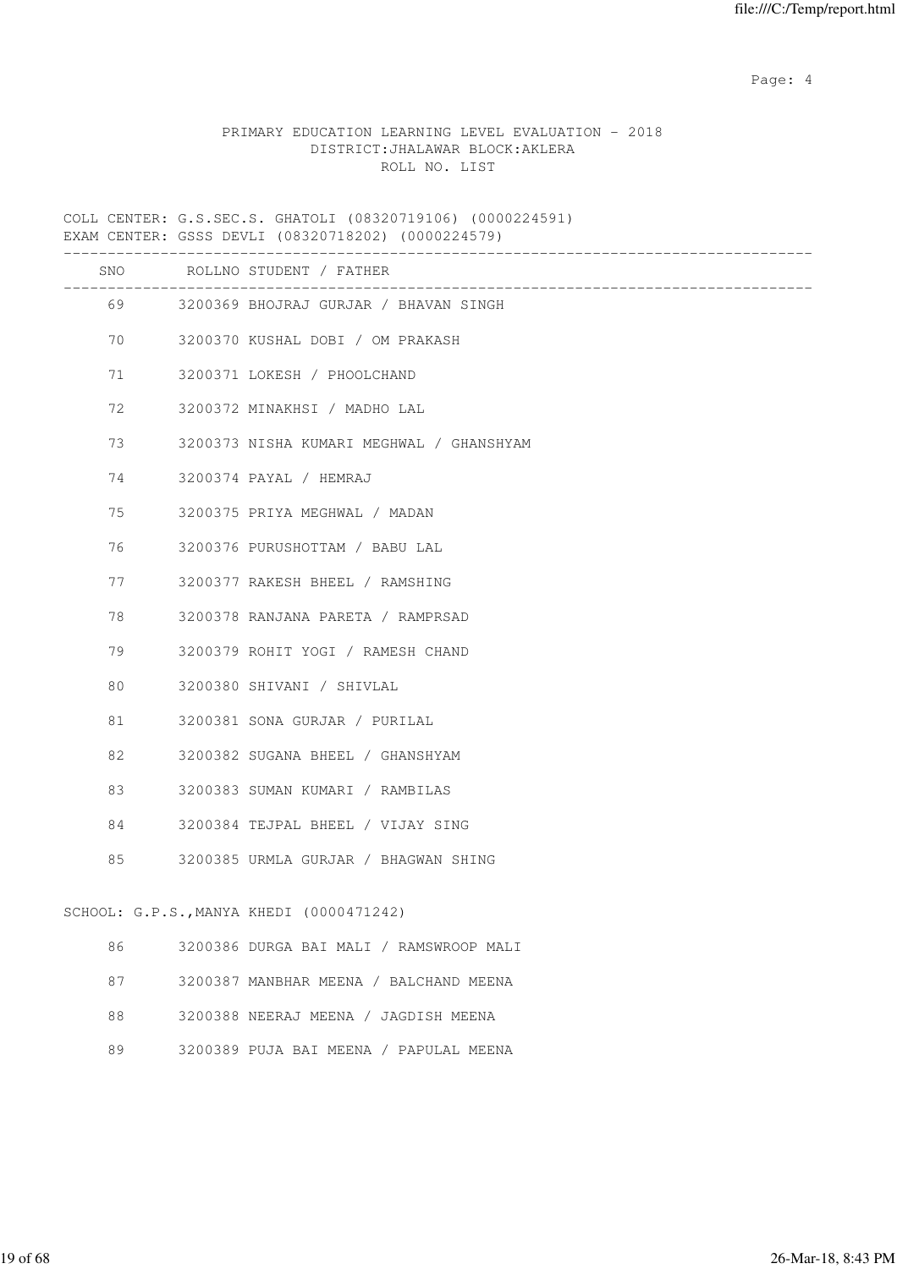Page: 4  $P$ 

# PRIMARY EDUCATION LEARNING LEVEL EVALUATION - 2018 DISTRICT:JHALAWAR BLOCK:AKLERA ROLL NO. LIST

COLL CENTER: G.S.SEC.S. GHATOLI (08320719106) (0000224591) EXAM CENTER: GSSS DEVLI (08320718202) (0000224579)

|    | SNO ROLLNO STUDENT / FATHER              |
|----|------------------------------------------|
|    | 69 3200369 BHOJRAJ GURJAR / BHAVAN SINGH |
| 70 | 3200370 KUSHAL DOBI / OM PRAKASH         |
| 71 | 3200371 LOKESH / PHOOLCHAND              |
| 72 | 3200372 MINAKHSI / MADHO LAL             |
| 73 | 3200373 NISHA KUMARI MEGHWAL / GHANSHYAM |
| 74 | 3200374 PAYAL / HEMRAJ                   |
| 75 | 3200375 PRIYA MEGHWAL / MADAN            |
| 76 | 3200376 PURUSHOTTAM / BABU LAL           |
| 77 | 3200377 RAKESH BHEEL / RAMSHING          |
| 78 | 3200378 RANJANA PARETA / RAMPRSAD        |
| 79 | 3200379 ROHIT YOGI / RAMESH CHAND        |
| 80 | 3200380 SHIVANI / SHIVLAL                |
| 81 | 3200381 SONA GURJAR / PURILAL            |
| 82 | 3200382 SUGANA BHEEL / GHANSHYAM         |
| 83 | 3200383 SUMAN KUMARI / RAMBILAS          |
| 84 | 3200384 TEJPAL BHEEL / VIJAY SING        |
| 85 | 3200385 URMLA GURJAR / BHAGWAN SHING     |
|    | SCHOOL: G.P.S., MANYA KHEDI (0000471242) |
| 86 | 3200386 DURGA BAI MALI / RAMSWROOP MALI  |
| 87 | 3200387 MANBHAR MEENA / BALCHAND MEENA   |
| 88 | 3200388 NEERAJ MEENA / JAGDISH MEENA     |
| 89 | 3200389 PUJA BAI MEENA / PAPULAL MEENA   |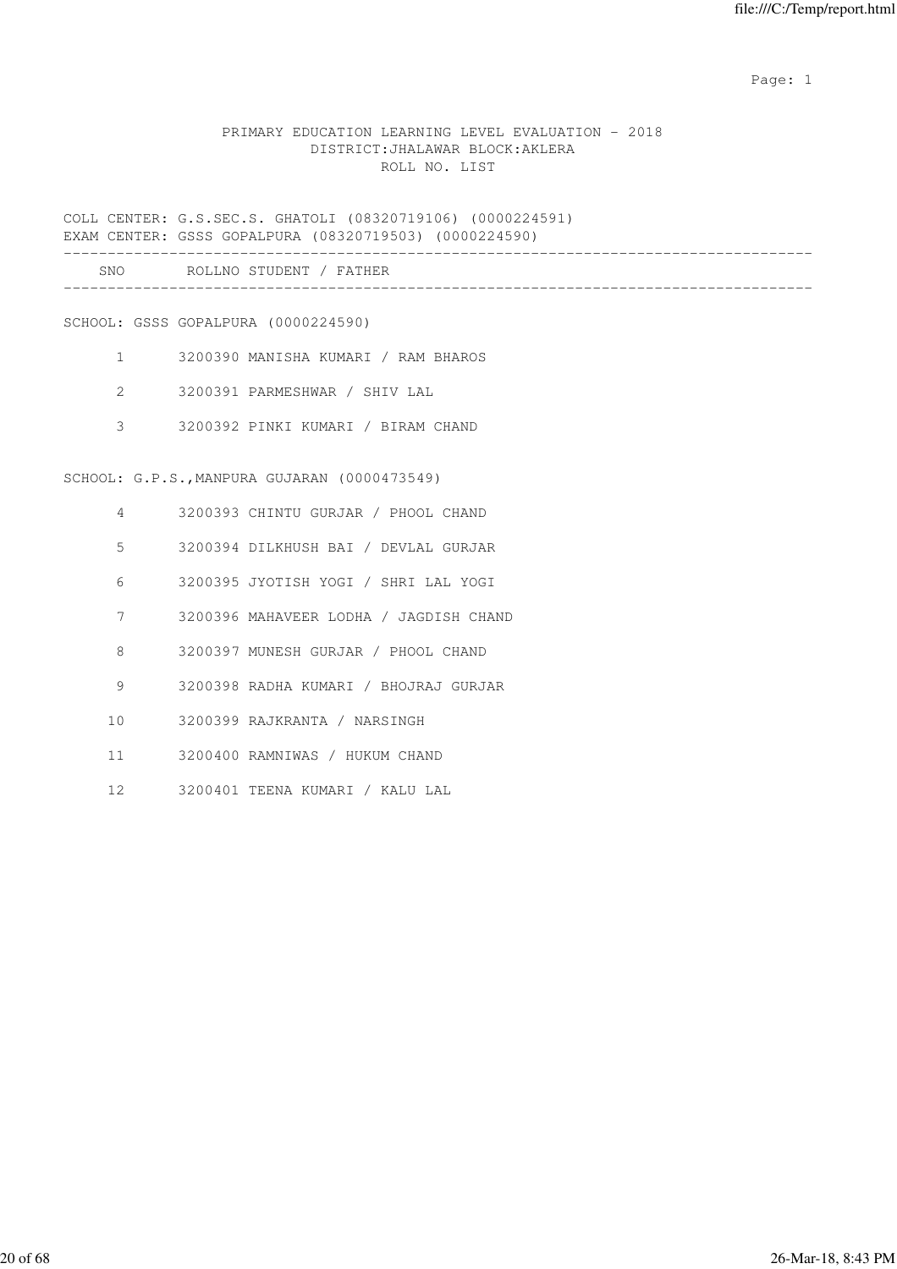# PRIMARY EDUCATION LEARNING LEVEL EVALUATION - 2018 DISTRICT:JHALAWAR BLOCK:AKLERA ROLL NO. LIST

COLL CENTER: G.S.SEC.S. GHATOLI (08320719106) (0000224591) EXAM CENTER: GSSS GOPALPURA (08320719503) (0000224590)

| SNC | ROT<br>LE NO | STUDENT / FAT | 14 H D |
|-----|--------------|---------------|--------|
|     |              |               |        |

SCHOOL: GSSS GOPALPURA (0000224590)

- 1 3200390 MANISHA KUMARI / RAM BHAROS
- 2 3200391 PARMESHWAR / SHIV LAL
- 3 3200392 PINKI KUMARI / BIRAM CHAND

SCHOOL: G.P.S.,MANPURA GUJARAN (0000473549)

- 4 3200393 CHINTU GURJAR / PHOOL CHAND
- 5 3200394 DILKHUSH BAI / DEVLAL GURJAR
- 6 3200395 JYOTISH YOGI / SHRI LAL YOGI
- 7 3200396 MAHAVEER LODHA / JAGDISH CHAND
- 8 3200397 MUNESH GURJAR / PHOOL CHAND
- 9 3200398 RADHA KUMARI / BHOJRAJ GURJAR
- 10 3200399 RAJKRANTA / NARSINGH
- 11 3200400 RAMNIWAS / HUKUM CHAND
- 12 3200401 TEENA KUMARI / KALU LAL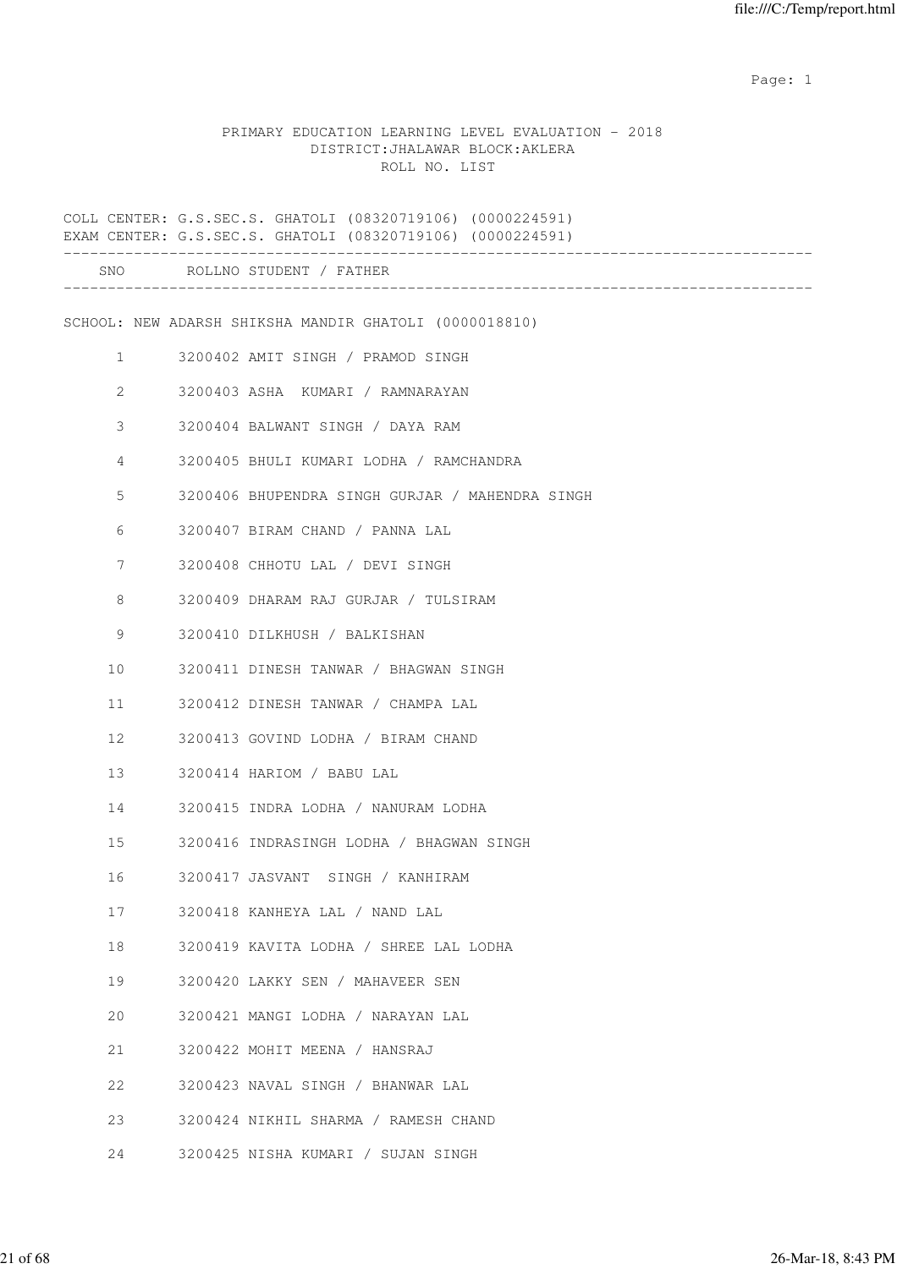## PRIMARY EDUCATION LEARNING LEVEL EVALUATION - 2018 DISTRICT:JHALAWAR BLOCK:AKLERA ROLL NO. LIST

|                   |                           | COLL CENTER: G.S.SEC.S. GHATOLI (08320719106) (0000224591)<br>EXAM CENTER: G.S.SEC.S. GHATOLI (08320719106) (0000224591) |
|-------------------|---------------------------|--------------------------------------------------------------------------------------------------------------------------|
|                   | ------------------------- | SNO ROLLNO STUDENT / FATHER                                                                                              |
|                   |                           | SCHOOL: NEW ADARSH SHIKSHA MANDIR GHATOLI (0000018810)                                                                   |
| $1 \qquad \qquad$ |                           | 3200402 AMIT SINGH / PRAMOD SINGH                                                                                        |
| $\overline{2}$    |                           | 3200403 ASHA KUMARI / RAMNARAYAN                                                                                         |
| 3                 |                           | 3200404 BALWANT SINGH / DAYA RAM                                                                                         |
| $\overline{4}$    |                           | 3200405 BHULI KUMARI LODHA / RAMCHANDRA                                                                                  |
| 5                 |                           | 3200406 BHUPENDRA SINGH GURJAR / MAHENDRA SINGH                                                                          |
| 6                 |                           | 3200407 BIRAM CHAND / PANNA LAL                                                                                          |
| 7                 |                           | 3200408 CHHOTU LAL / DEVI SINGH                                                                                          |
| 8                 |                           | 3200409 DHARAM RAJ GURJAR / TULSIRAM                                                                                     |
| 9                 |                           | 3200410 DILKHUSH / BALKISHAN                                                                                             |
| 10                |                           | 3200411 DINESH TANWAR / BHAGWAN SINGH                                                                                    |
| 11                |                           | 3200412 DINESH TANWAR / CHAMPA LAL                                                                                       |
| $12 \overline{ }$ |                           | 3200413 GOVIND LODHA / BIRAM CHAND                                                                                       |
| 13                |                           | 3200414 HARIOM / BABU LAL                                                                                                |
| 14                |                           | 3200415 INDRA LODHA / NANURAM LODHA                                                                                      |
| 15                |                           | 3200416 INDRASINGH LODHA / BHAGWAN SINGH                                                                                 |
| 16                |                           | 3200417 JASVANT SINGH / KANHIRAM                                                                                         |
| 17                |                           | 3200418 KANHEYA LAL / NAND LAL                                                                                           |
| 18                |                           | 3200419 KAVITA LODHA / SHREE LAL LODHA                                                                                   |
| 19                |                           | 3200420 LAKKY SEN / MAHAVEER SEN                                                                                         |
| 20                |                           | 3200421 MANGI LODHA / NARAYAN LAL                                                                                        |
| 21                |                           | 3200422 MOHIT MEENA / HANSRAJ                                                                                            |
| 22                |                           | 3200423 NAVAL SINGH / BHANWAR LAL                                                                                        |
| 23                |                           | 3200424 NIKHIL SHARMA / RAMESH CHAND                                                                                     |
| 24                |                           | 3200425 NISHA KUMARI / SUJAN SINGH                                                                                       |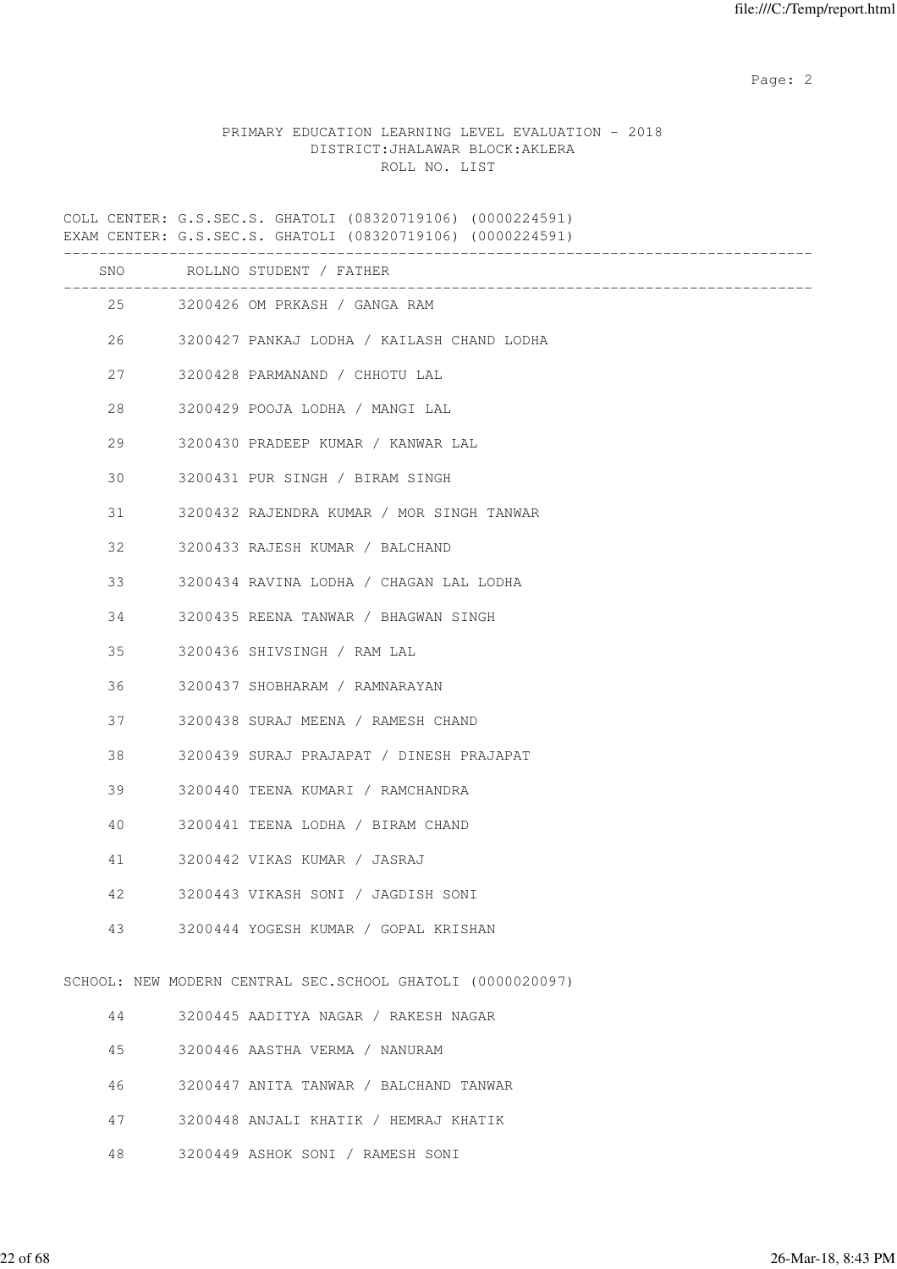# PRIMARY EDUCATION LEARNING LEVEL EVALUATION - 2018 DISTRICT:JHALAWAR BLOCK:AKLERA ROLL NO. LIST

COLL CENTER: G.S.SEC.S. GHATOLI (08320719106) (0000224591) EXAM CENTER: G.S.SEC.S. GHATOLI (08320719106) (0000224591) -------------------------------------------------------------------------------------

| SNO |    | ROLLNO STUDENT / FATHER                                    |
|-----|----|------------------------------------------------------------|
|     | 25 | 3200426 OM PRKASH / GANGA RAM                              |
| 26  |    | 3200427 PANKAJ LODHA / KAILASH CHAND LODHA                 |
| 27  |    | 3200428 PARMANAND / CHHOTU LAL                             |
| 28  |    | 3200429 POOJA LODHA / MANGI LAL                            |
| 29  |    | 3200430 PRADEEP KUMAR / KANWAR LAL                         |
| 30  |    | 3200431 PUR SINGH / BIRAM SINGH                            |
| 31  |    | 3200432 RAJENDRA KUMAR / MOR SINGH TANWAR                  |
| 32  |    | 3200433 RAJESH KUMAR / BALCHAND                            |
| 33  |    | 3200434 RAVINA LODHA / CHAGAN LAL LODHA                    |
| 34  |    | 3200435 REENA TANWAR / BHAGWAN SINGH                       |
| 35  |    | 3200436 SHIVSINGH / RAM LAL                                |
| 36  |    | 3200437 SHOBHARAM / RAMNARAYAN                             |
| 37  |    | 3200438 SURAJ MEENA / RAMESH CHAND                         |
| 38  |    | 3200439 SURAJ PRAJAPAT / DINESH PRAJAPAT                   |
| 39  |    | 3200440 TEENA KUMARI / RAMCHANDRA                          |
| 40  |    | 3200441 TEENA LODHA / BIRAM CHAND                          |
| 41  |    | 3200442 VIKAS KUMAR / JASRAJ                               |
| 42  |    | 3200443 VIKASH SONI / JAGDISH SONI                         |
| 43  |    | 3200444 YOGESH KUMAR / GOPAL KRISHAN                       |
|     |    | SCHOOL: NEW MODERN CENTRAL SEC.SCHOOL GHATOLI (0000020097) |
| 44  |    | 3200445 AADITYA NAGAR / RAKESH NAGAR                       |
| 45  |    | 3200446 AASTHA VERMA / NANURAM                             |
| 46  |    | 3200447 ANITA TANWAR / BALCHAND TANWAR                     |
| 47  |    | 3200448 ANJALI KHATIK / HEMRAJ KHATIK                      |
| 48  |    | 3200449 ASHOK SONI / RAMESH SONI                           |
|     |    |                                                            |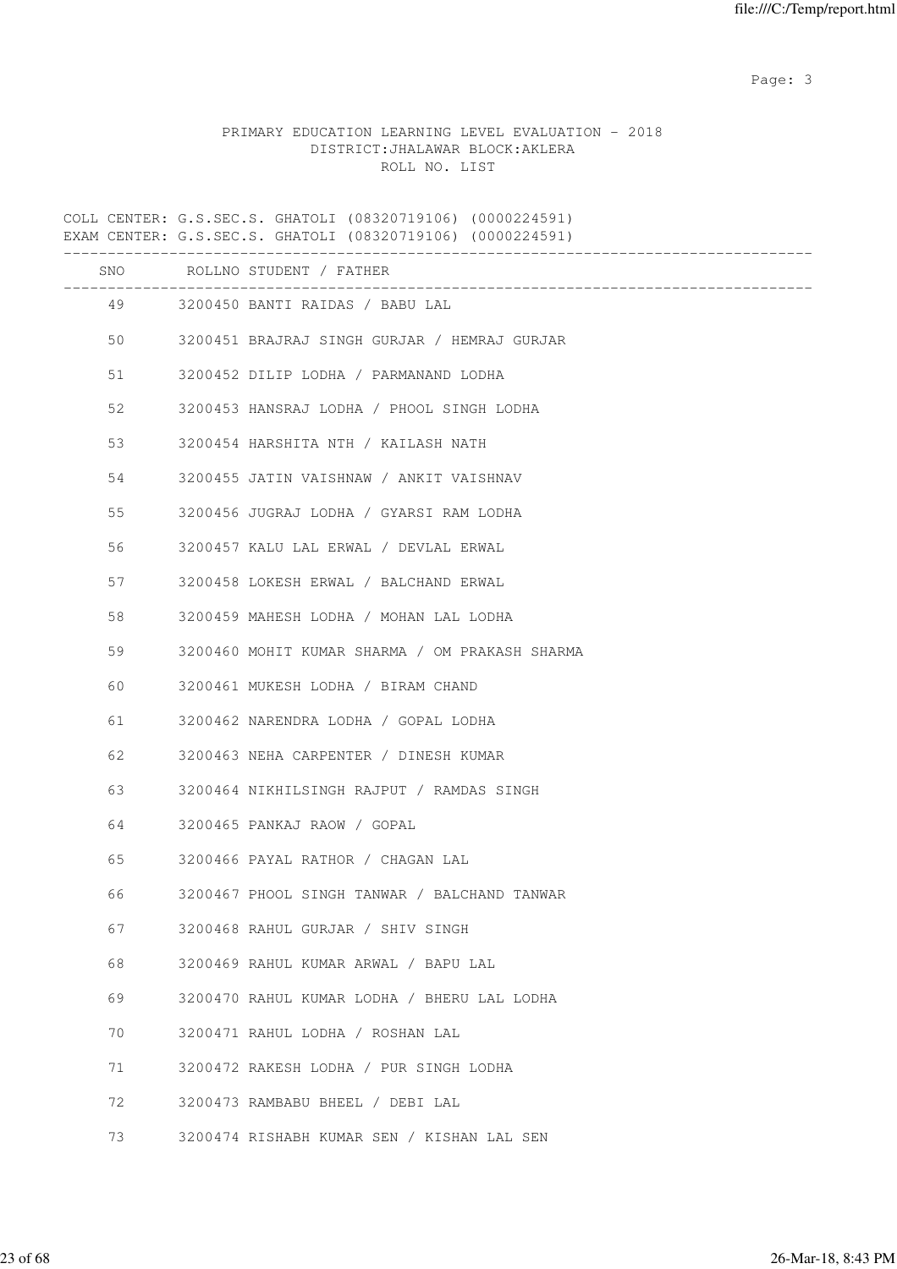# PRIMARY EDUCATION LEARNING LEVEL EVALUATION - 2018 DISTRICT:JHALAWAR BLOCK:AKLERA ROLL NO. LIST

COLL CENTER: G.S.SEC.S. GHATOLI (08320719106) (0000224591) EXAM CENTER: G.S.SEC.S. GHATOLI (08320719106) (0000224591) -------------------------------------------------------------------------------------

| SNO |         | ROLLNO STUDENT / FATHER                        |
|-----|---------|------------------------------------------------|
|     | 49 — 10 | 3200450 BANTI RAIDAS / BABU LAL                |
|     | 50      | 3200451 BRAJRAJ SINGH GURJAR / HEMRAJ GURJAR   |
| 51  |         | 3200452 DILIP LODHA / PARMANAND LODHA          |
| 52  |         | 3200453 HANSRAJ LODHA / PHOOL SINGH LODHA      |
| 53  |         | 3200454 HARSHITA NTH / KAILASH NATH            |
|     | 54      | 3200455 JATIN VAISHNAW / ANKIT VAISHNAV        |
|     | 55      | 3200456 JUGRAJ LODHA / GYARSI RAM LODHA        |
|     | 56      | 3200457 KALU LAL ERWAL / DEVLAL ERWAL          |
|     | 57      | 3200458 LOKESH ERWAL / BALCHAND ERWAL          |
|     | 58      | 3200459 MAHESH LODHA / MOHAN LAL LODHA         |
|     | 59      | 3200460 MOHIT KUMAR SHARMA / OM PRAKASH SHARMA |
|     | 60      | 3200461 MUKESH LODHA / BIRAM CHAND             |
| 61  |         | 3200462 NARENDRA LODHA / GOPAL LODHA           |
| 62  |         | 3200463 NEHA CARPENTER / DINESH KUMAR          |
| 63  |         | 3200464 NIKHILSINGH RAJPUT / RAMDAS SINGH      |
|     | 64      | 3200465 PANKAJ RAOW / GOPAL                    |
| 65  |         | 3200466 PAYAL RATHOR / CHAGAN LAL              |
| 66  |         | 3200467 PHOOL SINGH TANWAR / BALCHAND TANWAR   |
| 67  |         | 3200468 RAHUL GURJAR / SHIV SINGH              |
|     | 68      | 3200469 RAHUL KUMAR ARWAL / BAPU LAL           |
| 69  |         | 3200470 RAHUL KUMAR LODHA / BHERU LAL LODHA    |
|     | 70      | 3200471 RAHUL LODHA / ROSHAN LAL               |
| 71  |         | 3200472 RAKESH LODHA / PUR SINGH LODHA         |
| 72  |         | 3200473 RAMBABU BHEEL / DEBI LAL               |
| 73  |         | 3200474 RISHABH KUMAR SEN / KISHAN LAL SEN     |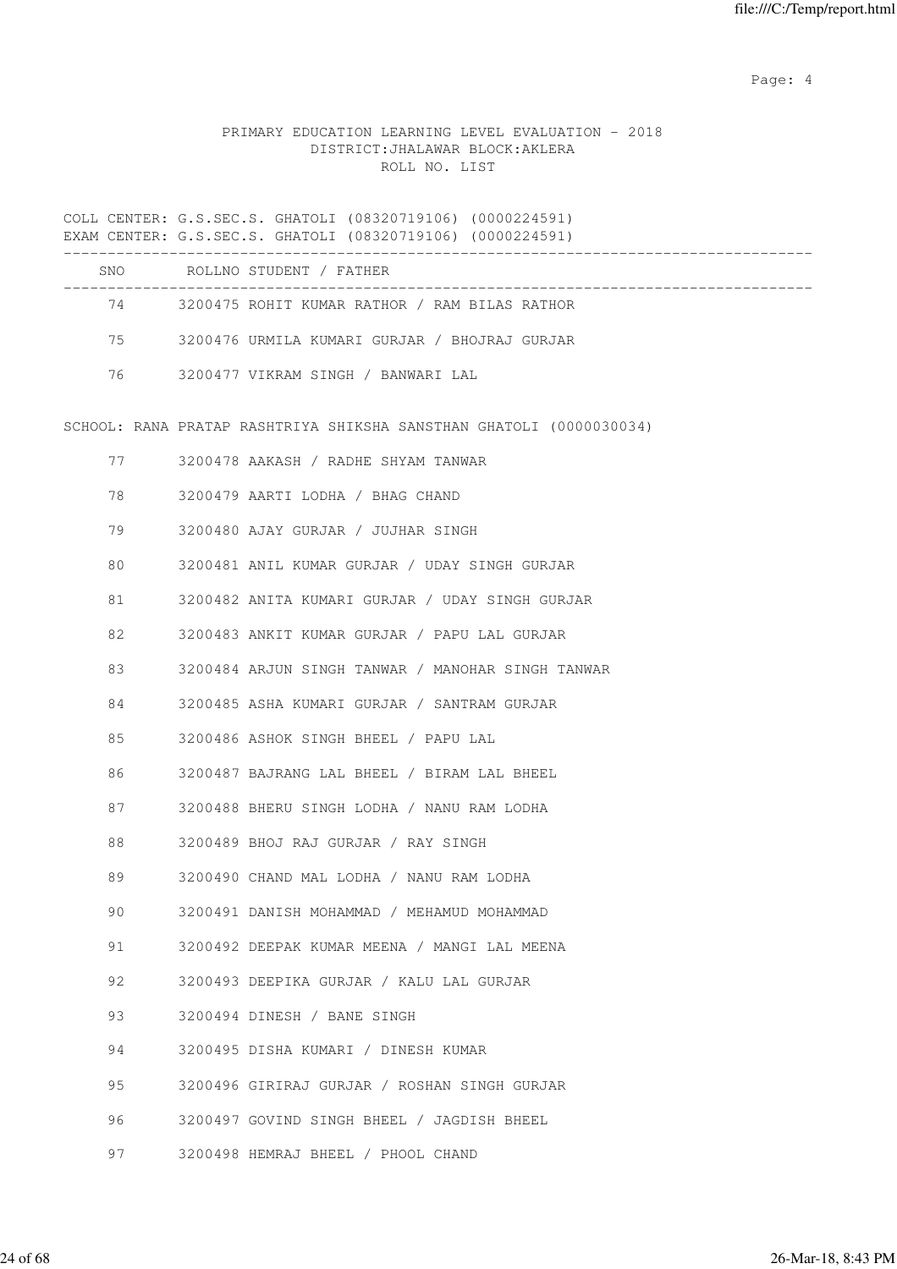Page: 4  $P$ 

# PRIMARY EDUCATION LEARNING LEVEL EVALUATION - 2018 DISTRICT:JHALAWAR BLOCK:AKLERA ROLL NO. LIST

|         | COLL CENTER: G.S.SEC.S. GHATOLI (08320719106) (0000224591)<br>EXAM CENTER: G.S.SEC.S. GHATOLI (08320719106) (0000224591) |
|---------|--------------------------------------------------------------------------------------------------------------------------|
|         | SNO ROLLNO STUDENT / FATHER                                                                                              |
|         | 74 3200475 ROHIT KUMAR RATHOR / RAM BILAS RATHOR                                                                         |
| 75 — 17 | 3200476 URMILA KUMARI GURJAR / BHOJRAJ GURJAR                                                                            |
| 76      | 3200477 VIKRAM SINGH / BANWARI LAL                                                                                       |
|         | SCHOOL: RANA PRATAP RASHTRIYA SHIKSHA SANSTHAN GHATOLI (0000030034)                                                      |
| 77      | 3200478 AAKASH / RADHE SHYAM TANWAR                                                                                      |
| 78      | 3200479 AARTI LODHA / BHAG CHAND                                                                                         |
| 79      | 3200480 AJAY GURJAR / JUJHAR SINGH                                                                                       |
| 80      | 3200481 ANIL KUMAR GURJAR / UDAY SINGH GURJAR                                                                            |
| 81      | 3200482 ANITA KUMARI GURJAR / UDAY SINGH GURJAR                                                                          |
| 82      | 3200483 ANKIT KUMAR GURJAR / PAPU LAL GURJAR                                                                             |
| 83      | 3200484 ARJUN SINGH TANWAR / MANOHAR SINGH TANWAR                                                                        |
| 84      | 3200485 ASHA KUMARI GURJAR / SANTRAM GURJAR                                                                              |
| 85      | 3200486 ASHOK SINGH BHEEL / PAPU LAL                                                                                     |
| 86      | 3200487 BAJRANG LAL BHEEL / BIRAM LAL BHEEL                                                                              |
| 87      | 3200488 BHERU SINGH LODHA / NANU RAM LODHA                                                                               |
| 88      | 3200489 BHOJ RAJ GURJAR / RAY SINGH                                                                                      |
| 89      | 3200490 CHAND MAL LODHA / NANU RAM LODHA                                                                                 |
| 90      | 3200491 DANISH MOHAMMAD / MEHAMUD MOHAMMAD                                                                               |
| 91      | 3200492 DEEPAK KUMAR MEENA / MANGI LAL MEENA                                                                             |
| 92      | 3200493 DEEPIKA GURJAR / KALU LAL GURJAR                                                                                 |
| 93      | 3200494 DINESH / BANE SINGH                                                                                              |
| 94      | 3200495 DISHA KUMARI / DINESH KUMAR                                                                                      |
| 95      | 3200496 GIRIRAJ GURJAR / ROSHAN SINGH GURJAR                                                                             |
| 96      | 3200497 GOVIND SINGH BHEEL / JAGDISH BHEEL                                                                               |
| 97      | 3200498 HEMRAJ BHEEL / PHOOL CHAND                                                                                       |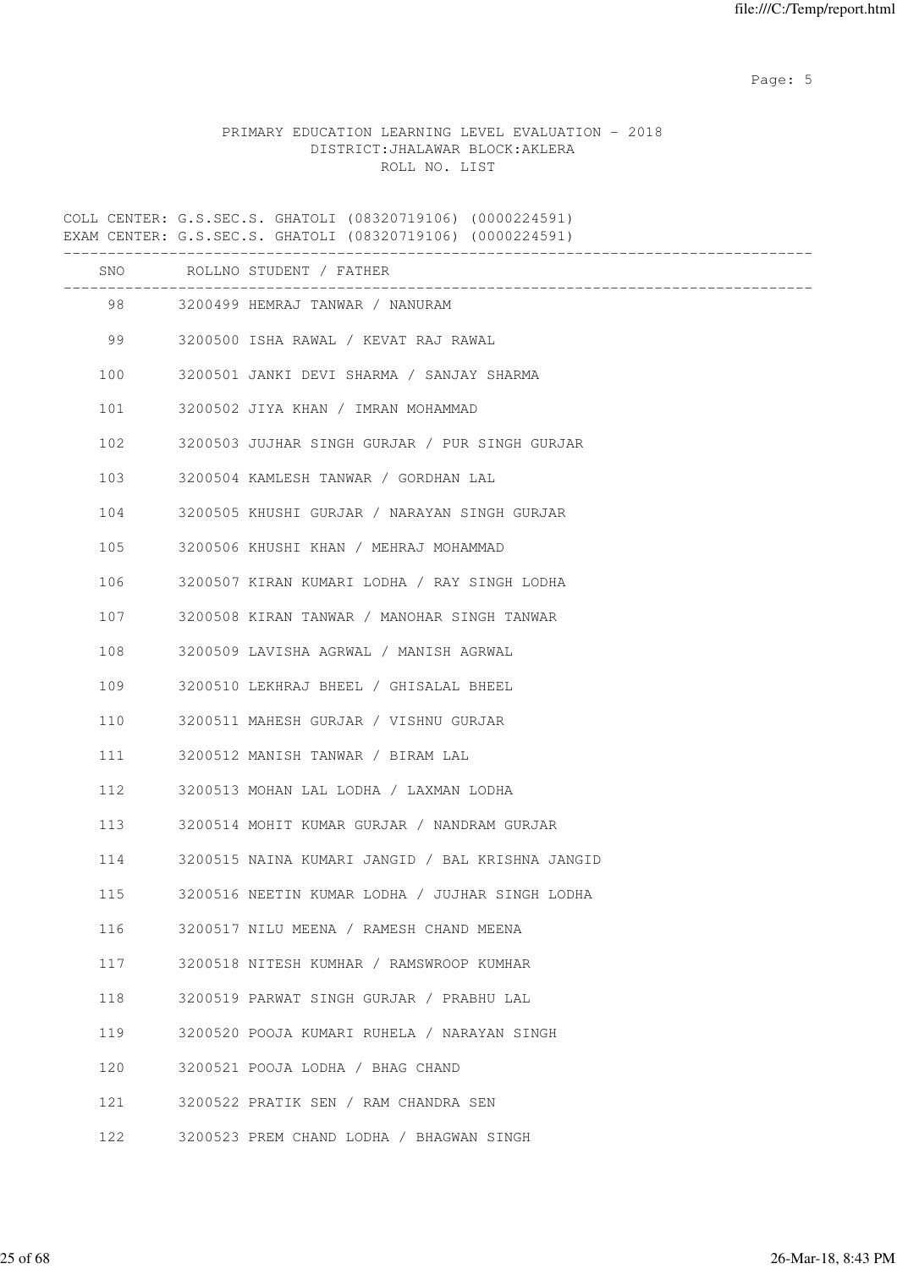Page: 5  $P$  and  $P$  and  $P$  and  $P$  and  $P$  and  $P$  and  $P$  and  $P$  and  $P$  and  $P$  and  $P$  and  $P$  and  $P$  and  $P$  and  $P$  and  $P$  and  $P$  and  $P$  and  $P$  and  $P$  and  $P$  and  $P$  and  $P$  and  $P$  and  $P$  and  $P$  and  $P$  an

# PRIMARY EDUCATION LEARNING LEVEL EVALUATION - 2018 DISTRICT:JHALAWAR BLOCK:AKLERA ROLL NO. LIST

COLL CENTER: G.S.SEC.S. GHATOLI (08320719106) (0000224591) EXAM CENTER: G.S.SEC.S. GHATOLI (08320719106) (0000224591) ------------------------------------------------------------------------------------- SNO ROLLNO STUDENT / FATHER ------------------------------------------------------------------------------------- 98 3200499 HEMRAJ TANWAR / NANURAM 99 3200500 ISHA RAWAL / KEVAT RAJ RAWAL 100 3200501 JANKI DEVI SHARMA / SANJAY SHARMA 101 3200502 JIYA KHAN / IMRAN MOHAMMAD 102 3200503 JUJHAR SINGH GURJAR / PUR SINGH GURJAR 103 3200504 KAMLESH TANWAR / GORDHAN LAL 104 3200505 KHUSHI GURJAR / NARAYAN SINGH GURJAR 105 3200506 KHUSHI KHAN / MEHRAJ MOHAMMAD 106 3200507 KIRAN KUMARI LODHA / RAY SINGH LODHA 107 3200508 KIRAN TANWAR / MANOHAR SINGH TANWAR 108 3200509 LAVISHA AGRWAL / MANISH AGRWAL 109 3200510 LEKHRAJ BHEEL / GHISALAL BHEEL 110 3200511 MAHESH GURJAR / VISHNU GURJAR 111 3200512 MANISH TANWAR / BIRAM LAL 112 3200513 MOHAN LAL LODHA / LAXMAN LODHA 113 3200514 MOHIT KUMAR GURJAR / NANDRAM GURJAR 114 3200515 NAINA KUMARI JANGID / BAL KRISHNA JANGID 115 3200516 NEETIN KUMAR LODHA / JUJHAR SINGH LODHA 116 3200517 NILU MEENA / RAMESH CHAND MEENA 117 3200518 NITESH KUMHAR / RAMSWROOP KUMHAR 118 3200519 PARWAT SINGH GURJAR / PRABHU LAL 119 3200520 POOJA KUMARI RUHELA / NARAYAN SINGH 120 3200521 POOJA LODHA / BHAG CHAND 121 3200522 PRATIK SEN / RAM CHANDRA SEN 122 3200523 PREM CHAND LODHA / BHAGWAN SINGH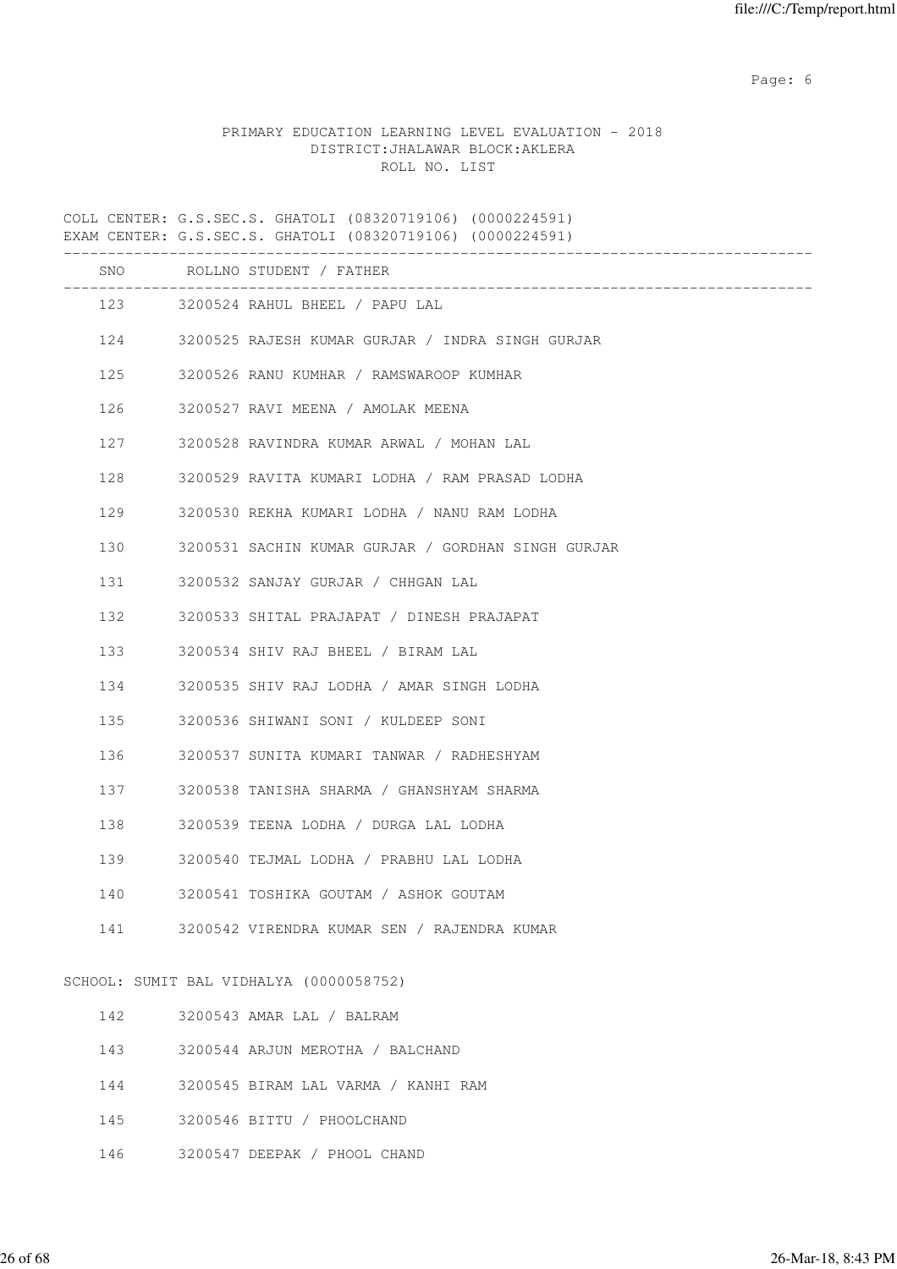Page: 6  $P$  and  $P$  and  $P$  and  $P$  and  $P$  and  $P$  and  $P$  and  $P$  and  $P$  and  $P$  and  $P$  and  $P$  and  $P$  and  $P$  and  $P$  and  $P$  and  $P$  and  $P$  and  $P$  and  $P$  and  $P$  and  $P$  and  $P$  and  $P$  and  $P$  and  $P$  and  $P$  an

# PRIMARY EDUCATION LEARNING LEVEL EVALUATION - 2018 DISTRICT:JHALAWAR BLOCK:AKLERA ROLL NO. LIST

COLL CENTER: G.S.SEC.S. GHATOLI (08320719106) (0000224591) EXAM CENTER: G.S.SEC.S. GHATOLI (08320719106) (0000224591)

|     |     | SNO ROLLNO STUDENT / FATHER                                          |
|-----|-----|----------------------------------------------------------------------|
|     |     | ------------------------------<br>123 3200524 RAHUL BHEEL / PAPU LAL |
|     |     | 124 3200525 RAJESH KUMAR GURJAR / INDRA SINGH GURJAR                 |
| 125 |     | 3200526 RANU KUMHAR / RAMSWAROOP KUMHAR                              |
| 126 |     | 3200527 RAVI MEENA / AMOLAK MEENA                                    |
|     | 127 | 3200528 RAVINDRA KUMAR ARWAL / MOHAN LAL                             |
| 128 |     | 3200529 RAVITA KUMARI LODHA / RAM PRASAD LODHA                       |
| 129 |     | 3200530 REKHA KUMARI LODHA / NANU RAM LODHA                          |
| 130 |     | 3200531 SACHIN KUMAR GURJAR / GORDHAN SINGH GURJAR                   |
| 131 |     | 3200532 SANJAY GURJAR / CHHGAN LAL                                   |
| 132 |     | 3200533 SHITAL PRAJAPAT / DINESH PRAJAPAT                            |
| 133 |     | 3200534 SHIV RAJ BHEEL / BIRAM LAL                                   |
| 134 |     | 3200535 SHIV RAJ LODHA / AMAR SINGH LODHA                            |
| 135 |     | 3200536 SHIWANI SONI / KULDEEP SONI                                  |
| 136 |     | 3200537 SUNITA KUMARI TANWAR / RADHESHYAM                            |
|     |     | 137 3200538 TANISHA SHARMA / GHANSHYAM SHARMA                        |
| 138 |     | 3200539 TEENA LODHA / DURGA LAL LODHA                                |
| 139 |     | 3200540 TEJMAL LODHA / PRABHU LAL LODHA                              |
| 140 |     | 3200541 TOSHIKA GOUTAM / ASHOK GOUTAM                                |
| 141 |     | 3200542 VIRENDRA KUMAR SEN / RAJENDRA KUMAR                          |
|     |     | SCHOOL: SUMIT BAL VIDHALYA (0000058752)                              |
| 142 |     | 3200543 AMAR LAL / BALRAM                                            |
| 143 |     | 3200544 ARJUN MEROTHA / BALCHAND                                     |

- 144 3200545 BIRAM LAL VARMA / KANHI RAM
- 145 3200546 BITTU / PHOOLCHAND
- 146 3200547 DEEPAK / PHOOL CHAND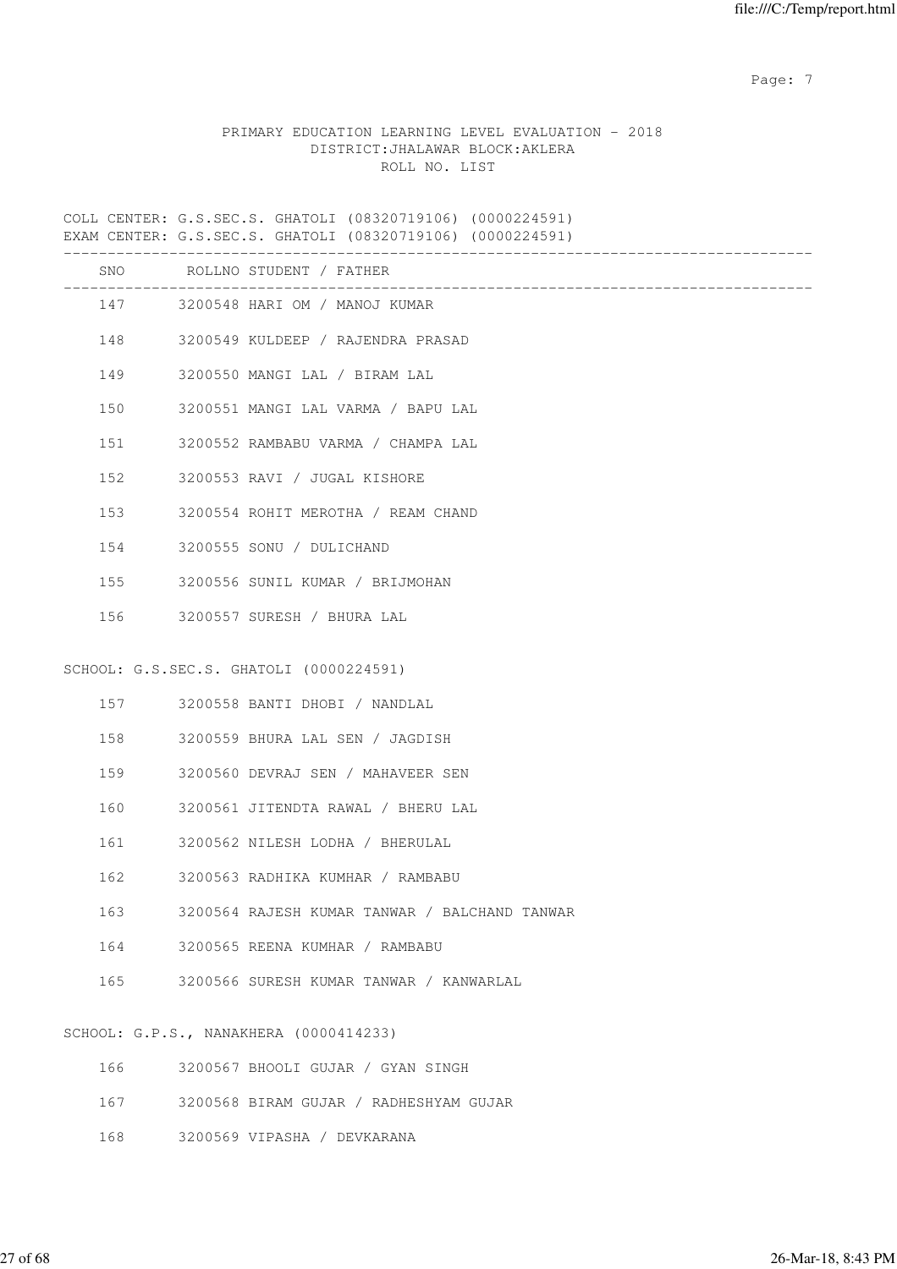Page: 7  $P$  and  $P$  and  $P$  and  $P$  and  $P$  and  $P$  and  $P$  and  $P$  and  $P$  and  $P$  and  $P$  and  $P$  and  $P$  and  $P$  and  $P$  and  $P$  and  $P$  and  $P$  and  $P$  and  $P$  and  $P$  and  $P$  and  $P$  and  $P$  and  $P$  and  $P$  and  $P$  an

# PRIMARY EDUCATION LEARNING LEVEL EVALUATION - 2018 DISTRICT:JHALAWAR BLOCK:AKLERA ROLL NO. LIST

COLL CENTER: G.S.SEC.S. GHATOLI (08320719106) (0000224591) EXAM CENTER: G.S.SEC.S. GHATOLI (08320719106) (0000224591)

| SNO     |     | ROLLNO STUDENT / FATHER                       |
|---------|-----|-----------------------------------------------|
|         |     | 147 3200548 HARI OM / MANOJ KUMAR             |
|         |     | 148 3200549 KULDEEP / RAJENDRA PRASAD         |
|         |     | 149 3200550 MANGI LAL / BIRAM LAL             |
| 150     |     | 3200551 MANGI LAL VARMA / BAPU LAL            |
| 151     |     | 3200552 RAMBABU VARMA / CHAMPA LAL            |
|         | 152 | 3200553 RAVI / JUGAL KISHORE                  |
|         |     | 153 3200554 ROHIT MEROTHA / REAM CHAND        |
|         |     | 154 3200555 SONU / DULICHAND                  |
|         |     | 155 3200556 SUNIL KUMAR / BRIJMOHAN           |
|         |     | 156 3200557 SURESH / BHURA LAL                |
|         |     |                                               |
|         |     | SCHOOL: G.S.SEC.S. GHATOLI (0000224591)       |
|         |     | 157 3200558 BANTI DHOBI / NANDLAL             |
| 158     |     | 3200559 BHURA LAL SEN / JAGDISH               |
|         |     | 159 3200560 DEVRAJ SEN / MAHAVEER SEN         |
| 160     |     | 3200561 JITENDTA RAWAL / BHERU LAL            |
| 161     |     | 3200562 NILESH LODHA / BHERULAL               |
| 162     |     | 3200563 RADHIKA KUMHAR / RAMBABU              |
| 163     |     | 3200564 RAJESH KUMAR TANWAR / BALCHAND TANWAR |
|         |     | 164 3200565 REENA KUMHAR / RAMBABU            |
| 165     |     | 3200566 SURESH KUMAR TANWAR / KANWARLAL       |
| ------- |     |                                               |

SCHOOL: G.P.S., NANAKHERA (0000414233)

| 166 | 3200567 BHOOLI GUJAR / GYAN SINGH      |
|-----|----------------------------------------|
| 167 | 3200568 BIRAM GUJAR / RADHESHYAM GUJAR |
| 168 | 3200569 VIPASHA / DEVKARANA            |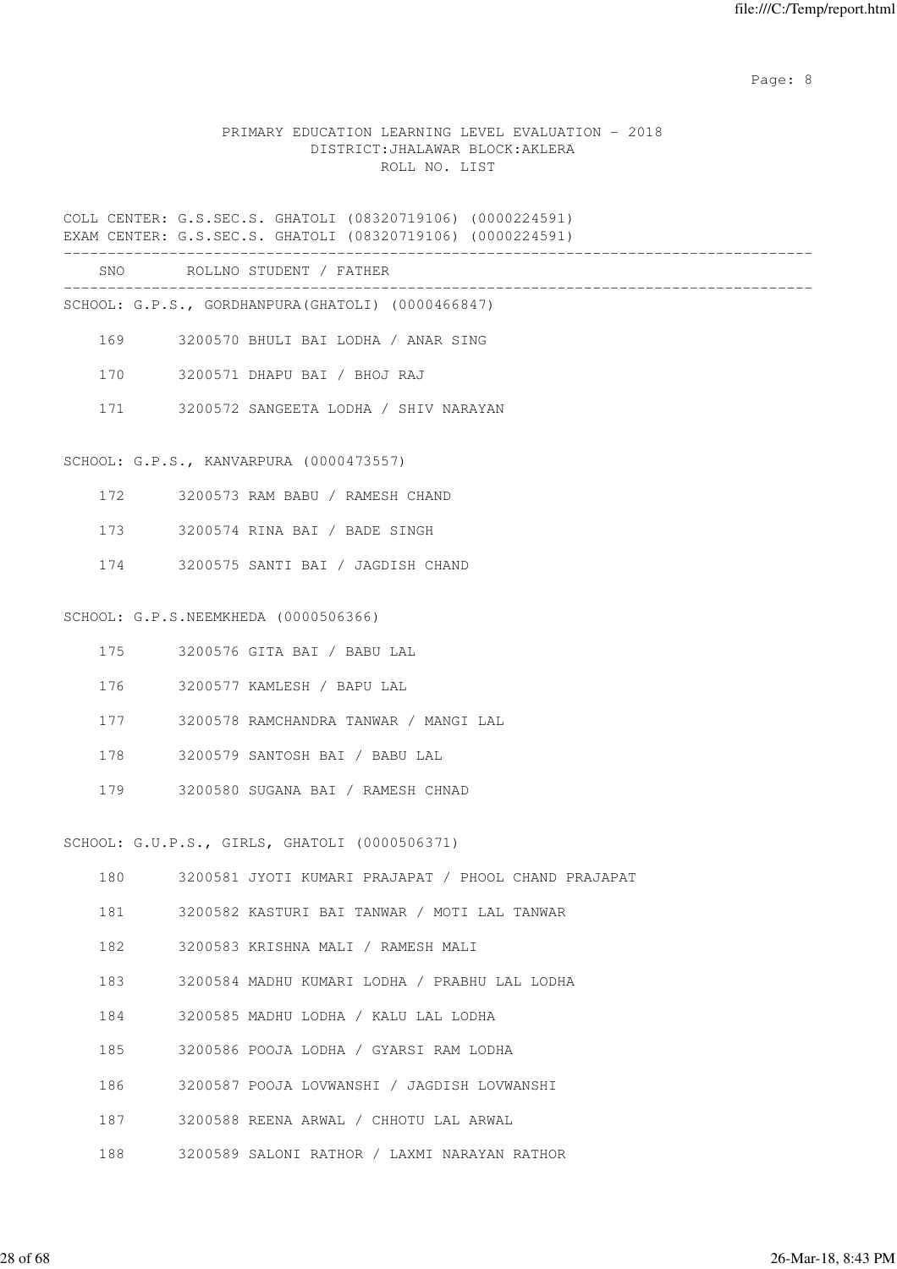en de la provincia de la provincia de la provincia de la provincia de la provincia de la provincia de la provi

#### PRIMARY EDUCATION LEARNING LEVEL EVALUATION - 2018 DISTRICT:JHALAWAR BLOCK:AKLERA ROLL NO. LIST

COLL CENTER: G.S.SEC.S. GHATOLI (08320719106) (0000224591) EXAM CENTER: G.S.SEC.S. GHATOLI (08320719106) (0000224591)

-------------------------------------------------------------------------------------

 SNO ROLLNO STUDENT / FATHER -------------------------------------------------------------------------------------

- SCHOOL: G.P.S., GORDHANPURA(GHATOLI) (0000466847)
	- 169 3200570 BHULI BAI LODHA / ANAR SING
	- 170 3200571 DHAPU BAI / BHOJ RAJ
	- 171 3200572 SANGEETA LODHA / SHIV NARAYAN

#### SCHOOL: G.P.S., KANVARPURA (0000473557)

- 172 3200573 RAM BABU / RAMESH CHAND
- 173 3200574 RINA BAI / BADE SINGH
- 174 3200575 SANTI BAI / JAGDISH CHAND

#### SCHOOL: G.P.S.NEEMKHEDA (0000506366)

- 175 3200576 GITA BAI / BABU LAL
- 176 3200577 KAMLESH / BAPU LAL
- 177 3200578 RAMCHANDRA TANWAR / MANGI LAL
- 178 3200579 SANTOSH BAI / BABU LAL
- 179 3200580 SUGANA BAI / RAMESH CHNAD

SCHOOL: G.U.P.S., GIRLS, GHATOLI (0000506371)

|  |  |  |  |  | 3200581 JYOTI KUMARI PRAJAPAT / PHOOL CHAND PRAJAPAT |  |  |  |  |  |
|--|--|--|--|--|------------------------------------------------------|--|--|--|--|--|
|--|--|--|--|--|------------------------------------------------------|--|--|--|--|--|

- 181 3200582 KASTURI BAI TANWAR / MOTI LAL TANWAR
- 182 3200583 KRISHNA MALI / RAMESH MALI
- 183 3200584 MADHU KUMARI LODHA / PRABHU LAL LODHA
- 184 3200585 MADHU LODHA / KALU LAL LODHA
- 185 3200586 POOJA LODHA / GYARSI RAM LODHA
- 186 3200587 POOJA LOVWANSHI / JAGDISH LOVWANSHI
- 187 3200588 REENA ARWAL / CHHOTU LAL ARWAL
- 188 3200589 SALONI RATHOR / LAXMI NARAYAN RATHOR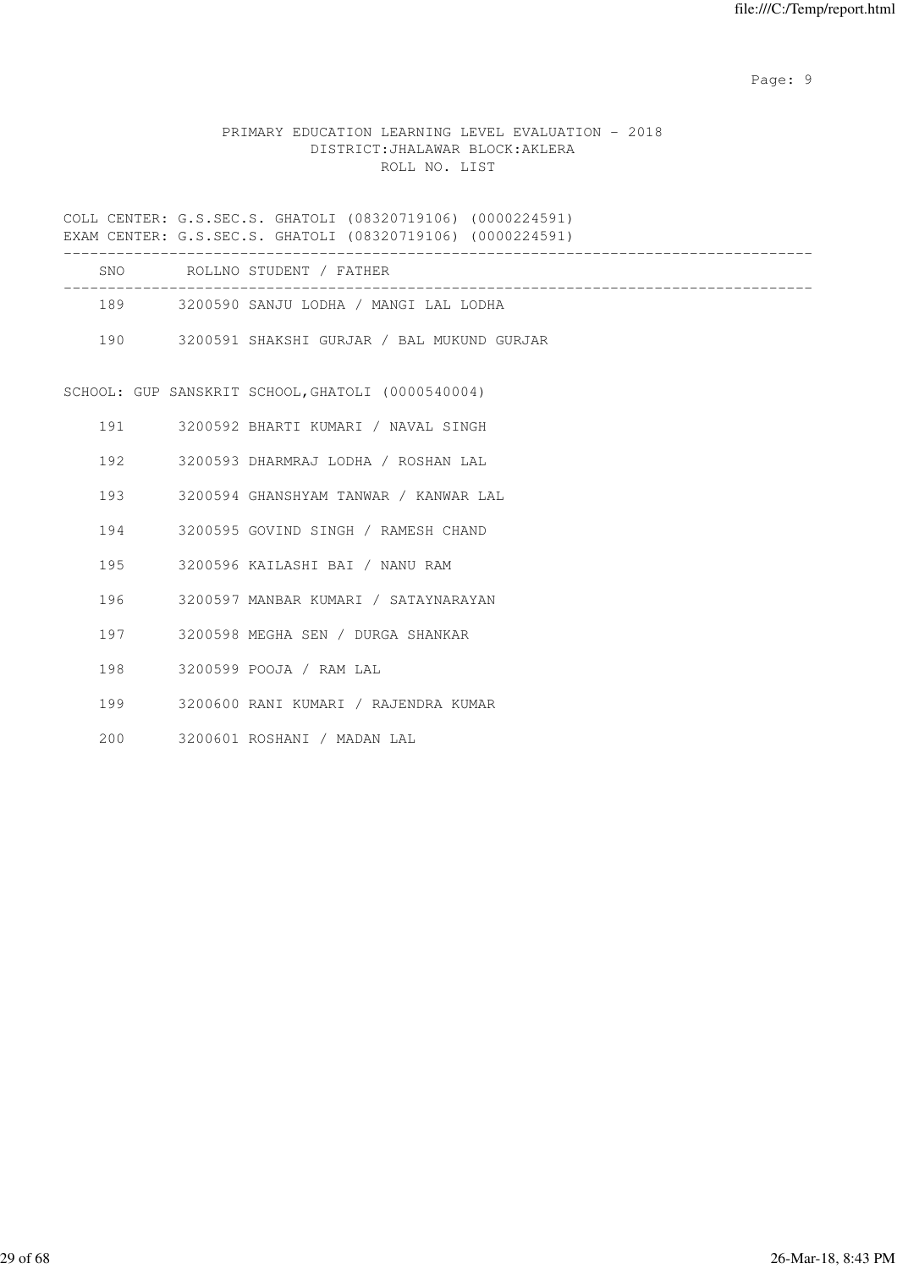en de la provincia de la provincia de la provincia de la provincia de la provincia de la provincia de la provi

# PRIMARY EDUCATION LEARNING LEVEL EVALUATION - 2018 DISTRICT:JHALAWAR BLOCK:AKLERA ROLL NO. LIST

COLL CENTER: G.S.SEC.S. GHATOLI (08320719106) (0000224591) EXAM CENTER: G.S.SEC.S. GHATOLI (08320719106) (0000224591) ------------------------------------------------------------------------------------- SNO ROLLNO STUDENT / FATHER ------------------------------------------------------------------------------------- 189 3200590 SANJU LODHA / MANGI LAL LODHA 190 3200591 SHAKSHI GURJAR / BAL MUKUND GURJAR SCHOOL: GUP SANSKRIT SCHOOL,GHATOLI (0000540004) 191 3200592 BHARTI KUMARI / NAVAL SINGH 192 3200593 DHARMRAJ LODHA / ROSHAN LAL 193 3200594 GHANSHYAM TANWAR / KANWAR LAL 194 3200595 GOVIND SINGH / RAMESH CHAND 195 3200596 KAILASHI BAI / NANU RAM 196 3200597 MANBAR KUMARI / SATAYNARAYAN 197 3200598 MEGHA SEN / DURGA SHANKAR 198 3200599 POOJA / RAM LAL 199 3200600 RANI KUMARI / RAJENDRA KUMAR 200 3200601 ROSHANI / MADAN LAL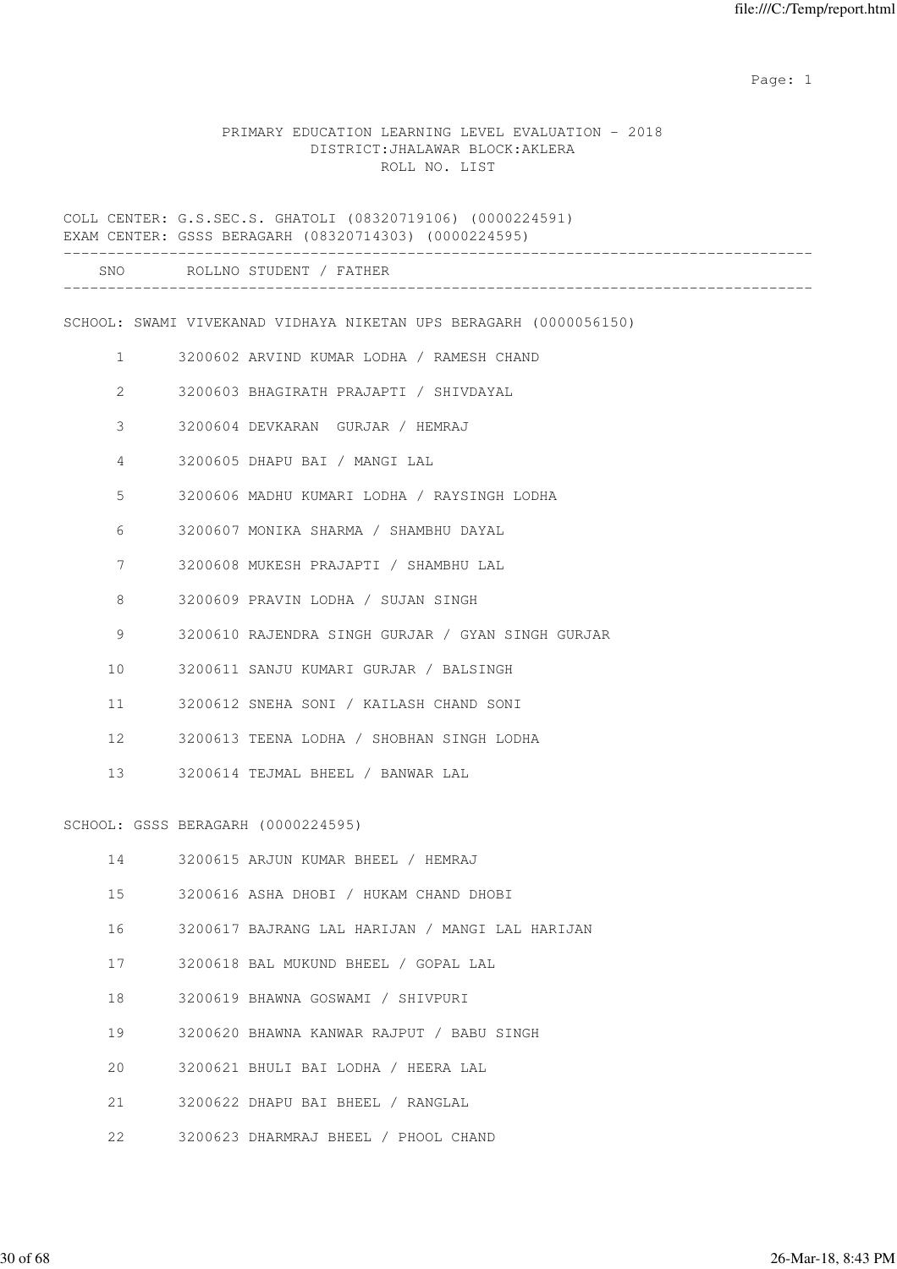#### PRIMARY EDUCATION LEARNING LEVEL EVALUATION - 2018 DISTRICT:JHALAWAR BLOCK:AKLERA ROLL NO. LIST

COLL CENTER: G.S.SEC.S. GHATOLI (08320719106) (0000224591) EXAM CENTER: GSSS BERAGARH (08320714303) (0000224595) ------------------------------------------------------------------------------------- SNO ROLLNO STUDENT / FATHER ------------------------------------------------------------------------------------- SCHOOL: SWAMI VIVEKANAD VIDHAYA NIKETAN UPS BERAGARH (0000056150) 1 3200602 ARVIND KUMAR LODHA / RAMESH CHAND 2 3200603 BHAGIRATH PRAJAPTI / SHIVDAYAL 3 3200604 DEVKARAN GURJAR / HEMRAJ 4 3200605 DHAPU BAI / MANGI LAL 5 3200606 MADHU KUMARI LODHA / RAYSINGH LODHA 6 3200607 MONIKA SHARMA / SHAMBHU DAYAL 7 3200608 MUKESH PRAJAPTI / SHAMBHU LAL 8 3200609 PRAVIN LODHA / SUJAN SINGH 9 3200610 RAJENDRA SINGH GURJAR / GYAN SINGH GURJAR 10 3200611 SANJU KUMARI GURJAR / BALSINGH 11 3200612 SNEHA SONI / KAILASH CHAND SONI 12 3200613 TEENA LODHA / SHOBHAN SINGH LODHA 13 3200614 TEJMAL BHEEL / BANWAR LAL SCHOOL: GSSS BERAGARH (0000224595) 14 3200615 ARJUN KUMAR BHEEL / HEMRAJ 15 3200616 ASHA DHOBI / HUKAM CHAND DHOBI 16 3200617 BAJRANG LAL HARIJAN / MANGI LAL HARIJAN 17 3200618 BAL MUKUND BHEEL / GOPAL LAL 18 3200619 BHAWNA GOSWAMI / SHIVPURI 19 3200620 BHAWNA KANWAR RAJPUT / BABU SINGH 20 3200621 BHULI BAI LODHA / HEERA LAL 21 3200622 DHAPU BAI BHEEL / RANGLAL

22 3200623 DHARMRAJ BHEEL / PHOOL CHAND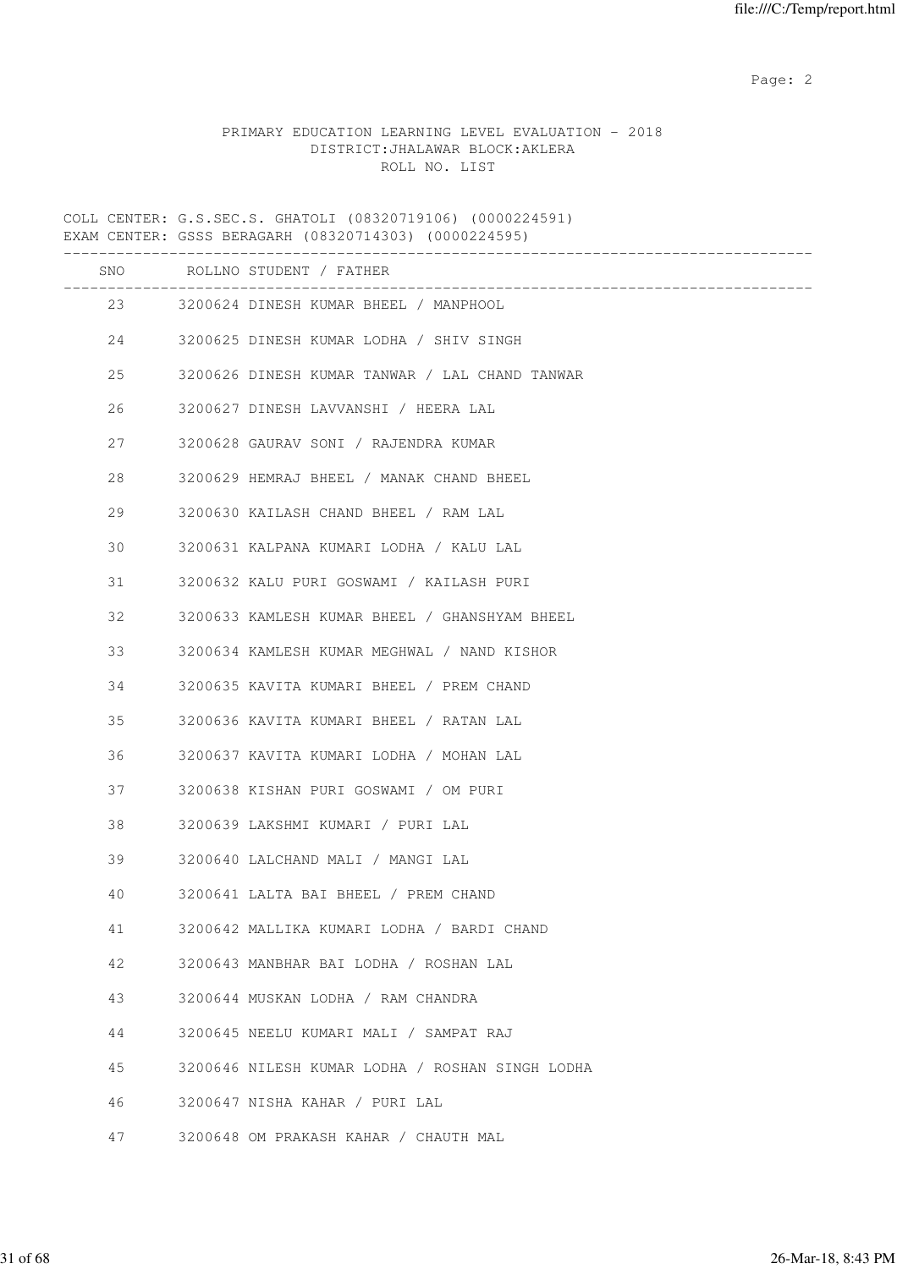# PRIMARY EDUCATION LEARNING LEVEL EVALUATION - 2018 DISTRICT:JHALAWAR BLOCK:AKLERA ROLL NO. LIST

COLL CENTER: G.S.SEC.S. GHATOLI (08320719106) (0000224591) EXAM CENTER: GSSS BERAGARH (08320714303) (0000224595)

|         | SNO ROLLNO STUDENT / FATHER<br>________________________ |
|---------|---------------------------------------------------------|
|         | 23 3200624 DINESH KUMAR BHEEL / MANPHOOL                |
|         | 24 3200625 DINESH KUMAR LODHA / SHIV SINGH              |
| 25      | 3200626 DINESH KUMAR TANWAR / LAL CHAND TANWAR          |
| 26      | 3200627 DINESH LAVVANSHI / HEERA LAL                    |
| 27 — 27 | 3200628 GAURAV SONI / RAJENDRA KUMAR                    |
| 28      | 3200629 HEMRAJ BHEEL / MANAK CHAND BHEEL                |
| 29      | 3200630 KAILASH CHAND BHEEL / RAM LAL                   |
| 30      | 3200631 KALPANA KUMARI LODHA / KALU LAL                 |
| 31      | 3200632 KALU PURI GOSWAMI / KAILASH PURI                |
| 32      | 3200633 KAMLESH KUMAR BHEEL / GHANSHYAM BHEEL           |
| 33      | 3200634 KAMLESH KUMAR MEGHWAL / NAND KISHOR             |
| 34      | 3200635 KAVITA KUMARI BHEEL / PREM CHAND                |
| 35      | 3200636 KAVITA KUMARI BHEEL / RATAN LAL                 |
| 36      | 3200637 KAVITA KUMARI LODHA / MOHAN LAL                 |
| 37      | 3200638 KISHAN PURI GOSWAMI / OM PURI                   |
| 38      | 3200639 LAKSHMI KUMARI / PURI LAL                       |
| 39      | 3200640 LALCHAND MALI / MANGI LAL                       |
| 40      | 3200641 LALTA BAI BHEEL / PREM CHAND                    |
| 41      | 3200642 MALLIKA KUMARI LODHA / BARDI CHAND              |
| 42      | 3200643 MANBHAR BAI LODHA / ROSHAN LAL                  |
| 43      | 3200644 MUSKAN LODHA / RAM CHANDRA                      |
| 44      | 3200645 NEELU KUMARI MALI / SAMPAT RAJ                  |
| 45      | 3200646 NILESH KUMAR LODHA / ROSHAN SINGH LODHA         |
| 46      | 3200647 NISHA KAHAR / PURI LAL                          |
| 47      | 3200648 OM PRAKASH KAHAR / CHAUTH MAL                   |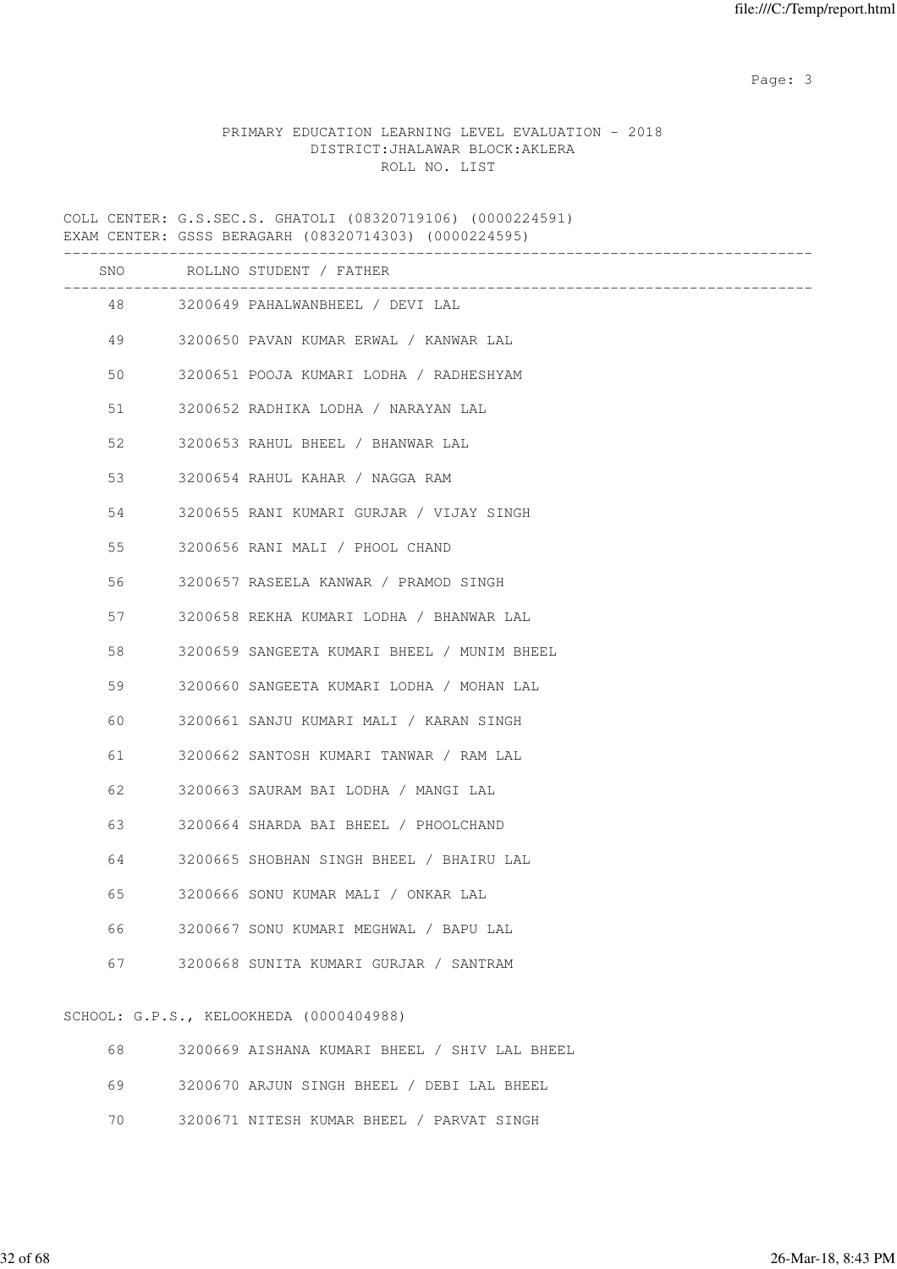# PRIMARY EDUCATION LEARNING LEVEL EVALUATION - 2018 DISTRICT:JHALAWAR BLOCK:AKLERA ROLL NO. LIST

COLL CENTER: G.S.SEC.S. GHATOLI (08320719106) (0000224591) EXAM CENTER: GSSS BERAGARH (08320714303) (0000224595)

|    | SNO ROLLNO STUDENT / FATHER                 |
|----|---------------------------------------------|
| 48 | 3200649 PAHALWANBHEEL / DEVI LAL            |
|    | 49 3200650 PAVAN KUMAR ERWAL / KANWAR LAL   |
| 50 | 3200651 POOJA KUMARI LODHA / RADHESHYAM     |
| 51 | 3200652 RADHIKA LODHA / NARAYAN LAL         |
| 52 | 3200653 RAHUL BHEEL / BHANWAR LAL           |
| 53 | 3200654 RAHUL KAHAR / NAGGA RAM             |
| 54 | 3200655 RANI KUMARI GURJAR / VIJAY SINGH    |
| 55 | 3200656 RANI MALI / PHOOL CHAND             |
| 56 | 3200657 RASEELA KANWAR / PRAMOD SINGH       |
| 57 | 3200658 REKHA KUMARI LODHA / BHANWAR LAL    |
| 58 | 3200659 SANGEETA KUMARI BHEEL / MUNIM BHEEL |
| 59 | 3200660 SANGEETA KUMARI LODHA / MOHAN LAL   |
| 60 | 3200661 SANJU KUMARI MALI / KARAN SINGH     |
| 61 | 3200662 SANTOSH KUMARI TANWAR / RAM LAL     |
| 62 | 3200663 SAURAM BAI LODHA / MANGI LAL        |
| 63 | 3200664 SHARDA BAI BHEEL / PHOOLCHAND       |
| 64 | 3200665 SHOBHAN SINGH BHEEL / BHAIRU LAL    |
| 65 | 3200666 SONU KUMAR MALI / ONKAR LAL         |
| 66 | 3200667 SONU KUMARI MEGHWAL / BAPU LAL      |
| 67 | 3200668 SUNITA KUMARI GURJAR / SANTRAM      |
|    |                                             |

# SCHOOL: G.P.S., KELOOKHEDA (0000404988)

| 68 -    | 3200669 AISHANA KUMARI BHEEL / SHIV LAL BHEEL |
|---------|-----------------------------------------------|
| 69 - 10 | 3200670 ARJUN SINGH BHEEL / DEBI LAL BHEEL    |
|         |                                               |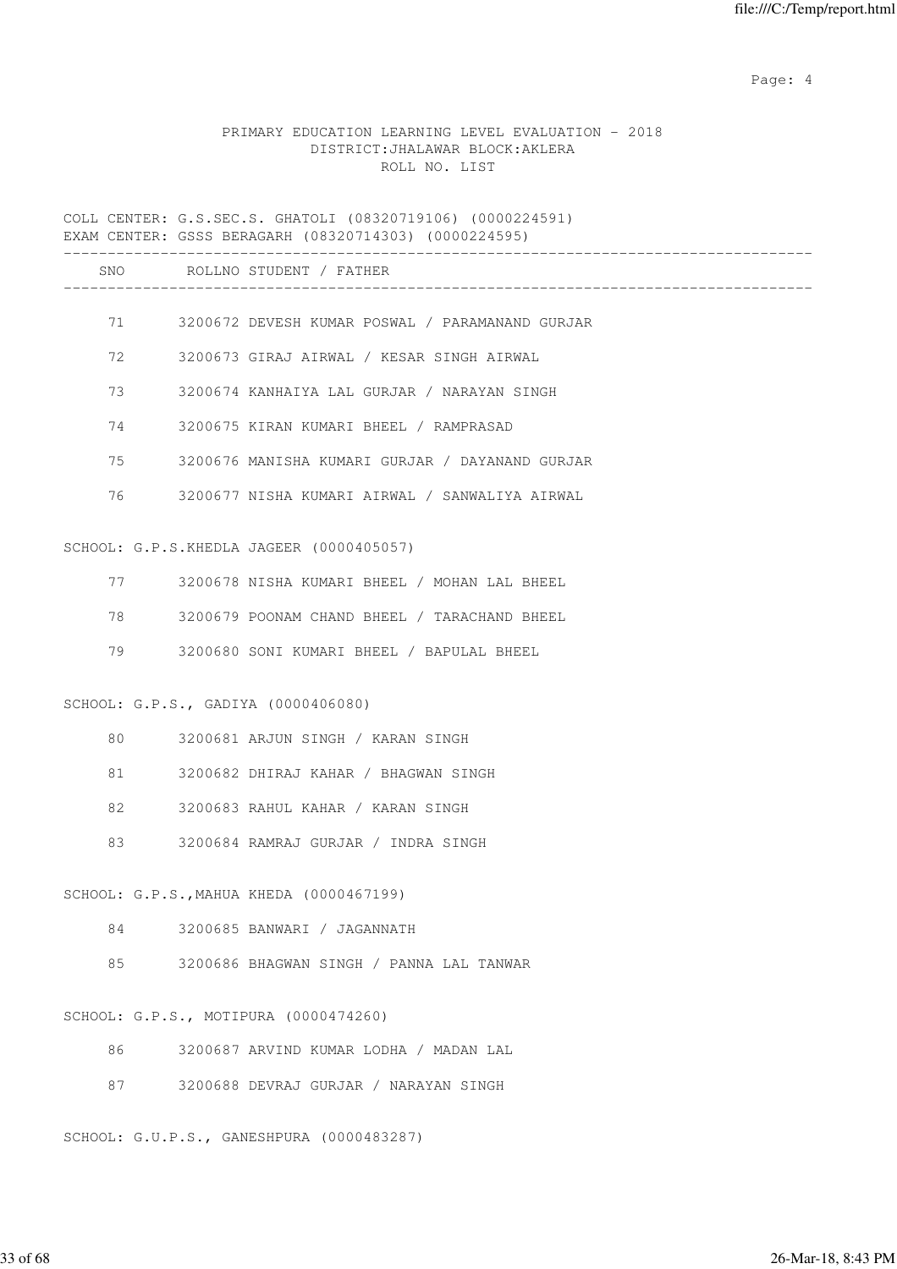Page: 4  $P$ 

# PRIMARY EDUCATION LEARNING LEVEL EVALUATION - 2018 DISTRICT:JHALAWAR BLOCK:AKLERA ROLL NO. LIST

COLL CENTER: G.S.SEC.S. GHATOLI (08320719106) (0000224591) EXAM CENTER: GSSS BERAGARH (08320714303) (0000224595) ------------------------------------------------------------------------------------- SNO ROLLNO STUDENT / FATHER ------------------------------------------------------------------------------------- 71 3200672 DEVESH KUMAR POSWAL / PARAMANAND GURJAR 72 3200673 GIRAJ AIRWAL / KESAR SINGH AIRWAL 73 3200674 KANHAIYA LAL GURJAR / NARAYAN SINGH 74 3200675 KIRAN KUMARI BHEEL / RAMPRASAD 75 3200676 MANISHA KUMARI GURJAR / DAYANAND GURJAR 76 3200677 NISHA KUMARI AIRWAL / SANWALIYA AIRWAL SCHOOL: G.P.S.KHEDLA JAGEER (0000405057) 77 3200678 NISHA KUMARI BHEEL / MOHAN LAL BHEEL 78 3200679 POONAM CHAND BHEEL / TARACHAND BHEEL 79 3200680 SONI KUMARI BHEEL / BAPULAL BHEEL SCHOOL: G.P.S., GADIYA (0000406080) 80 3200681 ARJUN SINGH / KARAN SINGH 81 3200682 DHIRAJ KAHAR / BHAGWAN SINGH 82 3200683 RAHUL KAHAR / KARAN SINGH 83 3200684 RAMRAJ GURJAR / INDRA SINGH SCHOOL: G.P.S.,MAHUA KHEDA (0000467199) 84 3200685 BANWARI / JAGANNATH 85 3200686 BHAGWAN SINGH / PANNA LAL TANWAR SCHOOL: G.P.S., MOTIPURA (0000474260) 86 3200687 ARVIND KUMAR LODHA / MADAN LAL 87 3200688 DEVRAJ GURJAR / NARAYAN SINGH

SCHOOL: G.U.P.S., GANESHPURA (0000483287)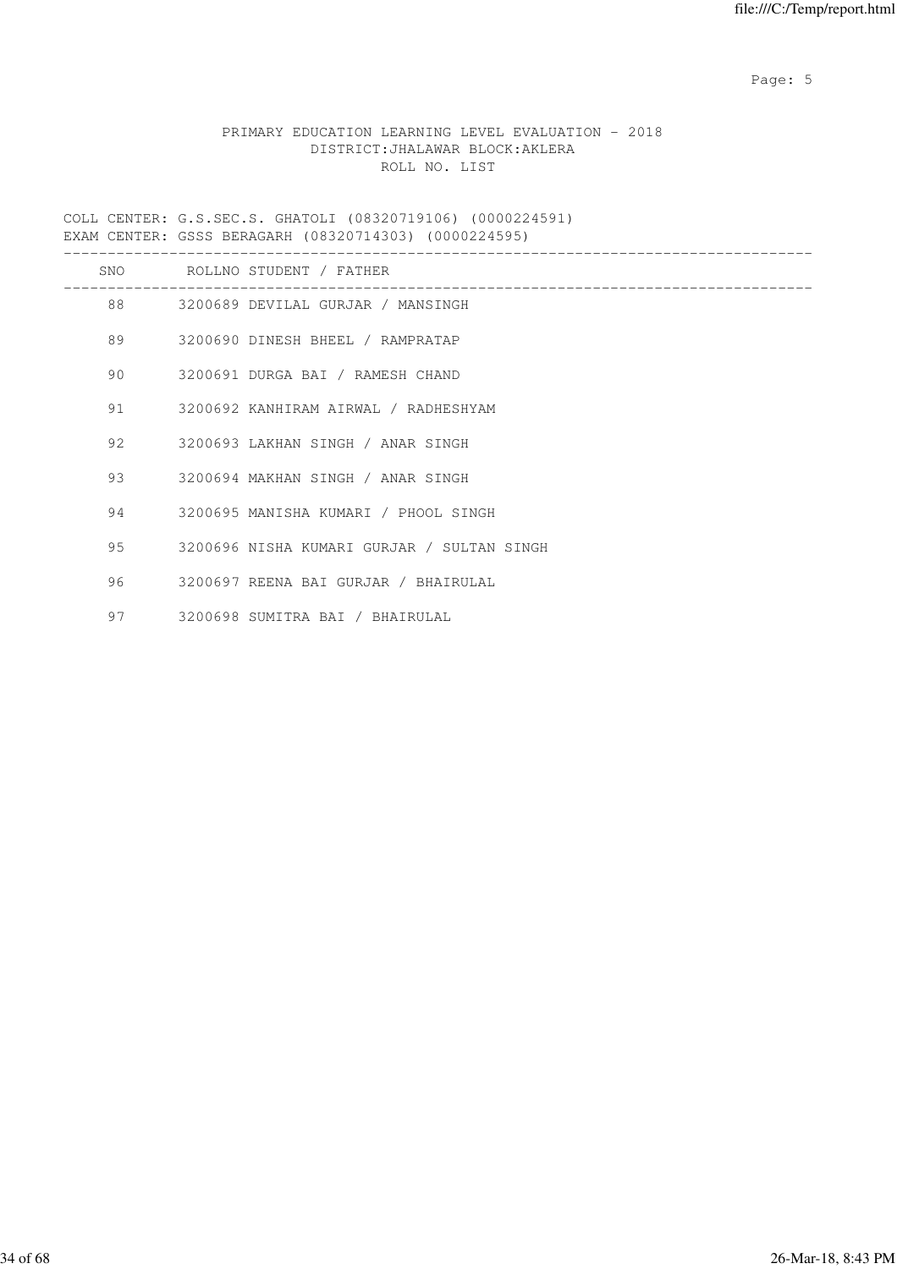Page: 5  $P$  and  $P$  and  $P$  and  $P$  and  $P$  and  $P$  and  $P$  and  $P$  and  $P$  and  $P$  and  $P$  and  $P$  and  $P$  and  $P$  and  $P$  and  $P$  and  $P$  and  $P$  and  $P$  and  $P$  and  $P$  and  $P$  and  $P$  and  $P$  and  $P$  and  $P$  and  $P$  an

# PRIMARY EDUCATION LEARNING LEVEL EVALUATION - 2018 DISTRICT:JHALAWAR BLOCK:AKLERA ROLL NO. LIST

COLL CENTER: G.S.SEC.S. GHATOLI (08320719106) (0000224591) EXAM CENTER: GSSS BERAGARH (08320714303) (0000224595)

|    |         | SNO ROLLNO STUDENT / FATHER                |
|----|---------|--------------------------------------------|
|    |         | 88 3200689 DEVILAL GURJAR / MANSINGH       |
|    |         | 89 3200690 DINESH BHEEL / RAMPRATAP        |
| 90 |         | 3200691 DURGA BAI / RAMESH CHAND           |
|    | 91 — 10 | 3200692 KANHIRAM AIRWAL / RADHESHYAM       |
| 92 |         | 3200693 LAKHAN SINGH / ANAR SINGH          |
|    | 93 — 1  | 3200694 MAKHAN SINGH / ANAR SINGH          |
|    | 94 — 10 | 3200695 MANISHA KUMARI / PHOOL SINGH       |
| 95 |         | 3200696 NISHA KUMARI GURJAR / SULTAN SINGH |
| 96 |         | 3200697 REENA BAI GURJAR / BHAIRULAL       |
| 97 |         | 3200698 SUMITRA BAI / BHAIRULAL            |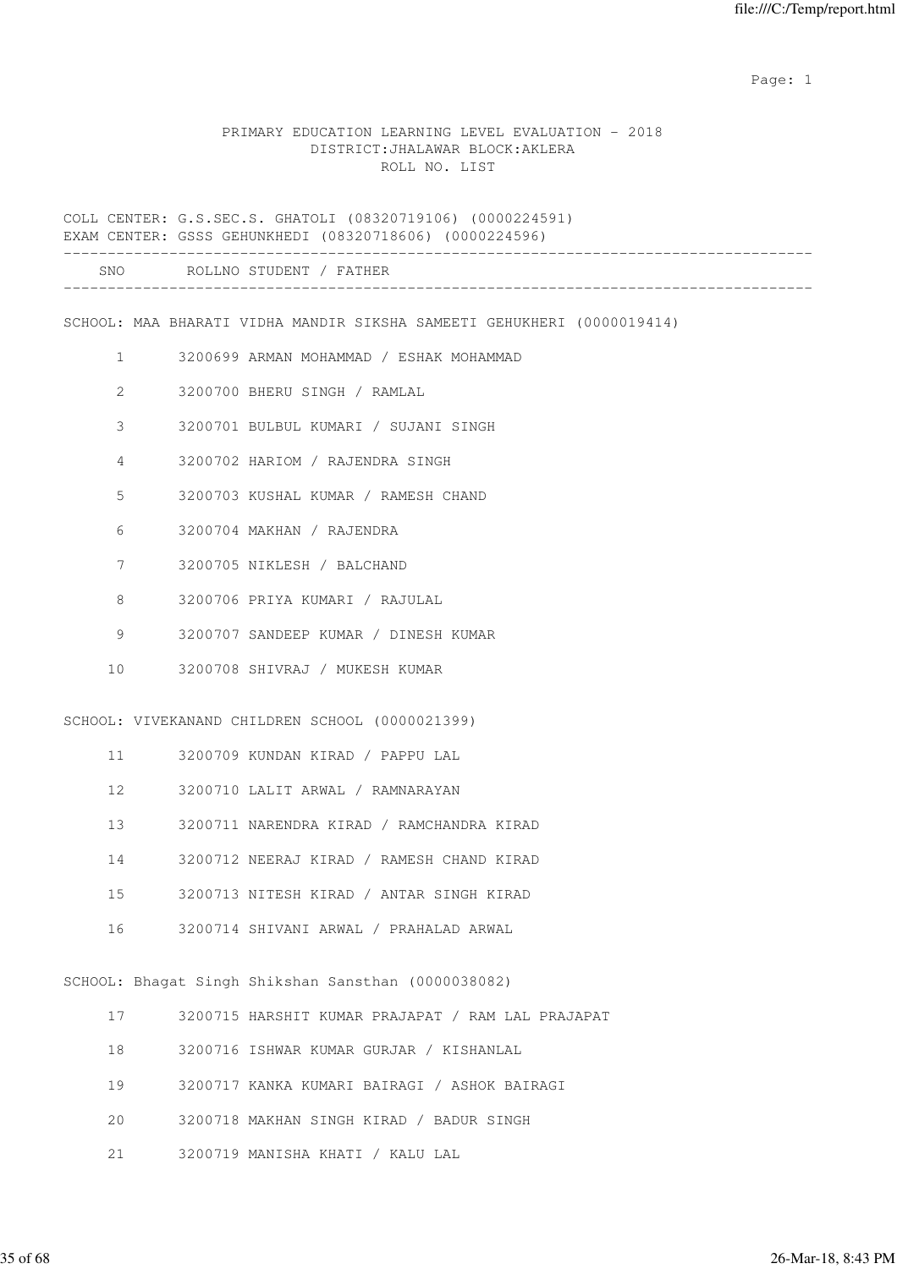#### PRIMARY EDUCATION LEARNING LEVEL EVALUATION - 2018 DISTRICT:JHALAWAR BLOCK:AKLERA ROLL NO. LIST

COLL CENTER: G.S.SEC.S. GHATOLI (08320719106) (0000224591) EXAM CENTER: GSSS GEHUNKHEDI (08320718606) (0000224596) ------------------------------------------------------------------------------------- SNO ROLLNO STUDENT / FATHER ------------------------------------------------------------------------------------- SCHOOL: MAA BHARATI VIDHA MANDIR SIKSHA SAMEETI GEHUKHERI (0000019414) 1 3200699 ARMAN MOHAMMAD / ESHAK MOHAMMAD 2 3200700 BHERU SINGH / RAMLAL 3 3200701 BULBUL KUMARI / SUJANI SINGH 4 3200702 HARIOM / RAJENDRA SINGH 5 3200703 KUSHAL KUMAR / RAMESH CHAND 6 3200704 MAKHAN / RAJENDRA 7 3200705 NIKLESH / BALCHAND 8 3200706 PRIYA KUMARI / RAJULAL 9 3200707 SANDEEP KUMAR / DINESH KUMAR 10 3200708 SHIVRAJ / MUKESH KUMAR SCHOOL: VIVEKANAND CHILDREN SCHOOL (0000021399) 11 3200709 KUNDAN KIRAD / PAPPU LAL 12 3200710 LALIT ARWAL / RAMNARAYAN 13 3200711 NARENDRA KIRAD / RAMCHANDRA KIRAD 14 3200712 NEERAJ KIRAD / RAMESH CHAND KIRAD 15 3200713 NITESH KIRAD / ANTAR SINGH KIRAD 16 3200714 SHIVANI ARWAL / PRAHALAD ARWAL SCHOOL: Bhagat Singh Shikshan Sansthan (0000038082) 17 3200715 HARSHIT KUMAR PRAJAPAT / RAM LAL PRAJAPAT 18 3200716 ISHWAR KUMAR GURJAR / KISHANLAL 19 3200717 KANKA KUMARI BAIRAGI / ASHOK BAIRAGI 20 3200718 MAKHAN SINGH KIRAD / BADUR SINGH 21 3200719 MANISHA KHATI / KALU LAL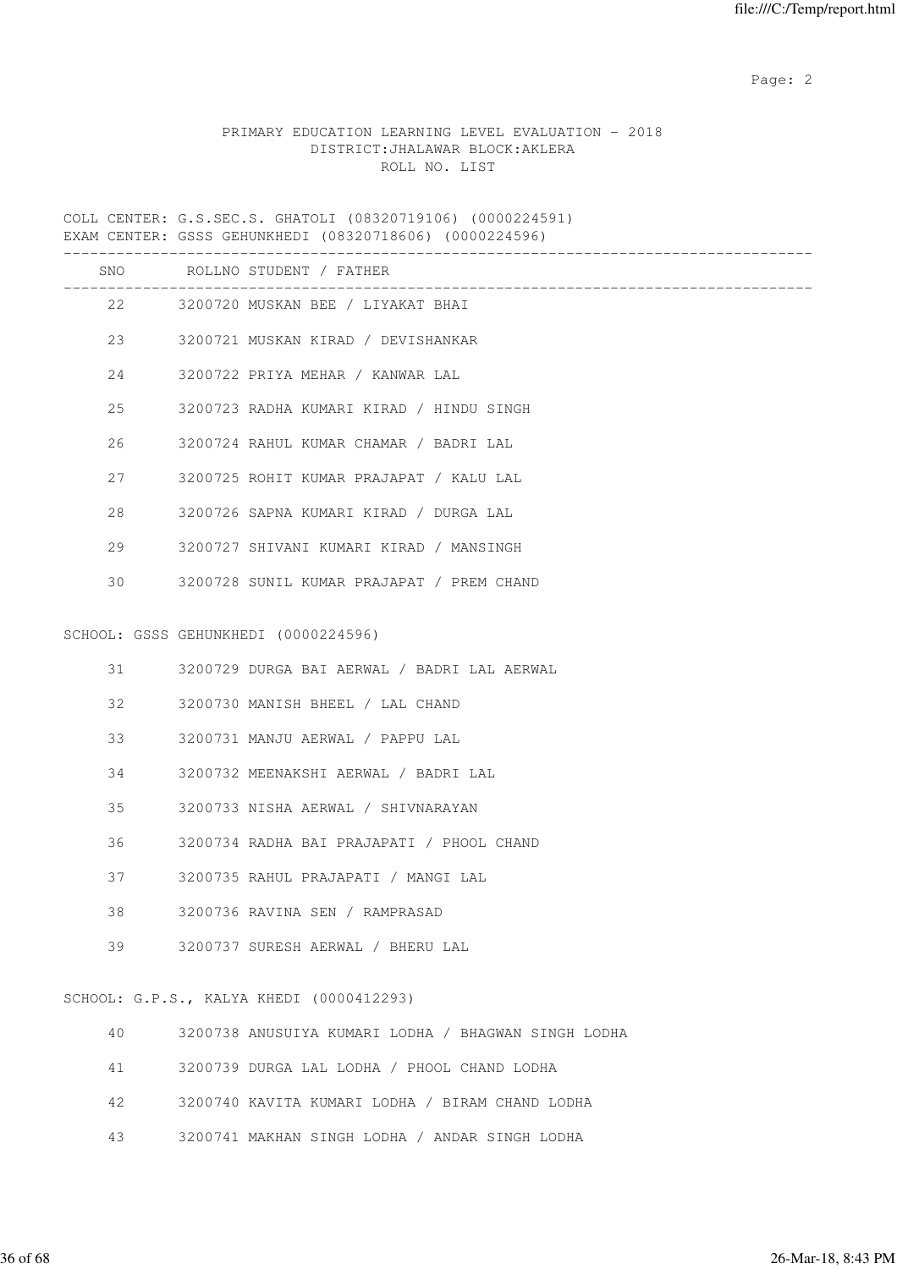# PRIMARY EDUCATION LEARNING LEVEL EVALUATION - 2018 DISTRICT:JHALAWAR BLOCK:AKLERA ROLL NO. LIST

COLL CENTER: G.S.SEC.S. GHATOLI (08320719106) (0000224591) EXAM CENTER: GSSS GEHUNKHEDI (08320718606) (0000224596)

|    | SNO ROLLNO STUDENT / FATHER                         |
|----|-----------------------------------------------------|
|    | 22 3200720 MUSKAN BEE / LIYAKAT BHAI                |
| 23 | 3200721 MUSKAN KIRAD / DEVISHANKAR                  |
| 24 | 3200722 PRIYA MEHAR / KANWAR LAL                    |
| 25 | 3200723 RADHA KUMARI KIRAD / HINDU SINGH            |
| 26 | 3200724 RAHUL KUMAR CHAMAR / BADRI LAL              |
| 27 | 3200725 ROHIT KUMAR PRAJAPAT / KALU LAL             |
| 28 | 3200726 SAPNA KUMARI KIRAD / DURGA LAL              |
| 29 | 3200727 SHIVANI KUMARI KIRAD / MANSINGH             |
| 30 | 3200728 SUNIL KUMAR PRAJAPAT / PREM CHAND           |
|    | SCHOOL: GSSS GEHUNKHEDI (0000224596)                |
| 31 | 3200729 DURGA BAI AERWAL / BADRI LAL AERWAL         |
| 32 | 3200730 MANISH BHEEL / LAL CHAND                    |
| 33 | 3200731 MANJU AERWAL / PAPPU LAL                    |
| 34 | 3200732 MEENAKSHI AERWAL / BADRI LAL                |
| 35 | 3200733 NISHA AERWAL / SHIVNARAYAN                  |
| 36 | 3200734 RADHA BAI PRAJAPATI / PHOOL CHAND           |
| 37 | 3200735 RAHUL PRAJAPATI / MANGI LAL                 |
| 38 | 3200736 RAVINA SEN / RAMPRASAD                      |
| 39 | 3200737 SURESH AERWAL / BHERU LAL                   |
|    | SCHOOL: G.P.S., KALYA KHEDI (0000412293)            |
| 40 | 3200738 ANUSUIYA KUMARI LODHA / BHAGWAN SINGH LODHA |

- 41 3200739 DURGA LAL LODHA / PHOOL CHAND LODHA
- 42 3200740 KAVITA KUMARI LODHA / BIRAM CHAND LODHA
- 43 3200741 MAKHAN SINGH LODHA / ANDAR SINGH LODHA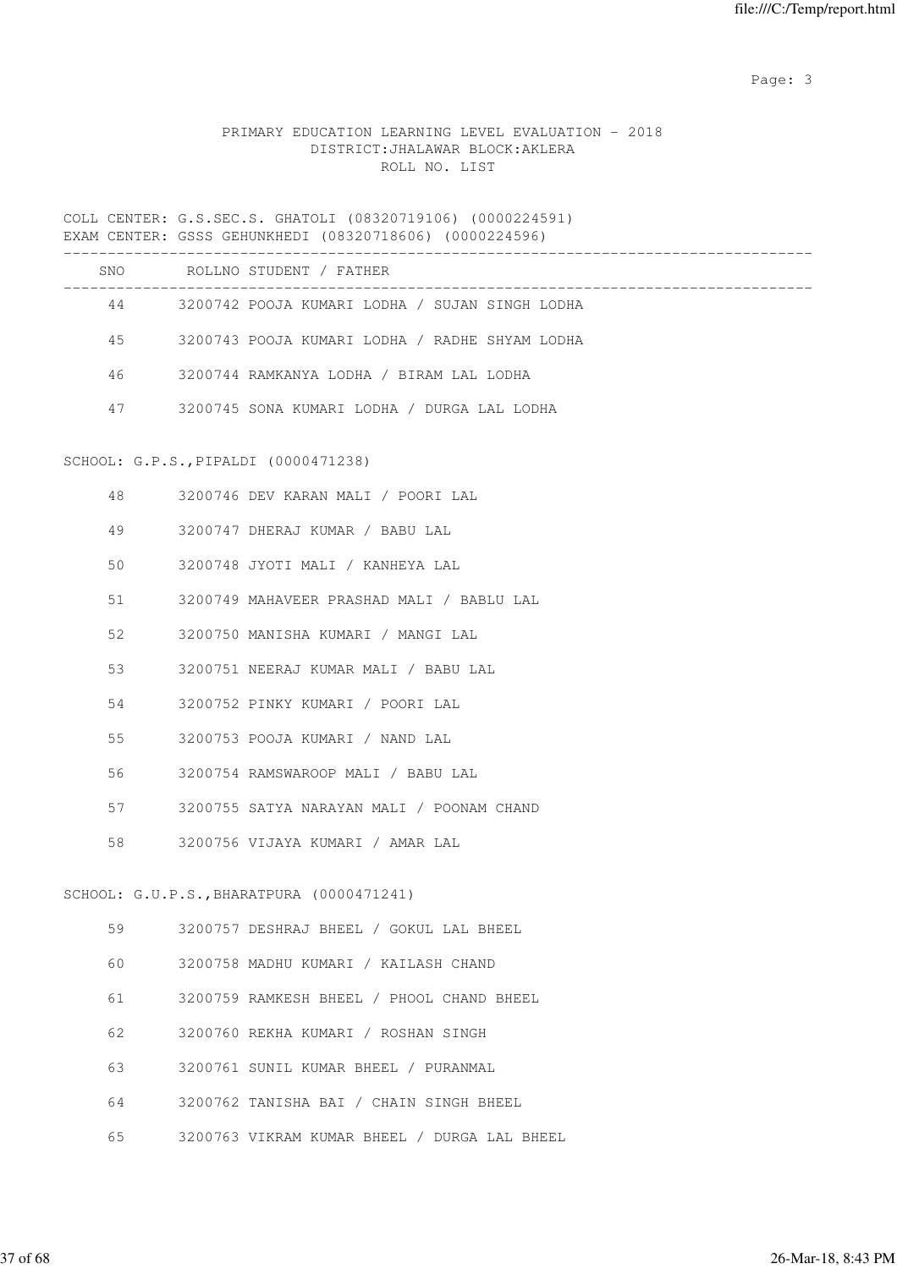# PRIMARY EDUCATION LEARNING LEVEL EVALUATION - 2018 DISTRICT:JHALAWAR BLOCK:AKLERA ROLL NO. LIST

COLL CENTER: G.S.SEC.S. GHATOLI (08320719106) (0000224591) EXAM CENTER: GSSS GEHUNKHEDI (08320718606) (0000224596)

| SNO | ROLLNO STUDENT / FATHER                        |
|-----|------------------------------------------------|
| 44  | 3200742 POOJA KUMARI LODHA / SUJAN SINGH LODHA |
| 45  | 3200743 POOJA KUMARI LODHA / RADHE SHYAM LODHA |
| 46  | 3200744 RAMKANYA LODHA / BIRAM LAL LODHA       |
| 47  | 3200745 SONA KUMARI LODHA / DURGA LAL LODHA    |
|     |                                                |

# SCHOOL: G.P.S.,PIPALDI (0000471238)

| 48 | 3200746 DEV KARAN MALI / POORI LAL              |  |
|----|-------------------------------------------------|--|
| 49 | 3200747 DHERAJ KUMAR / BABU LAL                 |  |
| 50 | 3200748 JYOTI MALI / KANHEYA LAL                |  |
| 51 | 3200749 MAHAVEER PRASHAD MALI / BABLU LAL       |  |
| 52 | 3200750 MANISHA KUMARI / MANGI LAL              |  |
| 53 | 3200751 NEERAJ KUMAR MALI / BABU LAL            |  |
| 54 | 3200752 PINKY KUMARI / POORI LAL                |  |
| 55 | 3200753 POOJA KUMARI / NAND LAL                 |  |
| 56 | 3200754 RAMSWAROOP MALI / BABU LAL              |  |
|    | 57 3200755 SATYA NARAYAN MALI / POONAM CHAND    |  |
| 58 | 3200756 VIJAYA KUMARI / AMAR LAL                |  |
|    |                                                 |  |
|    | $SCHOOL$ : $G.U.P.S.$ , BHARATPURA (0000471241) |  |
|    | 59 3200757 DESHRAJ BHEEL / GOKUL LAL BHEEL      |  |
| 60 | 3200758 MADHU KUMARI / KAILASH CHAND            |  |
| 61 | 3200759 RAMKESH BHEEL / PHOOL CHAND BHEEL       |  |
|    |                                                 |  |

- 62 3200760 REKHA KUMARI / ROSHAN SINGH
- 63 3200761 SUNIL KUMAR BHEEL / PURANMAL
- 64 3200762 TANISHA BAI / CHAIN SINGH BHEEL
- 65 3200763 VIKRAM KUMAR BHEEL / DURGA LAL BHEEL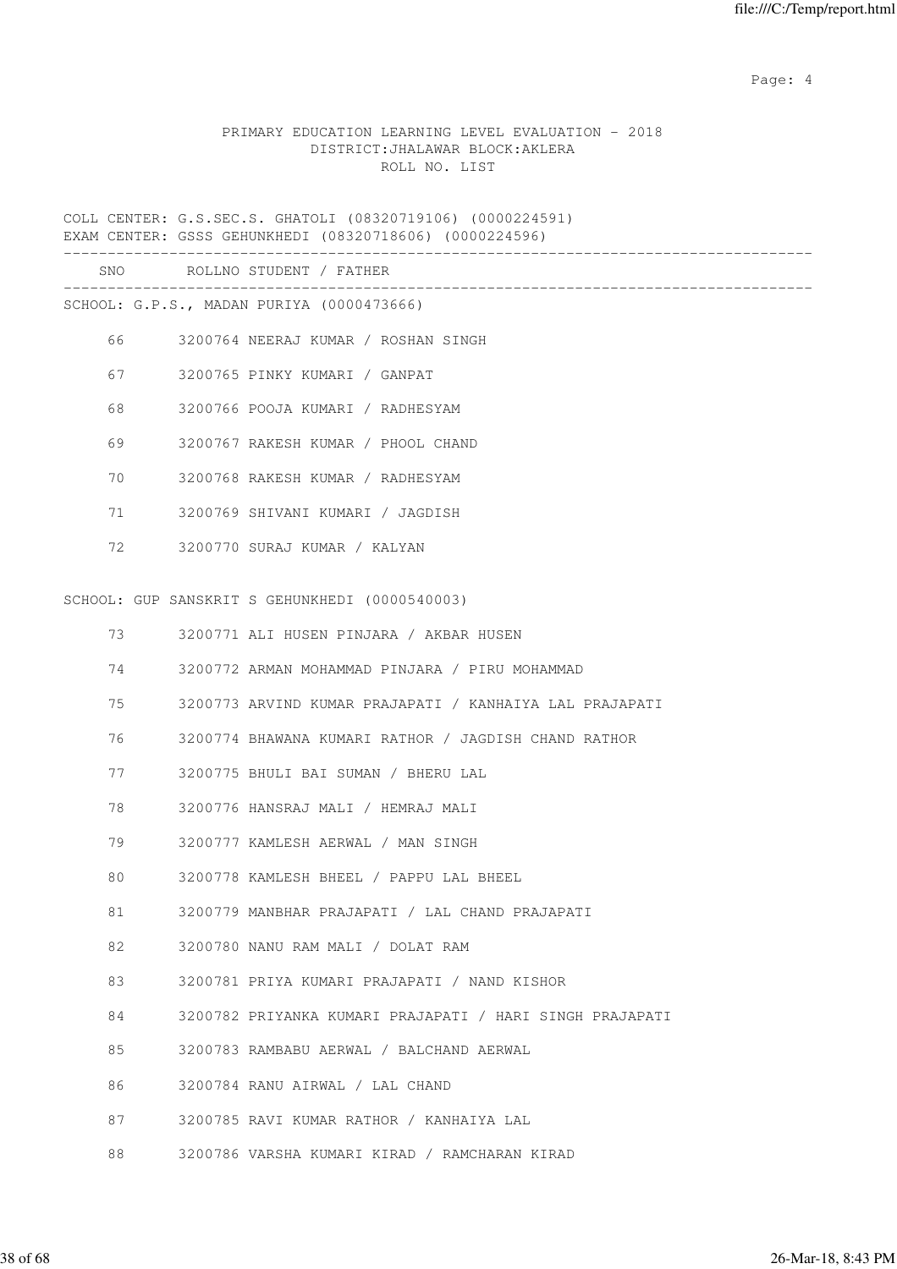Page: 4  $P$ 

#### PRIMARY EDUCATION LEARNING LEVEL EVALUATION - 2018 DISTRICT:JHALAWAR BLOCK:AKLERA ROLL NO. LIST

COLL CENTER: G.S.SEC.S. GHATOLI (08320719106) (0000224591) EXAM CENTER: GSSS GEHUNKHEDI (08320718606) (0000224596) ------------------------------------------------------------------------------------- SNO ROLLNO STUDENT / FATHER ------------------------------------------------------------------------------------- SCHOOL: G.P.S., MADAN PURIYA (0000473666) 66 3200764 NEERAJ KUMAR / ROSHAN SINGH 67 3200765 PINKY KUMARI / GANPAT 68 3200766 POOJA KUMARI / RADHESYAM 69 3200767 RAKESH KUMAR / PHOOL CHAND 70 3200768 RAKESH KUMAR / RADHESYAM 71 3200769 SHIVANI KUMARI / JAGDISH 72 3200770 SURAJ KUMAR / KALYAN SCHOOL: GUP SANSKRIT S GEHUNKHEDI (0000540003) 73 3200771 ALI HUSEN PINJARA / AKBAR HUSEN 74 3200772 ARMAN MOHAMMAD PINJARA / PIRU MOHAMMAD 75 3200773 ARVIND KUMAR PRAJAPATI / KANHAIYA LAL PRAJAPATI 76 3200774 BHAWANA KUMARI RATHOR / JAGDISH CHAND RATHOR 77 3200775 BHULI BAI SUMAN / BHERU LAL 78 3200776 HANSRAJ MALI / HEMRAJ MALI 79 3200777 KAMLESH AERWAL / MAN SINGH 80 3200778 KAMLESH BHEEL / PAPPU LAL BHEEL 81 3200779 MANBHAR PRAJAPATI / LAL CHAND PRAJAPATI 82 3200780 NANU RAM MALI / DOLAT RAM 83 3200781 PRIYA KUMARI PRAJAPATI / NAND KISHOR 84 3200782 PRIYANKA KUMARI PRAJAPATI / HARI SINGH PRAJAPATI 85 3200783 RAMBABU AERWAL / BALCHAND AERWAL 86 3200784 RANU AIRWAL / LAL CHAND 87 3200785 RAVI KUMAR RATHOR / KANHAIYA LAL 88 3200786 VARSHA KUMARI KIRAD / RAMCHARAN KIRAD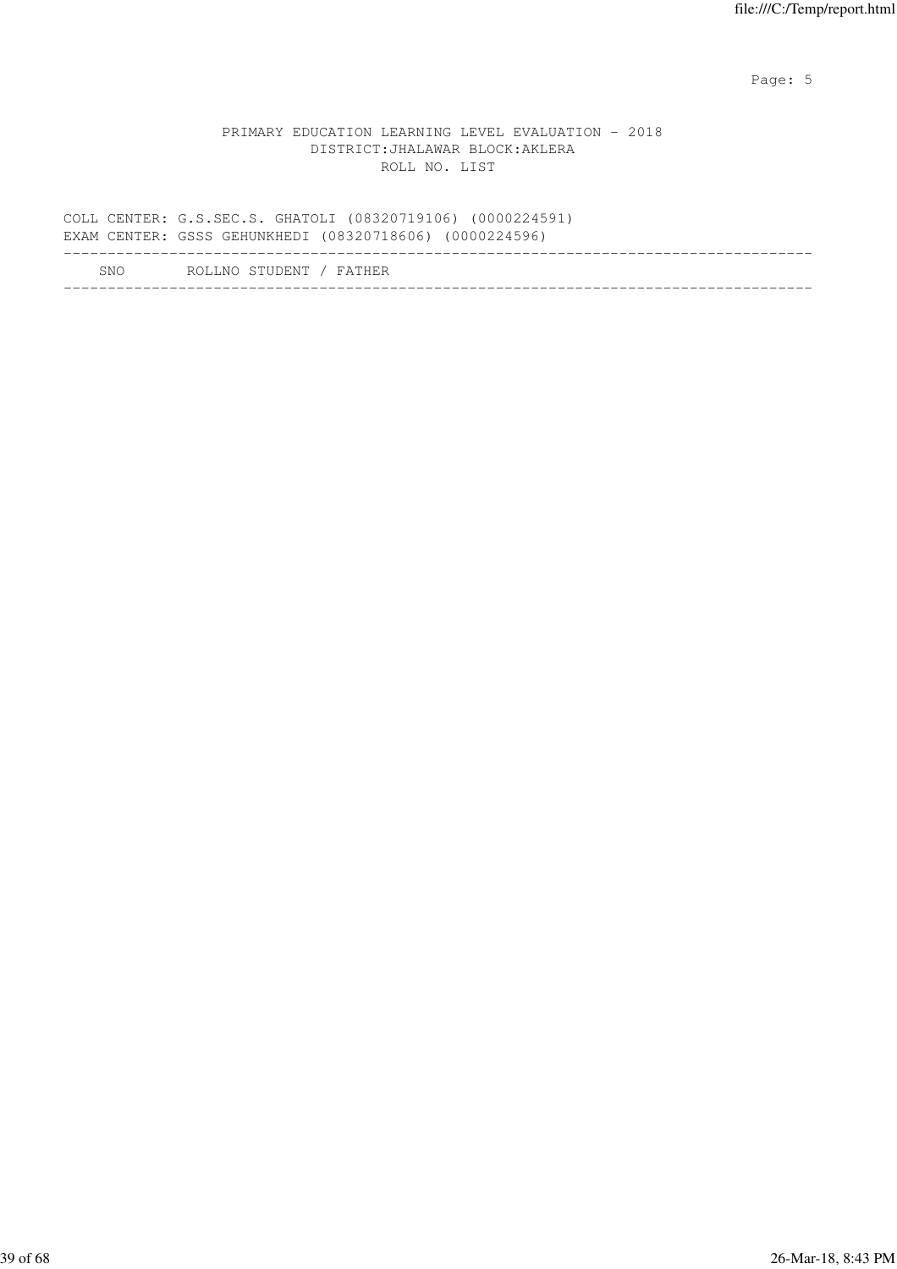Page: 5  $P$  and  $P$  and  $P$  and  $P$  and  $P$  and  $P$  and  $P$  and  $P$  and  $P$  and  $P$  and  $P$  and  $P$  and  $P$  and  $P$  and  $P$  and  $P$  and  $P$  and  $P$  and  $P$  and  $P$  and  $P$  and  $P$  and  $P$  and  $P$  and  $P$  and  $P$  and  $P$  an

#### PRIMARY EDUCATION LEARNING LEVEL EVALUATION - 2018 DISTRICT:JHALAWAR BLOCK:AKLERA ROLL NO. LIST

|      | COLL CENTER: G.S.SEC.S. GHATOLI (08320719106) (0000224591)<br>EXAM CENTER: GSSS GEHUNKHEDI (08320718606) (0000224596) |  |
|------|-----------------------------------------------------------------------------------------------------------------------|--|
| SNO. | ROLLNO STUDENT / FATHER                                                                                               |  |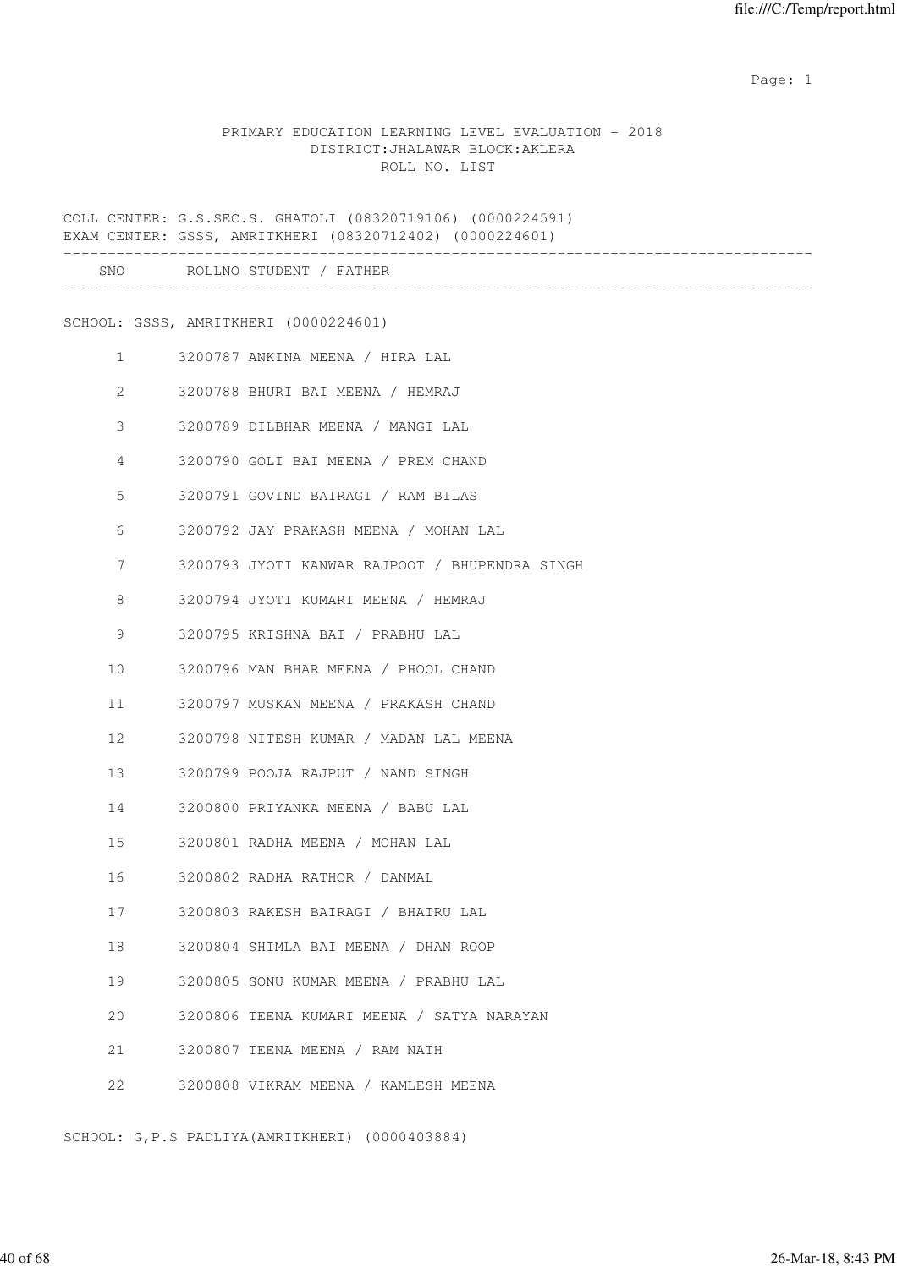#### PRIMARY EDUCATION LEARNING LEVEL EVALUATION - 2018 DISTRICT:JHALAWAR BLOCK:AKLERA ROLL NO. LIST

COLL CENTER: G.S.SEC.S. GHATOLI (08320719106) (0000224591) EXAM CENTER: GSSS, AMRITKHERI (08320712402) (0000224601) ------------------------------------------------------------------------------------- SNO ROLLNO STUDENT / FATHER ------------------------------------------------------------------------------------- SCHOOL: GSSS, AMRITKHERI (0000224601) 1 3200787 ANKINA MEENA / HIRA LAL 2 3200788 BHURI BAI MEENA / HEMRAJ 3 3200789 DILBHAR MEENA / MANGI LAL 4 3200790 GOLI BAI MEENA / PREM CHAND 5 3200791 GOVIND BAIRAGI / RAM BILAS 6 3200792 JAY PRAKASH MEENA / MOHAN LAL 7 3200793 JYOTI KANWAR RAJPOOT / BHUPENDRA SINGH 8 3200794 JYOTI KUMARI MEENA / HEMRAJ 9 3200795 KRISHNA BAI / PRABHU LAL 10 3200796 MAN BHAR MEENA / PHOOL CHAND 11 3200797 MUSKAN MEENA / PRAKASH CHAND 12 3200798 NITESH KUMAR / MADAN LAL MEENA 13 3200799 POOJA RAJPUT / NAND SINGH 14 3200800 PRIYANKA MEENA / BABU LAL 15 3200801 RADHA MEENA / MOHAN LAL 16 3200802 RADHA RATHOR / DANMAL 17 3200803 RAKESH BAIRAGI / BHAIRU LAL 18 3200804 SHIMLA BAI MEENA / DHAN ROOP 19 3200805 SONU KUMAR MEENA / PRABHU LAL 20 3200806 TEENA KUMARI MEENA / SATYA NARAYAN 21 3200807 TEENA MEENA / RAM NATH 22 3200808 VIKRAM MEENA / KAMLESH MEENA

SCHOOL: G,P.S PADLIYA(AMRITKHERI) (0000403884)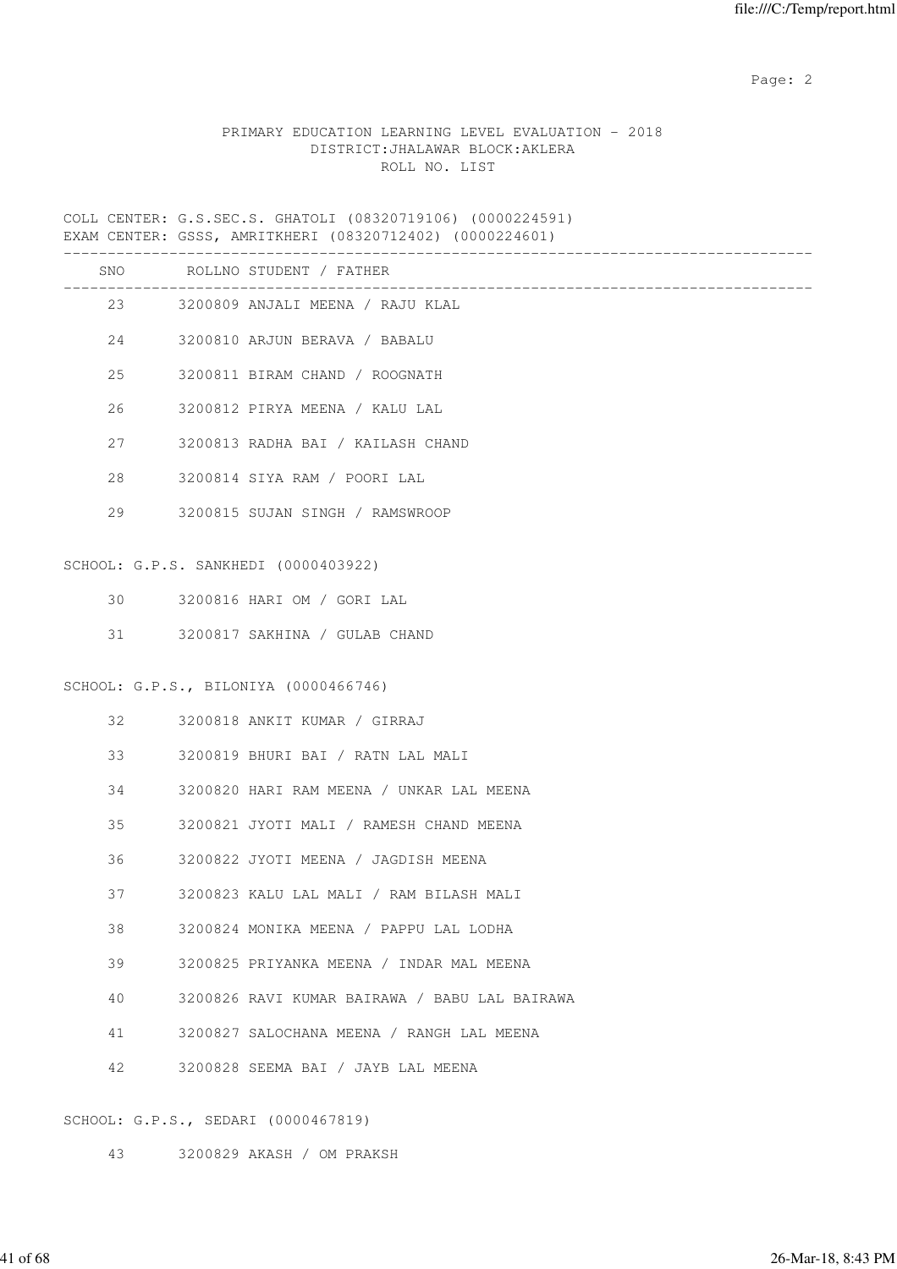# PRIMARY EDUCATION LEARNING LEVEL EVALUATION - 2018 DISTRICT:JHALAWAR BLOCK:AKLERA ROLL NO. LIST

COLL CENTER: G.S.SEC.S. GHATOLI (08320719106) (0000224591) EXAM CENTER: GSSS, AMRITKHERI (08320712402) (0000224601)

|    | SNO ROLLNO STUDENT / FATHER<br>_____________________ |
|----|------------------------------------------------------|
|    | 23 3200809 ANJALI MEENA / RAJU KLAL                  |
| 24 | 3200810 ARJUN BERAVA / BABALU                        |
| 25 | 3200811 BIRAM CHAND / ROOGNATH                       |
| 26 | 3200812 PIRYA MEENA / KALU LAL                       |
| 27 | 3200813 RADHA BAI / KAILASH CHAND                    |
| 28 | 3200814 SIYA RAM / POORI LAL                         |
| 29 | 3200815 SUJAN SINGH / RAMSWROOP                      |
|    | SCHOOL: G.P.S. SANKHEDI (0000403922)                 |
|    | 30 3200816 HARI OM / GORI LAL                        |
| 31 | 3200817 SAKHINA / GULAB CHAND                        |
|    |                                                      |
|    | SCHOOL: G.P.S., BILONIYA (0000466746)                |
| 32 | 3200818 ANKIT KUMAR / GIRRAJ                         |
| 33 | 3200819 BHURI BAI / RATN LAL MALI                    |
| 34 | 3200820 HARI RAM MEENA / UNKAR LAL MEENA             |
| 35 | 3200821 JYOTI MALI / RAMESH CHAND MEENA              |
| 36 | 3200822 JYOTI MEENA / JAGDISH MEENA                  |
| 37 | 3200823 KALU LAL MALI / RAM BILASH MALI              |
| 38 | 3200824 MONIKA MEENA / PAPPU LAL LODHA               |
| 39 | 3200825 PRIYANKA MEENA / INDAR MAL MEENA             |
| 40 | 3200826 RAVI KUMAR BAIRAWA / BABU LAL BAIRAWA        |
| 41 | 3200827 SALOCHANA MEENA / RANGH LAL MEENA            |
| 42 | 3200828 SEEMA BAI / JAYB LAL MEENA                   |
|    |                                                      |

SCHOOL: G.P.S., SEDARI (0000467819)

43 3200829 AKASH / OM PRAKSH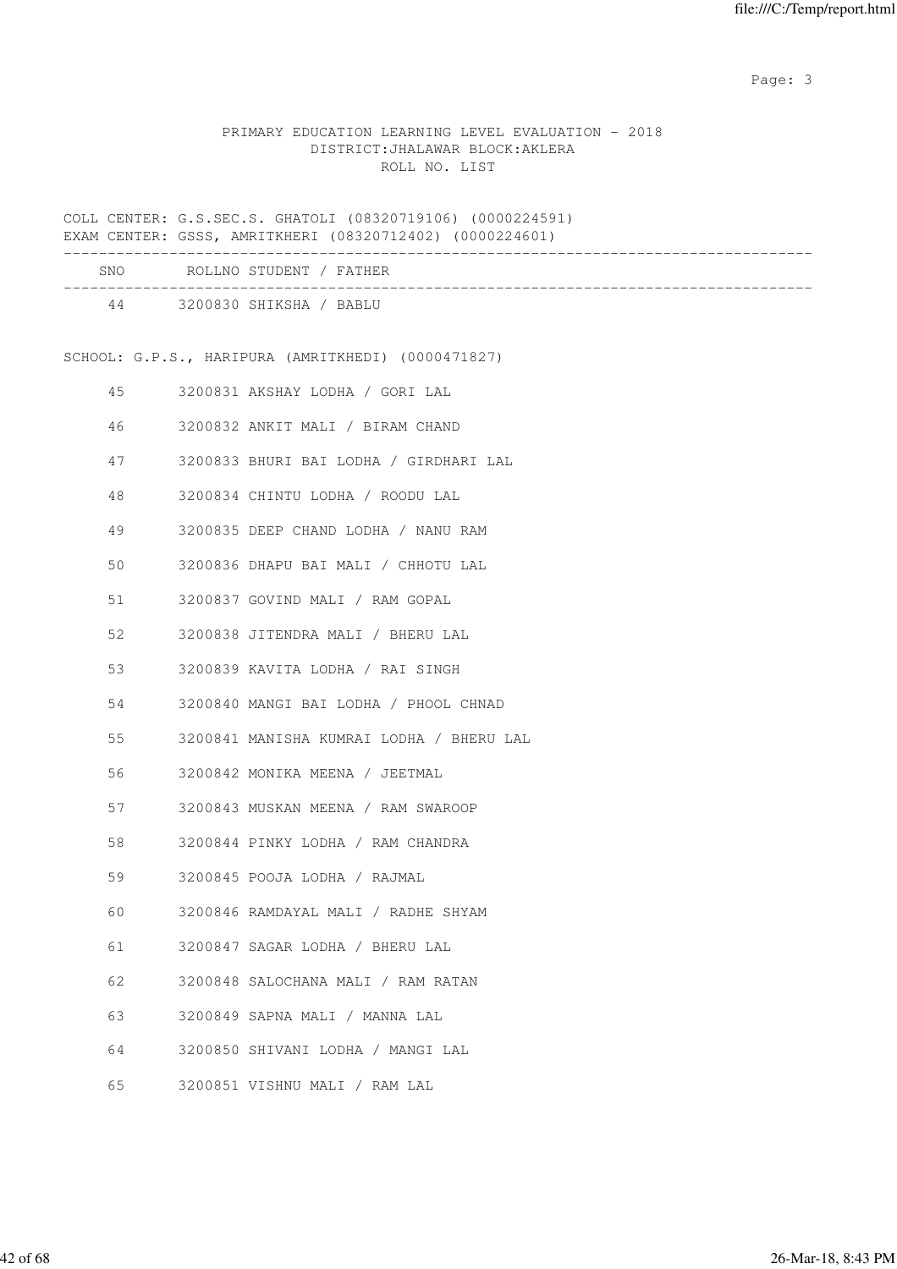# PRIMARY EDUCATION LEARNING LEVEL EVALUATION - 2018 DISTRICT:JHALAWAR BLOCK:AKLERA ROLL NO. LIST

COLL CENTER: G.S.SEC.S. GHATOLI (08320719106) (0000224591) EXAM CENTER: GSSS, AMRITKHERI (08320712402) (0000224601)

|    | SNO ROLLNO STUDENT / FATHER                                      |
|----|------------------------------------------------------------------|
|    | __________________________________<br>44 3200830 SHIKSHA / BABLU |
|    | SCHOOL: G.P.S., HARIPURA (AMRITKHEDI) (0000471827)               |
|    |                                                                  |
| 45 | 3200831 AKSHAY LODHA / GORI LAL                                  |
| 46 | 3200832 ANKIT MALI / BIRAM CHAND                                 |
| 47 | 3200833 BHURI BAI LODHA / GIRDHARI LAL                           |
| 48 | 3200834 CHINTU LODHA / ROODU LAL                                 |
| 49 | 3200835 DEEP CHAND LODHA / NANU RAM                              |
| 50 | 3200836 DHAPU BAI MALI / CHHOTU LAL                              |
| 51 | 3200837 GOVIND MALI / RAM GOPAL                                  |
| 52 | 3200838 JITENDRA MALI / BHERU LAL                                |
| 53 | 3200839 KAVITA LODHA / RAI SINGH                                 |
| 54 | 3200840 MANGI BAI LODHA / PHOOL CHNAD                            |
| 55 | 3200841 MANISHA KUMRAI LODHA / BHERU LAL                         |
| 56 | 3200842 MONIKA MEENA / JEETMAL                                   |
| 57 | 3200843 MUSKAN MEENA / RAM SWAROOP                               |
| 58 | 3200844 PINKY LODHA / RAM CHANDRA                                |
| 59 | 3200845 POOJA LODHA / RAJMAL                                     |
| 60 | 3200846 RAMDAYAL MALI / RADHE SHYAM                              |
| 61 | 3200847 SAGAR LODHA / BHERU LAL                                  |
| 62 | 3200848 SALOCHANA MALI / RAM RATAN                               |
| 63 | 3200849 SAPNA MALI / MANNA LAL                                   |
| 64 | 3200850 SHIVANI LODHA / MANGI LAL                                |
| 65 | 3200851 VISHNU MALI / RAM LAL                                    |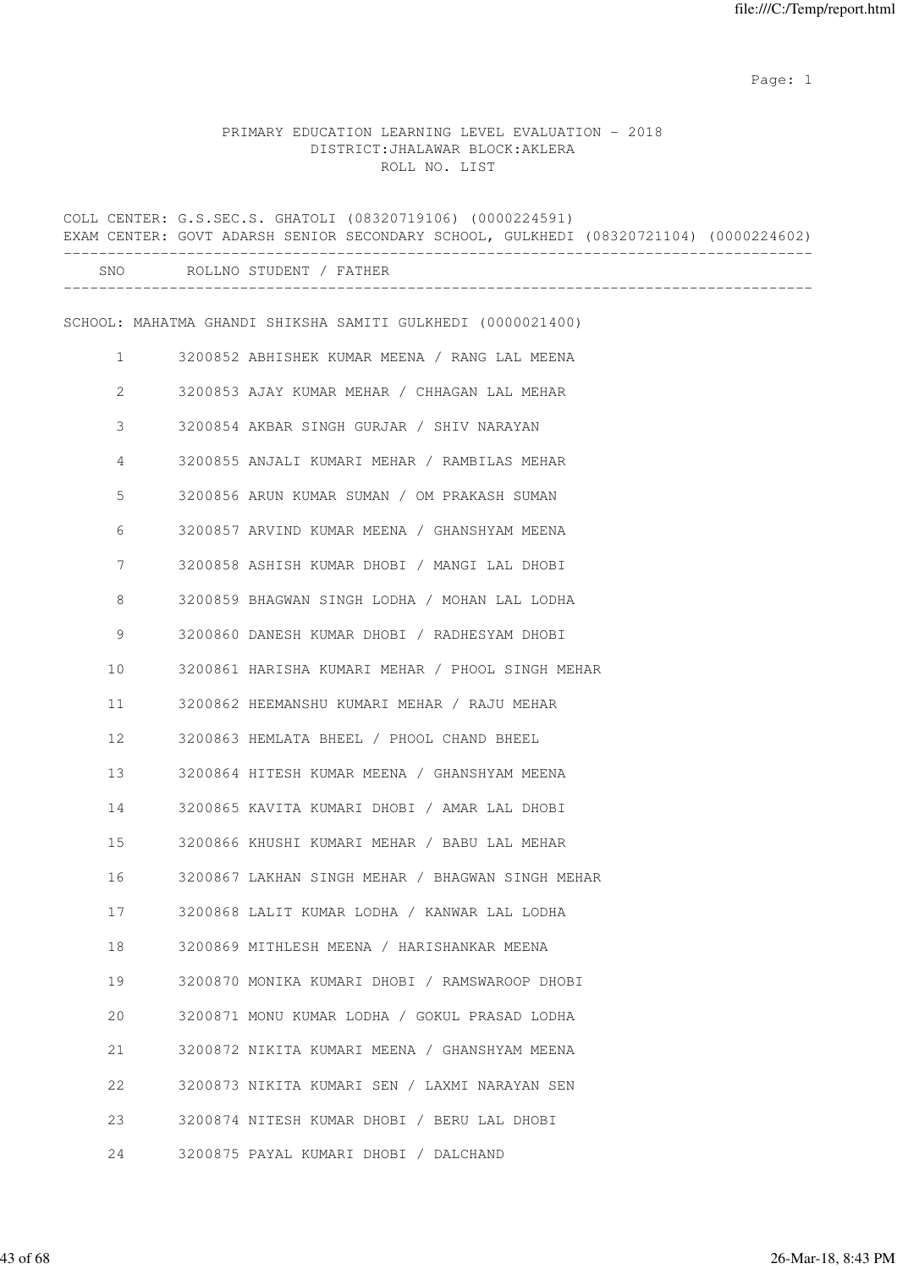# PRIMARY EDUCATION LEARNING LEVEL EVALUATION - 2018 DISTRICT:JHALAWAR BLOCK:AKLERA ROLL NO. LIST

|              | COLL CENTER: G.S.SEC.S. GHATOLI (08320719106) (0000224591)<br>EXAM CENTER: GOVT ADARSH SENIOR SECONDARY SCHOOL, GULKHEDI (08320721104) (0000224602) |
|--------------|-----------------------------------------------------------------------------------------------------------------------------------------------------|
|              | SNO ROLLNO STUDENT / FATHER                                                                                                                         |
|              | SCHOOL: MAHATMA GHANDI SHIKSHA SAMITI GULKHEDI (0000021400)                                                                                         |
| $\mathbf{1}$ | 3200852 ABHISHEK KUMAR MEENA / RANG LAL MEENA                                                                                                       |
| 2            | 3200853 AJAY KUMAR MEHAR / CHHAGAN LAL MEHAR                                                                                                        |
| 3            | 3200854 AKBAR SINGH GURJAR / SHIV NARAYAN                                                                                                           |
| 4            | 3200855 ANJALI KUMARI MEHAR / RAMBILAS MEHAR                                                                                                        |
| 5            | 3200856 ARUN KUMAR SUMAN / OM PRAKASH SUMAN                                                                                                         |
| 6            | 3200857 ARVIND KUMAR MEENA / GHANSHYAM MEENA                                                                                                        |
| 7            | 3200858 ASHISH KUMAR DHOBI / MANGI LAL DHOBI                                                                                                        |
| 8            | 3200859 BHAGWAN SINGH LODHA / MOHAN LAL LODHA                                                                                                       |
| 9            | 3200860 DANESH KUMAR DHOBI / RADHESYAM DHOBI                                                                                                        |
| 10           | 3200861 HARISHA KUMARI MEHAR / PHOOL SINGH MEHAR                                                                                                    |
| 11           | 3200862 HEEMANSHU KUMARI MEHAR / RAJU MEHAR                                                                                                         |
| 12           | 3200863 HEMLATA BHEEL / PHOOL CHAND BHEEL                                                                                                           |
| 13           | 3200864 HITESH KUMAR MEENA / GHANSHYAM MEENA                                                                                                        |
| 14           | 3200865 KAVITA KUMARI DHOBI / AMAR LAL DHOBI                                                                                                        |
| 15           | 3200866 KHUSHI KUMARI MEHAR / BABU LAL MEHAR                                                                                                        |
| 16           | 3200867 LAKHAN SINGH MEHAR / BHAGWAN SINGH MEHAR                                                                                                    |
| 17           | 3200868 LALIT KUMAR LODHA / KANWAR LAL LODHA                                                                                                        |
| 18           | 3200869 MITHLESH MEENA / HARISHANKAR MEENA                                                                                                          |
| 19           | 3200870 MONIKA KUMARI DHOBI / RAMSWAROOP DHOBI                                                                                                      |
| 20           | 3200871 MONU KUMAR LODHA / GOKUL PRASAD LODHA                                                                                                       |
| 21           | 3200872 NIKITA KUMARI MEENA / GHANSHYAM MEENA                                                                                                       |
| 22           | 3200873 NIKITA KUMARI SEN / LAXMI NARAYAN SEN                                                                                                       |
| 23           | 3200874 NITESH KUMAR DHOBI / BERU LAL DHOBI                                                                                                         |
| 24           | 3200875 PAYAL KUMARI DHOBI / DALCHAND                                                                                                               |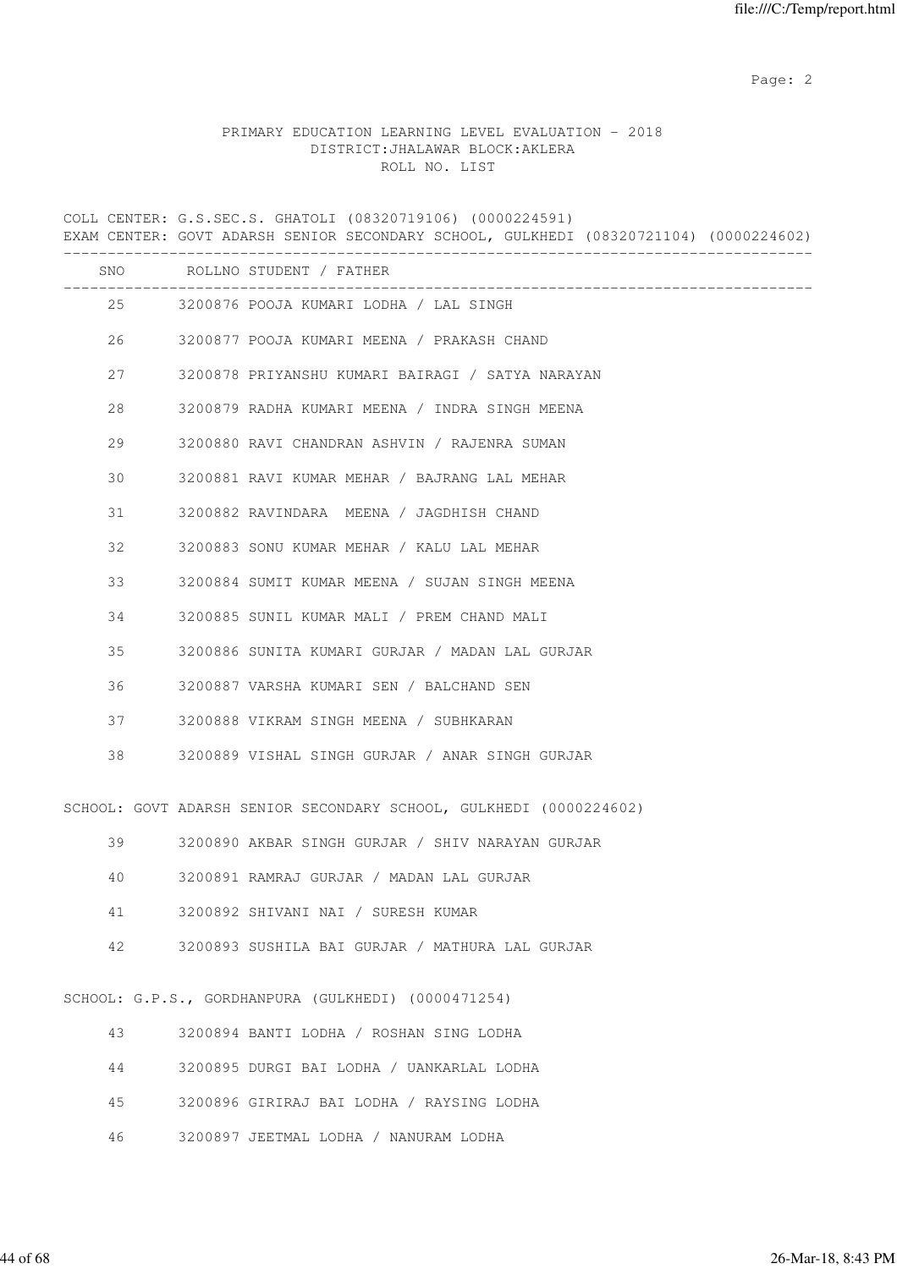# PRIMARY EDUCATION LEARNING LEVEL EVALUATION - 2018 DISTRICT:JHALAWAR BLOCK:AKLERA ROLL NO. LIST

COLL CENTER: G.S.SEC.S. GHATOLI (08320719106) (0000224591) EXAM CENTER: GOVT ADARSH SENIOR SECONDARY SCHOOL, GULKHEDI (08320721104) (0000224602) ------------------------------------------------------------------------------------- SNO ROLLNO STUDENT / FATHER ------------------------------------------------------------------------------------- 25 3200876 POOJA KUMARI LODHA / LAL SINGH 26 3200877 POOJA KUMARI MEENA / PRAKASH CHAND 27 3200878 PRIYANSHU KUMARI BAIRAGI / SATYA NARAYAN 28 3200879 RADHA KUMARI MEENA / INDRA SINGH MEENA 29 3200880 RAVI CHANDRAN ASHVIN / RAJENRA SUMAN 30 3200881 RAVI KUMAR MEHAR / BAJRANG LAL MEHAR 31 3200882 RAVINDARA MEENA / JAGDHISH CHAND 32 3200883 SONU KUMAR MEHAR / KALU LAL MEHAR 33 3200884 SUMIT KUMAR MEENA / SUJAN SINGH MEENA 34 3200885 SUNIL KUMAR MALI / PREM CHAND MALI 35 3200886 SUNITA KUMARI GURJAR / MADAN LAL GURJAR 36 3200887 VARSHA KUMARI SEN / BALCHAND SEN 37 3200888 VIKRAM SINGH MEENA / SUBHKARAN 38 3200889 VISHAL SINGH GURJAR / ANAR SINGH GURJAR SCHOOL: GOVT ADARSH SENIOR SECONDARY SCHOOL, GULKHEDI (0000224602) 39 3200890 AKBAR SINGH GURJAR / SHIV NARAYAN GURJAR 40 3200891 RAMRAJ GURJAR / MADAN LAL GURJAR 41 3200892 SHIVANI NAI / SURESH KUMAR 42 3200893 SUSHILA BAI GURJAR / MATHURA LAL GURJAR SCHOOL: G.P.S., GORDHANPURA (GULKHEDI) (0000471254) 43 3200894 BANTI LODHA / ROSHAN SING LODHA 44 3200895 DURGI BAI LODHA / UANKARLAL LODHA 45 3200896 GIRIRAJ BAI LODHA / RAYSING LODHA 46 3200897 JEETMAL LODHA / NANURAM LODHA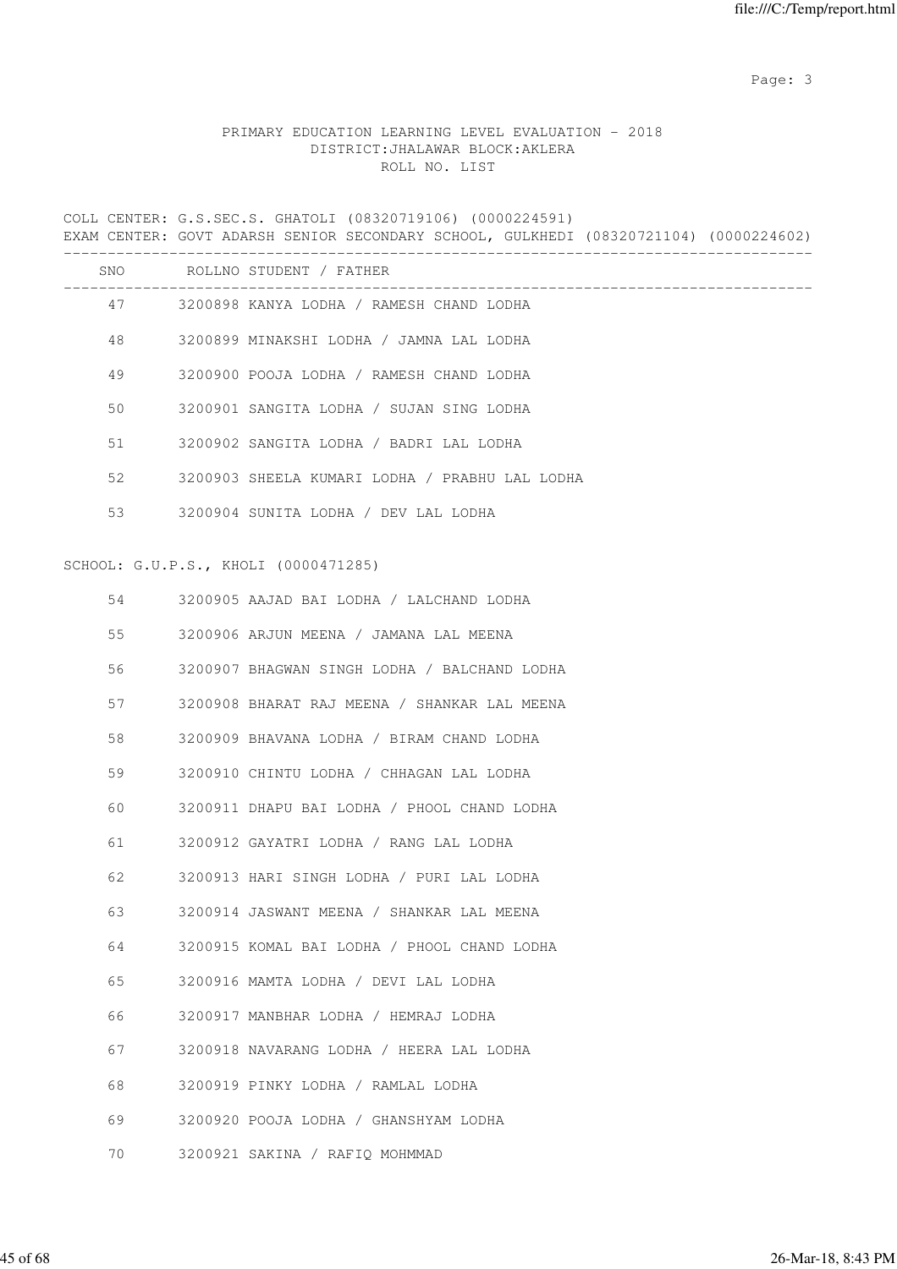# PRIMARY EDUCATION LEARNING LEVEL EVALUATION - 2018 DISTRICT:JHALAWAR BLOCK:AKLERA ROLL NO. LIST

COLL CENTER: G.S.SEC.S. GHATOLI (08320719106) (0000224591) EXAM CENTER: GOVT ADARSH SENIOR SECONDARY SCHOOL, GULKHEDI (08320721104) (0000224602) -------------------------------------------------------------------------------------

| <b>SNO</b> | ROLLNO STUDENT / FATHER                        |
|------------|------------------------------------------------|
| 47         | 3200898 KANYA LODHA / RAMESH CHAND LODHA       |
| 48         | 3200899 MINAKSHI LODHA / JAMNA LAL LODHA       |
| 49         | 3200900 POOJA LODHA / RAMESH CHAND LODHA       |
| 50         | 3200901 SANGITA LODHA / SUJAN SING LODHA       |
| 51         | 3200902 SANGITA LODHA / BADRI LAL LODHA        |
| 52         | 3200903 SHEELA KUMARI LODHA / PRABHU LAL LODHA |
| 53         | 3200904 SUNITA LODHA / DEV LAL LODHA           |

#### SCHOOL: G.U.P.S., KHOLI (0000471285)

| 54 | 3200905 AAJAD BAI LODHA / LALCHAND LODHA     |
|----|----------------------------------------------|
| 55 | 3200906 ARJUN MEENA / JAMANA LAL MEENA       |
| 56 | 3200907 BHAGWAN SINGH LODHA / BALCHAND LODHA |
| 57 | 3200908 BHARAT RAJ MEENA / SHANKAR LAL MEENA |
| 58 | 3200909 BHAVANA LODHA / BIRAM CHAND LODHA    |
| 59 | 3200910 CHINTU LODHA / CHHAGAN LAL LODHA     |
| 60 | 3200911 DHAPU BAI LODHA / PHOOL CHAND LODHA  |
| 61 | 3200912 GAYATRI LODHA / RANG LAL LODHA       |
| 62 | 3200913 HARI SINGH LODHA / PURI LAL LODHA    |
| 63 | 3200914 JASWANT MEENA / SHANKAR LAL MEENA    |
| 64 | 3200915 KOMAL BAI LODHA / PHOOL CHAND LODHA  |
| 65 | 3200916 MAMTA LODHA / DEVI LAL LODHA         |
| 66 | 3200917 MANBHAR LODHA / HEMRAJ LODHA         |
| 67 | 3200918 NAVARANG LODHA / HEERA LAL LODHA     |
| 68 | 3200919 PINKY LODHA / RAMLAL LODHA           |
| 69 | 3200920 POOJA LODHA / GHANSHYAM LODHA        |
| 70 | 3200921 SAKINA / RAFIO MOHMMAD               |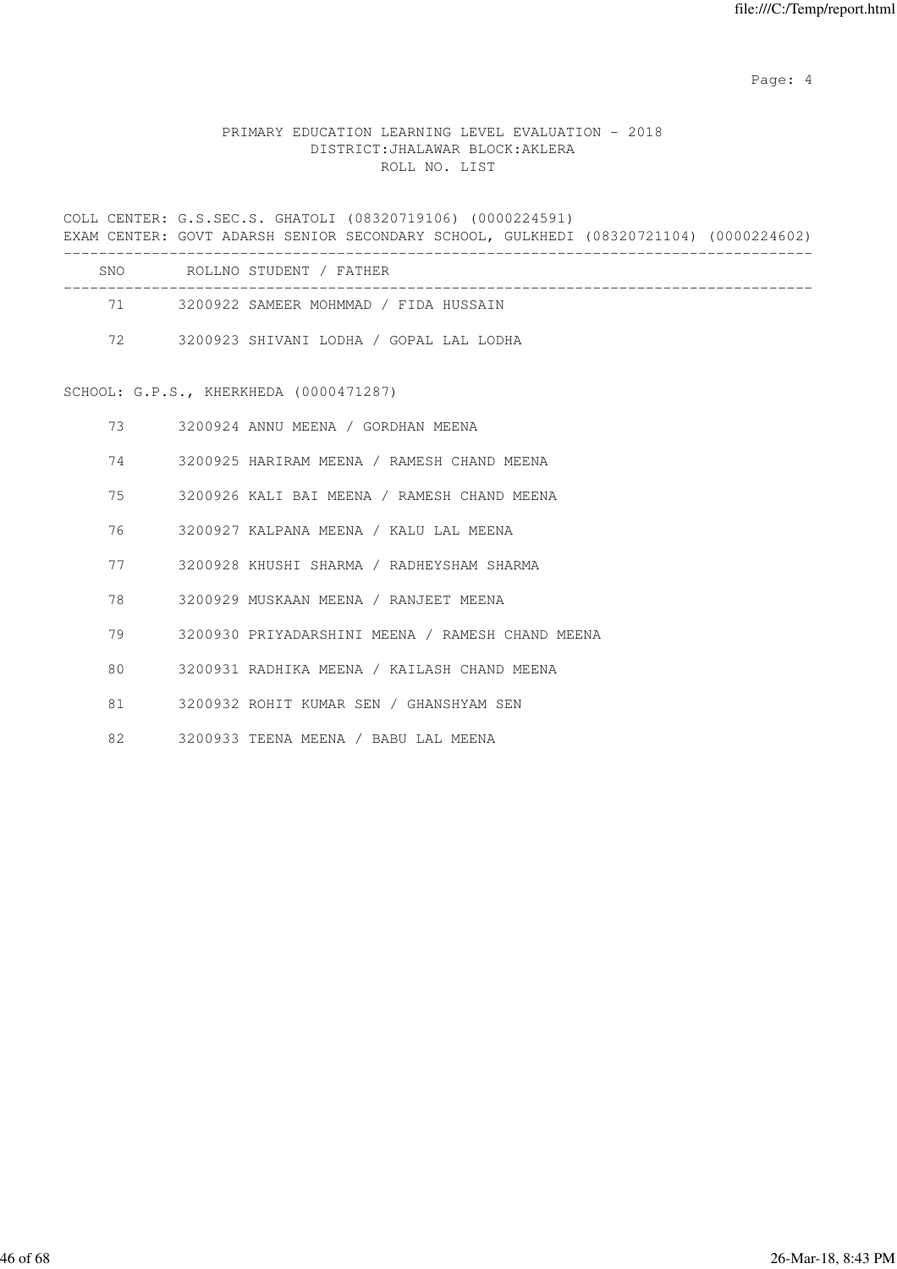Page: 4  $P$ 

# PRIMARY EDUCATION LEARNING LEVEL EVALUATION - 2018 DISTRICT:JHALAWAR BLOCK:AKLERA ROLL NO. LIST

COLL CENTER: G.S.SEC.S. GHATOLI (08320719106) (0000224591) EXAM CENTER: GOVT ADARSH SENIOR SECONDARY SCHOOL, GULKHEDI (08320721104) (0000224602) ------------------------------------------------------------------------------------- SNO ROLLNO STUDENT / FATHER ------------------------------------------------------------------------------------- 71 3200922 SAMEER MOHMMAD / FIDA HUSSAIN 72 3200923 SHIVANI LODHA / GOPAL LAL LODHA

SCHOOL: G.P.S., KHERKHEDA (0000471287)

| 73 | 3200924 ANNU MEENA / GORDHAN MEENA               |
|----|--------------------------------------------------|
| 74 | 3200925 HARIRAM MEENA / RAMESH CHAND MEENA       |
| 75 | 3200926 KALI BAI MEENA / RAMESH CHAND MEENA      |
| 76 | 3200927 KALPANA MEENA / KALU LAL MEENA           |
| 77 | 3200928 KHUSHI SHARMA / RADHEYSHAM SHARMA        |
| 78 | 3200929 MUSKAAN MEENA / RANJEET MEENA            |
| 79 | 3200930 PRIYADARSHINI MEENA / RAMESH CHAND MEENA |
| 80 | 3200931 RADHIKA MEENA / KAILASH CHAND MEENA      |
| 81 | 3200932 ROHIT KUMAR SEN / GHANSHYAM SEN          |
| 82 | 3200933 TEENA MEENA / BABU LAL MEENA             |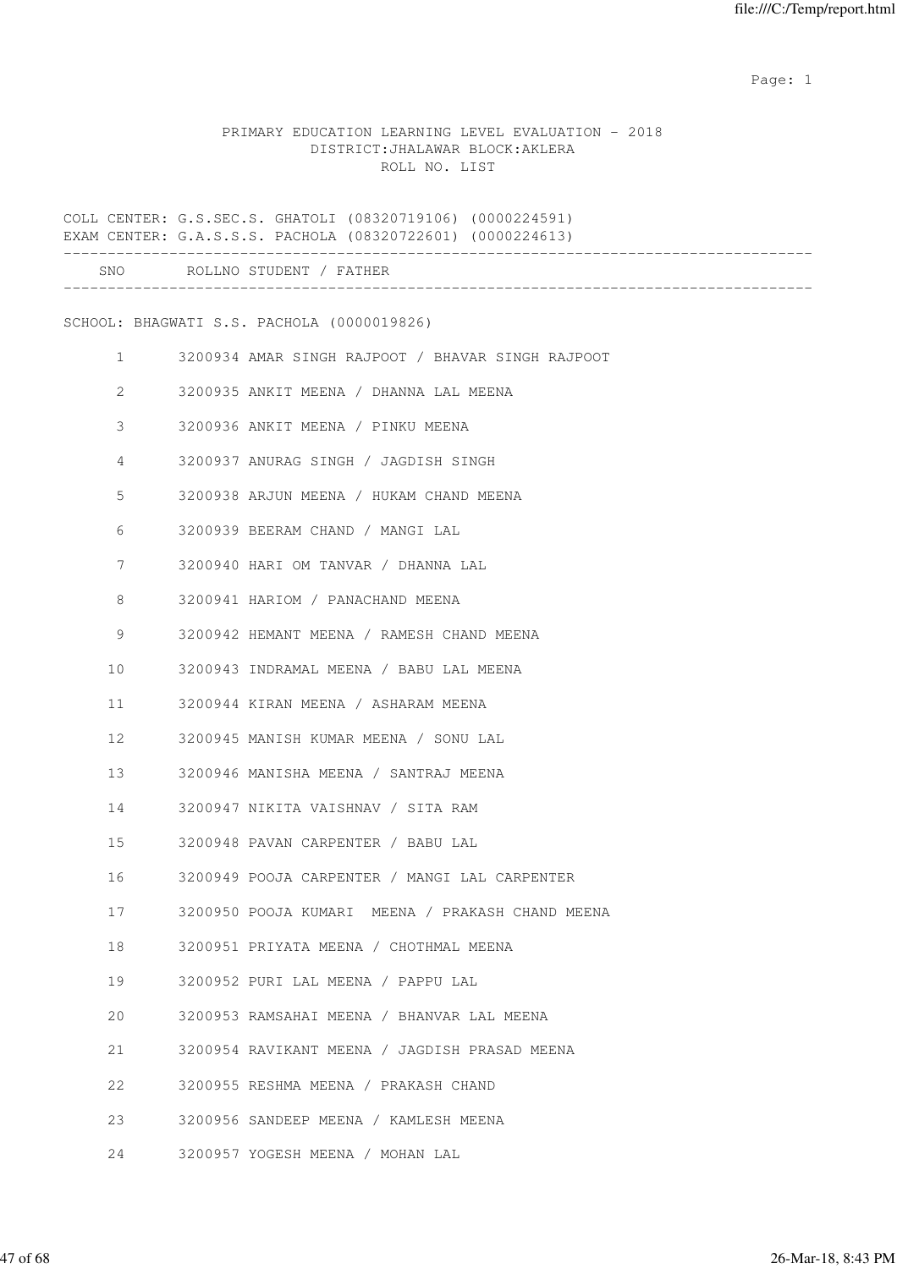#### PRIMARY EDUCATION LEARNING LEVEL EVALUATION - 2018 DISTRICT:JHALAWAR BLOCK:AKLERA ROLL NO. LIST

COLL CENTER: G.S.SEC.S. GHATOLI (08320719106) (0000224591) EXAM CENTER: G.A.S.S.S. PACHOLA (08320722601) (0000224613) ------------------------------------------------------------------------------------- SNO ROLLNO STUDENT / FATHER ------------------------------------------------------------------------------------- SCHOOL: BHAGWATI S.S. PACHOLA (0000019826) 1 3200934 AMAR SINGH RAJPOOT / BHAVAR SINGH RAJPOOT 2 3200935 ANKIT MEENA / DHANNA LAL MEENA 3 3200936 ANKIT MEENA / PINKU MEENA 4 3200937 ANURAG SINGH / JAGDISH SINGH 5 3200938 ARJUN MEENA / HUKAM CHAND MEENA 6 3200939 BEERAM CHAND / MANGI LAL 7 3200940 HARI OM TANVAR / DHANNA LAL 8 3200941 HARIOM / PANACHAND MEENA 9 3200942 HEMANT MEENA / RAMESH CHAND MEENA 10 3200943 INDRAMAL MEENA / BABU LAL MEENA 11 3200944 KIRAN MEENA / ASHARAM MEENA 12 3200945 MANISH KUMAR MEENA / SONU LAL 13 3200946 MANISHA MEENA / SANTRAJ MEENA 14 3200947 NIKITA VAISHNAV / SITA RAM 15 3200948 PAVAN CARPENTER / BABU LAL 16 3200949 POOJA CARPENTER / MANGI LAL CARPENTER 17 3200950 POOJA KUMARI MEENA / PRAKASH CHAND MEENA 18 3200951 PRIYATA MEENA / CHOTHMAL MEENA 19 3200952 PURI LAL MEENA / PAPPU LAL 20 3200953 RAMSAHAI MEENA / BHANVAR LAL MEENA 21 3200954 RAVIKANT MEENA / JAGDISH PRASAD MEENA 22 3200955 RESHMA MEENA / PRAKASH CHAND 23 3200956 SANDEEP MEENA / KAMLESH MEENA 24 3200957 YOGESH MEENA / MOHAN LAL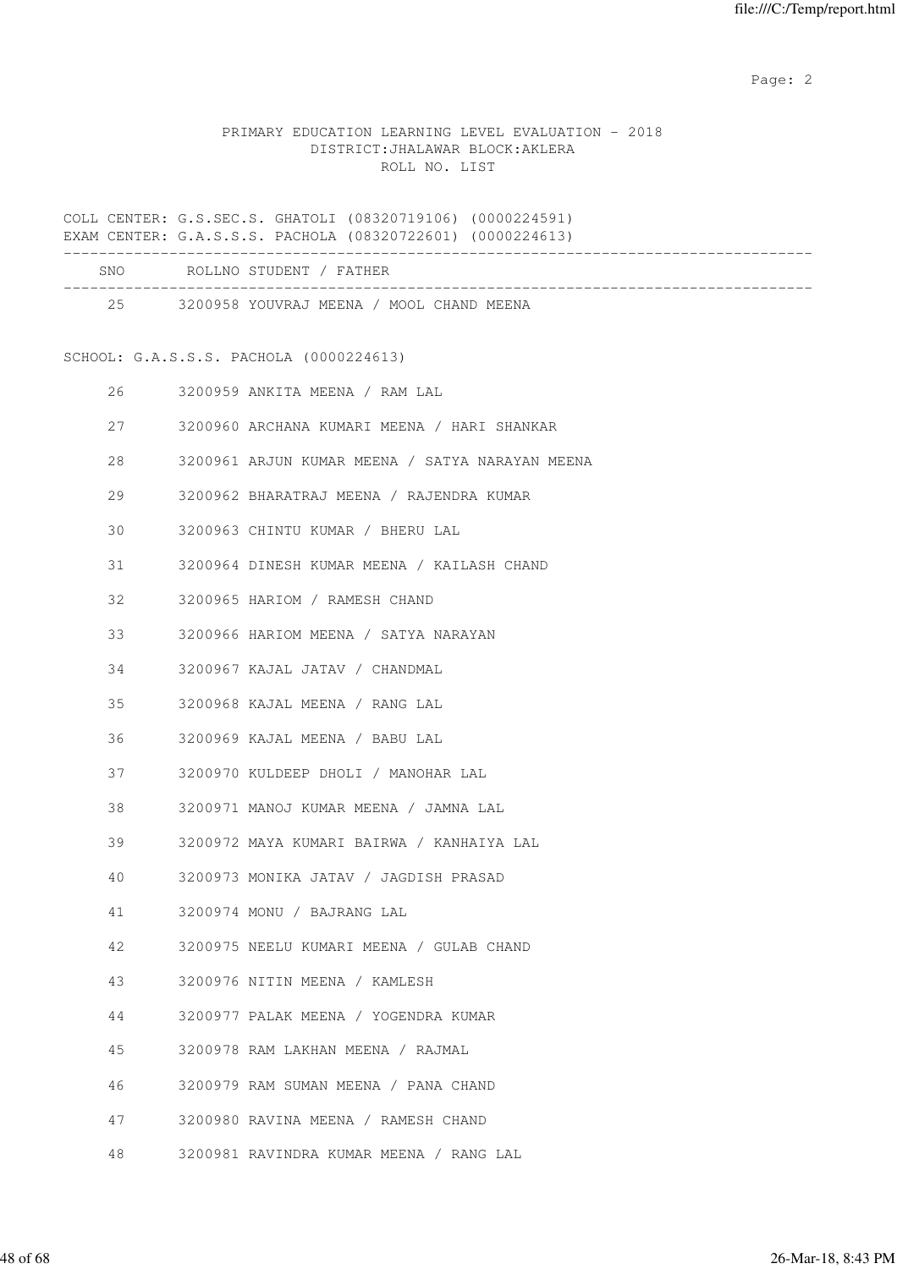# PRIMARY EDUCATION LEARNING LEVEL EVALUATION - 2018 DISTRICT:JHALAWAR BLOCK:AKLERA ROLL NO. LIST

COLL CENTER: G.S.SEC.S. GHATOLI (08320719106) (0000224591) EXAM CENTER: G.A.S.S.S. PACHOLA (08320722601) (0000224613)

|    |        | SNO ROLLNO STUDENT / FATHER                     |
|----|--------|-------------------------------------------------|
|    |        | 25 3200958 YOUVRAJ MEENA / MOOL CHAND MEENA     |
|    |        | SCHOOL: G.A.S.S.S. PACHOLA (0000224613)         |
|    | 26     | 3200959 ANKITA MEENA / RAM LAL                  |
|    | 27     | 3200960 ARCHANA KUMARI MEENA / HARI SHANKAR     |
| 28 |        | 3200961 ARJUN KUMAR MEENA / SATYA NARAYAN MEENA |
| 29 |        | 3200962 BHARATRAJ MEENA / RAJENDRA KUMAR        |
| 30 |        | 3200963 CHINTU KUMAR / BHERU LAL                |
|    | 31 — 1 | 3200964 DINESH KUMAR MEENA / KAILASH CHAND      |
| 32 |        | 3200965 HARIOM / RAMESH CHAND                   |
|    |        | 3200966 HARIOM MEENA / SATYA NARAYAN            |
| 34 |        | 3200967 KAJAL JATAV / CHANDMAL                  |
| 35 |        | 3200968 KAJAL MEENA / RANG LAL                  |
| 36 |        | 3200969 KAJAL MEENA / BABU LAL                  |
|    | 37     | 3200970 KULDEEP DHOLI / MANOHAR LAL             |
| 38 |        | 3200971 MANOJ KUMAR MEENA / JAMNA LAL           |
| 39 |        | 3200972 MAYA KUMARI BAIRWA / KANHAIYA LAL       |
| 40 |        | 3200973 MONIKA JATAV / JAGDISH PRASAD           |
| 41 |        | 3200974 MONU / BAJRANG LAL                      |
| 42 |        | 3200975 NEELU KUMARI MEENA / GULAB CHAND        |
| 43 |        | 3200976 NITIN MEENA / KAMLESH                   |
| 44 |        | 3200977 PALAK MEENA / YOGENDRA KUMAR            |
| 45 |        | 3200978 RAM LAKHAN MEENA / RAJMAL               |
| 46 |        | 3200979 RAM SUMAN MEENA / PANA CHAND            |
| 47 |        | 3200980 RAVINA MEENA / RAMESH CHAND             |
| 48 |        | 3200981 RAVINDRA KUMAR MEENA / RANG LAL         |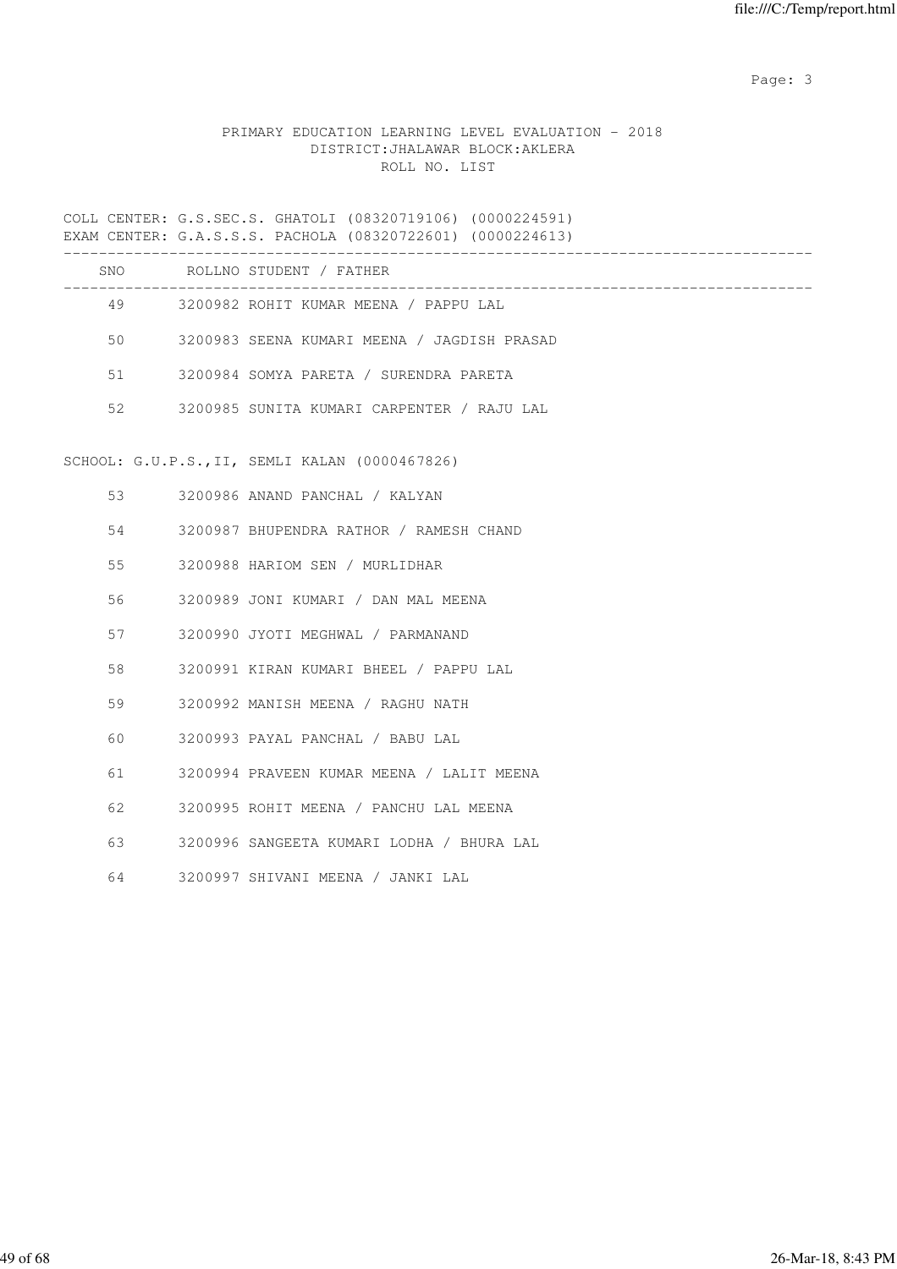# PRIMARY EDUCATION LEARNING LEVEL EVALUATION - 2018 DISTRICT:JHALAWAR BLOCK:AKLERA ROLL NO. LIST

COLL CENTER: G.S.SEC.S. GHATOLI (08320719106) (0000224591) EXAM CENTER: G.A.S.S.S. PACHOLA (08320722601) (0000224613)

|    | SNO ROLLNO STUDENT / FATHER                    |
|----|------------------------------------------------|
|    | 49 3200982 ROHIT KUMAR MEENA / PAPPU LAL       |
| 50 | 3200983 SEENA KUMARI MEENA / JAGDISH PRASAD    |
| 51 | 3200984 SOMYA PARETA / SURENDRA PARETA         |
| 52 | 3200985 SUNITA KUMARI CARPENTER / RAJU LAL     |
|    | SCHOOL: G.U.P.S., II, SEMLI KALAN (0000467826) |
| 53 | 3200986 ANAND PANCHAL / KALYAN                 |
| 54 | 3200987 BHUPENDRA RATHOR / RAMESH CHAND        |
| 55 | 3200988 HARIOM SEN / MURLIDHAR                 |
| 56 | 3200989 JONI KUMARI / DAN MAL MEENA            |
| 57 | 3200990 JYOTI MEGHWAL / PARMANAND              |
| 58 | 3200991 KIRAN KUMARI BHEEL / PAPPU LAL         |
| 59 | 3200992 MANISH MEENA / RAGHU NATH              |
| 60 | 3200993 PAYAL PANCHAL / BABU LAL               |
| 61 | 3200994 PRAVEEN KUMAR MEENA / LALIT MEENA      |
| 62 | 3200995 ROHIT MEENA / PANCHU LAL MEENA         |
| 63 | 3200996 SANGEETA KUMARI LODHA / BHURA LAL      |
| 64 | 3200997 SHIVANI MEENA / JANKI LAL              |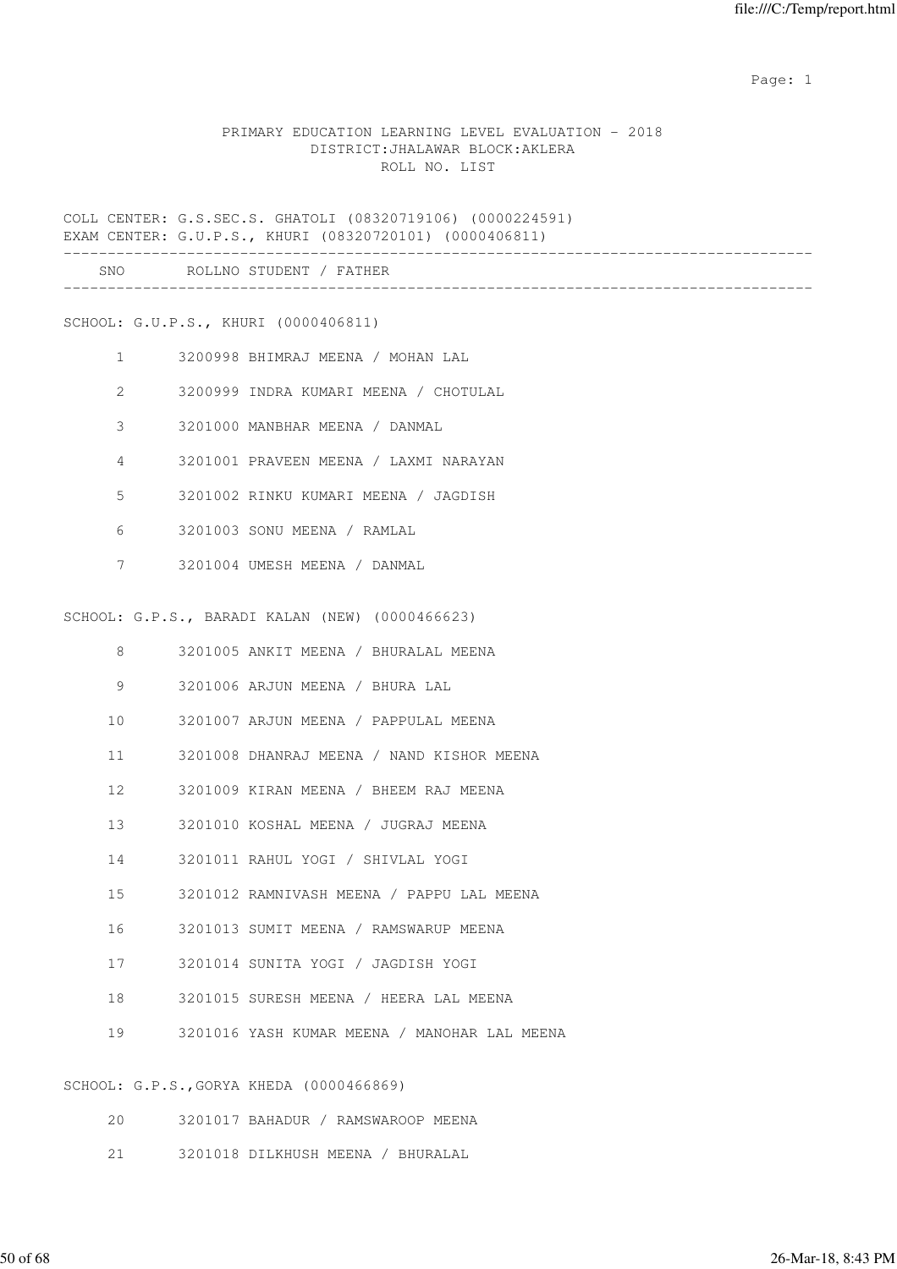#### PRIMARY EDUCATION LEARNING LEVEL EVALUATION - 2018 DISTRICT:JHALAWAR BLOCK:AKLERA ROLL NO. LIST

COLL CENTER: G.S.SEC.S. GHATOLI (08320719106) (0000224591) EXAM CENTER: G.U.P.S., KHURI (08320720101) (0000406811)

|     | --------------------------------- |  |
|-----|-----------------------------------|--|
| SNC | RC<br>، N<br>. н.                 |  |
|     | ____________________________      |  |

SCHOOL: G.U.P.S., KHURI (0000406811)

- 1 3200998 BHIMRAJ MEENA / MOHAN LAL 2 3200999 INDRA KUMARI MEENA / CHOTULAL 3 3201000 MANBHAR MEENA / DANMAL 4 3201001 PRAVEEN MEENA / LAXMI NARAYAN 5 3201002 RINKU KUMARI MEENA / JAGDISH 6 3201003 SONU MEENA / RAMLAL
- 7 3201004 UMESH MEENA / DANMAL

SCHOOL: G.P.S., BARADI KALAN (NEW) (0000466623)

 8 3201005 ANKIT MEENA / BHURALAL MEENA 9 3201006 ARJUN MEENA / BHURA LAL 10 3201007 ARJUN MEENA / PAPPULAL MEENA 11 3201008 DHANRAJ MEENA / NAND KISHOR MEENA 12 3201009 KIRAN MEENA / BHEEM RAJ MEENA 13 3201010 KOSHAL MEENA / JUGRAJ MEENA 14 3201011 RAHUL YOGI / SHIVLAL YOGI 15 3201012 RAMNIVASH MEENA / PAPPU LAL MEENA 16 3201013 SUMIT MEENA / RAMSWARUP MEENA 17 3201014 SUNITA YOGI / JAGDISH YOGI 18 3201015 SURESH MEENA / HEERA LAL MEENA 19 3201016 YASH KUMAR MEENA / MANOHAR LAL MEENA

SCHOOL: G.P.S.,GORYA KHEDA (0000466869)

- 20 3201017 BAHADUR / RAMSWAROOP MEENA
- 21 3201018 DILKHUSH MEENA / BHURALAL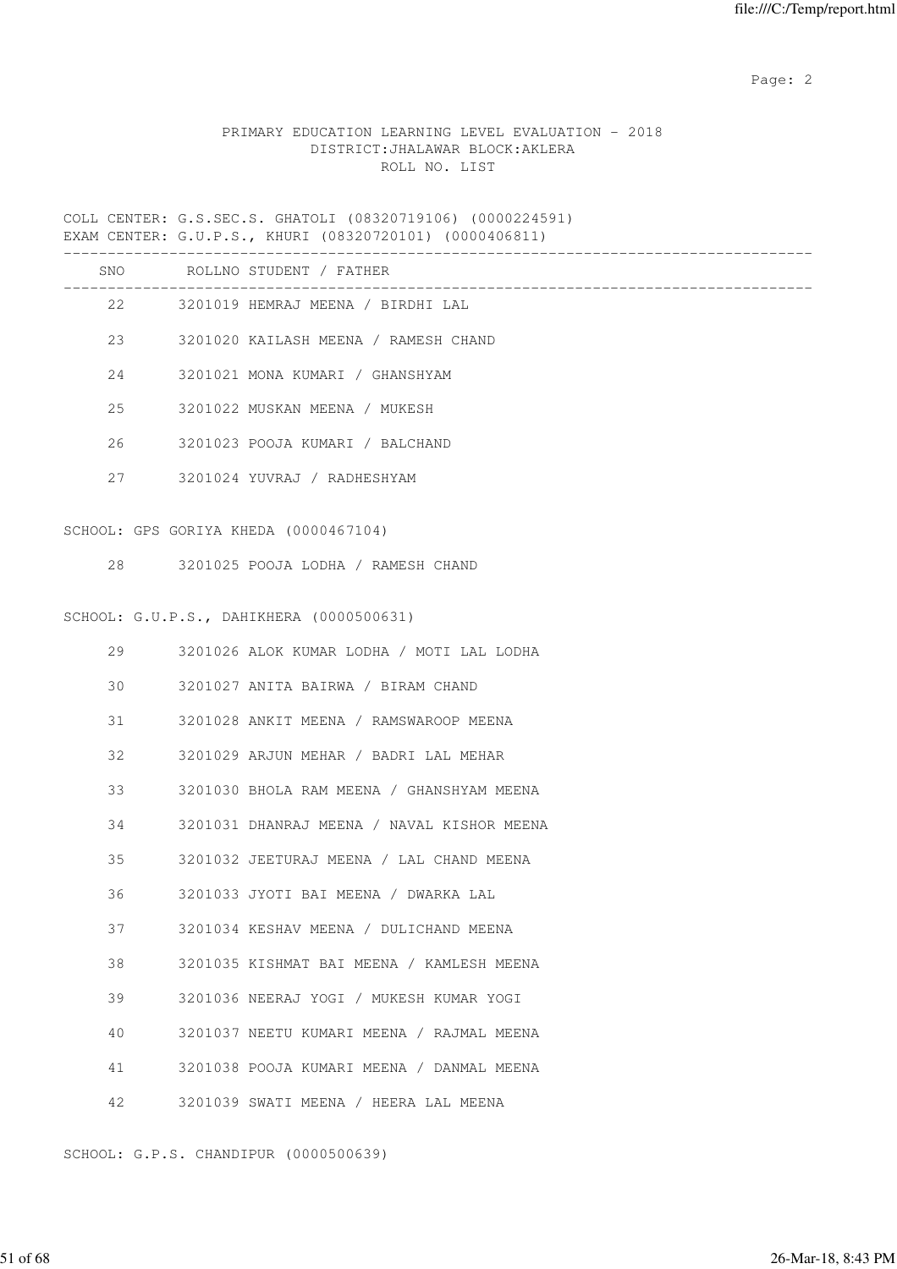## PRIMARY EDUCATION LEARNING LEVEL EVALUATION - 2018 DISTRICT:JHALAWAR BLOCK:AKLERA ROLL NO. LIST

COLL CENTER: G.S.SEC.S. GHATOLI (08320719106) (0000224591) EXAM CENTER: G.U.P.S., KHURI (08320720101) (0000406811)

|    | SNO ROLLNO STUDENT / FATHER                  |
|----|----------------------------------------------|
|    | 22 3201019 HEMRAJ MEENA / BIRDHI LAL         |
| 23 | 3201020 KAILASH MEENA / RAMESH CHAND         |
| 24 | 3201021 MONA KUMARI / GHANSHYAM              |
| 25 | 3201022 MUSKAN MEENA / MUKESH                |
| 26 | 3201023 POOJA KUMARI / BALCHAND              |
|    | 27 3201024 YUVRAJ / RADHESHYAM               |
|    |                                              |
|    | SCHOOL: GPS GORIYA KHEDA (0000467104)        |
|    | 28 3201025 POOJA LODHA / RAMESH CHAND        |
|    |                                              |
|    | SCHOOL: G.U.P.S., DAHIKHERA (0000500631)     |
|    | 29 3201026 ALOK KUMAR LODHA / MOTI LAL LODHA |
| 30 | 3201027 ANITA BAIRWA / BIRAM CHAND           |

31 3201028 ANKIT MEENA / RAMSWAROOP MEENA

32 3201029 ARJUN MEHAR / BADRI LAL MEHAR

33 3201030 BHOLA RAM MEENA / GHANSHYAM MEENA

34 3201031 DHANRAJ MEENA / NAVAL KISHOR MEENA

35 3201032 JEETURAJ MEENA / LAL CHAND MEENA

36 3201033 JYOTI BAI MEENA / DWARKA LAL

37 3201034 KESHAV MEENA / DULICHAND MEENA

38 3201035 KISHMAT BAI MEENA / KAMLESH MEENA

39 3201036 NEERAJ YOGI / MUKESH KUMAR YOGI

40 3201037 NEETU KUMARI MEENA / RAJMAL MEENA

41 3201038 POOJA KUMARI MEENA / DANMAL MEENA

42 3201039 SWATI MEENA / HEERA LAL MEENA

SCHOOL: G.P.S. CHANDIPUR (0000500639)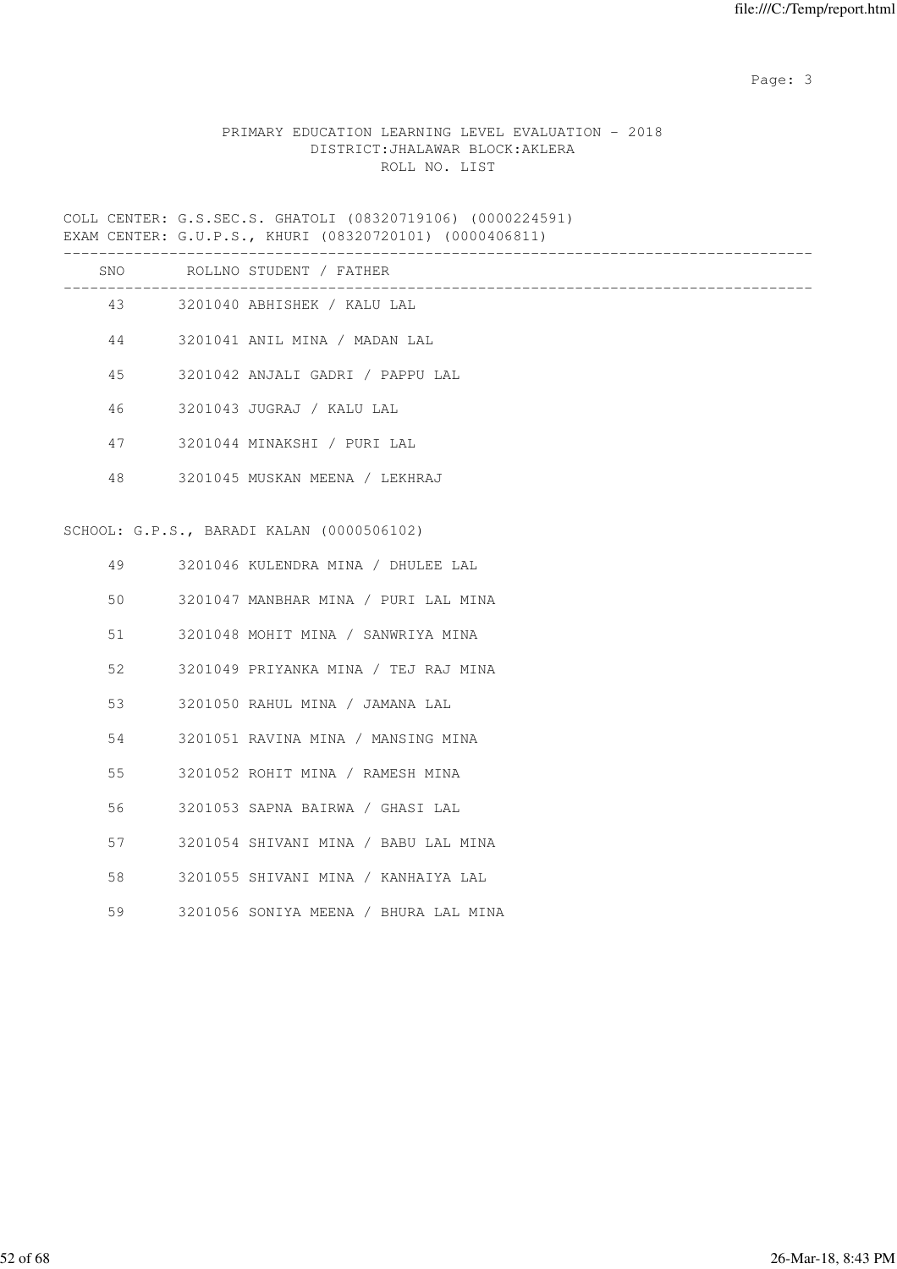# PRIMARY EDUCATION LEARNING LEVEL EVALUATION - 2018 DISTRICT:JHALAWAR BLOCK:AKLERA ROLL NO. LIST

COLL CENTER: G.S.SEC.S. GHATOLI (08320719106) (0000224591) EXAM CENTER: G.U.P.S., KHURI (08320720101) (0000406811)

|    | SNO ROLLNO STUDENT / FATHER               |
|----|-------------------------------------------|
|    | 43 3201040 ABHISHEK / KALU LAL            |
| 44 | 3201041 ANIL MINA / MADAN LAL             |
| 45 | 3201042 ANJALI GADRI / PAPPU LAL          |
| 46 | 3201043 JUGRAJ / KALU LAL                 |
| 47 | 3201044 MINAKSHI / PURI LAL               |
| 48 | 3201045 MUSKAN MEENA / LEKHRAJ            |
|    |                                           |
|    | SCHOOL: G.P.S., BARADI KALAN (0000506102) |
|    | 49 3201046 KULENDRA MINA / DHULEE LAL     |
| 50 | 3201047 MANBHAR MINA / PURI LAL MINA      |
| 51 | 3201048 MOHIT MINA / SANWRIYA MINA        |
| 52 | 3201049 PRIYANKA MINA / TEJ RAJ MINA      |

- 53 3201050 RAHUL MINA / JAMANA LAL
- 54 3201051 RAVINA MINA / MANSING MINA
- 55 3201052 ROHIT MINA / RAMESH MINA
- 56 3201053 SAPNA BAIRWA / GHASI LAL
- 57 3201054 SHIVANI MINA / BABU LAL MINA
- 58 3201055 SHIVANI MINA / KANHAIYA LAL
- 59 3201056 SONIYA MEENA / BHURA LAL MINA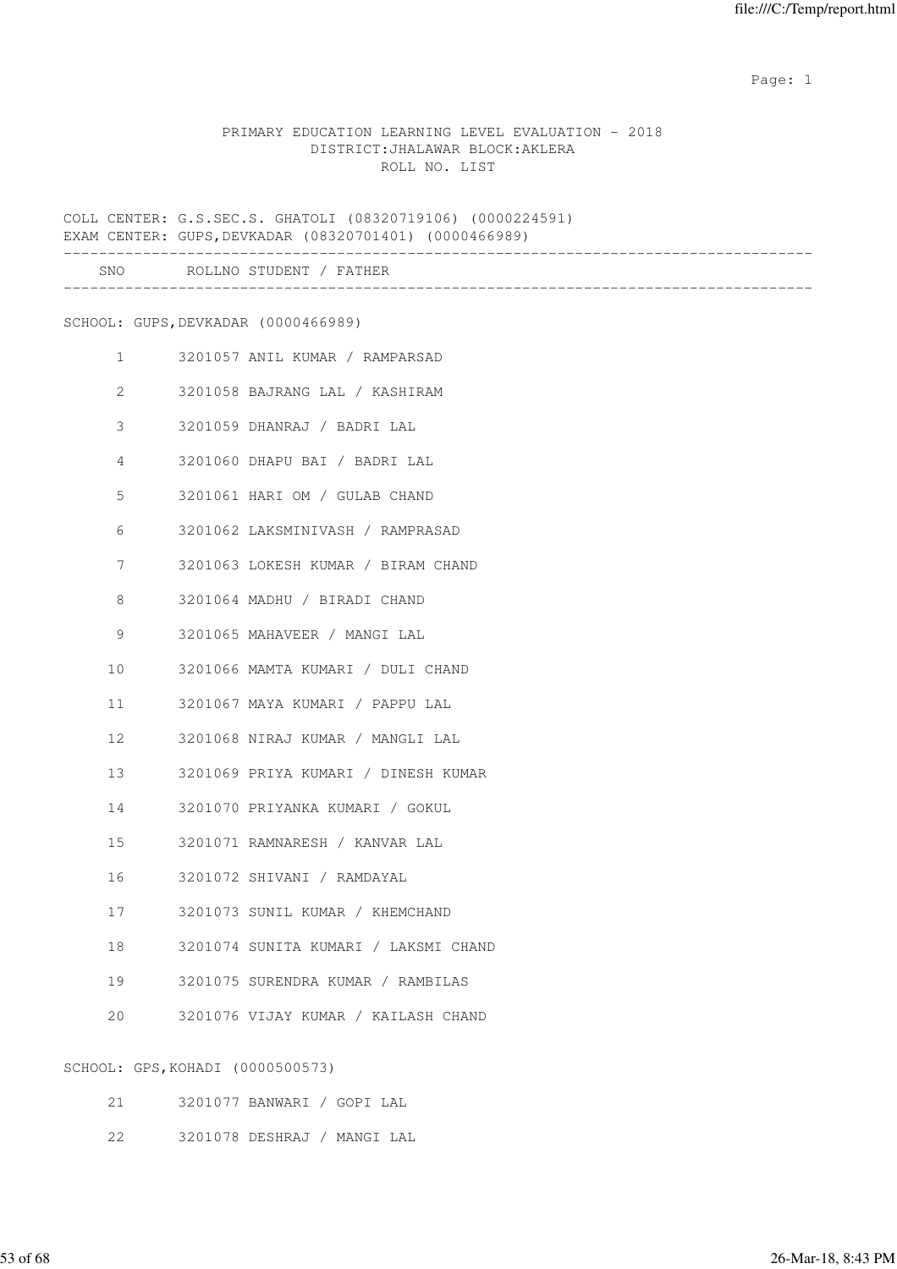#### PRIMARY EDUCATION LEARNING LEVEL EVALUATION - 2018 DISTRICT:JHALAWAR BLOCK:AKLERA ROLL NO. LIST

COLL CENTER: G.S.SEC.S. GHATOLI (08320719106) (0000224591) EXAM CENTER: GUPS,DEVKADAR (08320701401) (0000466989)

|                |                                  | SNO ROLLNO STUDENT / FATHER          |
|----------------|----------------------------------|--------------------------------------|
|                |                                  | SCHOOL: GUPS, DEVKADAR (0000466989)  |
|                | $1 \qquad \qquad$                | 3201057 ANIL KUMAR / RAMPARSAD       |
| $\overline{2}$ |                                  | 3201058 BAJRANG LAL / KASHIRAM       |
| 3              |                                  | 3201059 DHANRAJ / BADRI LAL          |
| $\overline{4}$ |                                  | 3201060 DHAPU BAI / BADRI LAL        |
| 5              |                                  | 3201061 HARI OM / GULAB CHAND        |
| 6              |                                  | 3201062 LAKSMINIVASH / RAMPRASAD     |
| 7              |                                  | 3201063 LOKESH KUMAR / BIRAM CHAND   |
| 8              |                                  | 3201064 MADHU / BIRADI CHAND         |
| 9              |                                  | 3201065 MAHAVEER / MANGI LAL         |
| 10             |                                  | 3201066 MAMTA KUMARI / DULI CHAND    |
| 11             |                                  | 3201067 MAYA KUMARI / PAPPU LAL      |
| 12             |                                  | 3201068 NIRAJ KUMAR / MANGLI LAL     |
| 13             |                                  | 3201069 PRIYA KUMARI / DINESH KUMAR  |
| 14             |                                  | 3201070 PRIYANKA KUMARI / GOKUL      |
| 15             |                                  | 3201071 RAMNARESH / KANVAR LAL       |
| 16             |                                  | 3201072 SHIVANI / RAMDAYAL           |
| 17             |                                  | 3201073 SUNIL KUMAR / KHEMCHAND      |
| 18             |                                  | 3201074 SUNITA KUMARI / LAKSMI CHAND |
| 19             |                                  | 3201075 SURENDRA KUMAR / RAMBILAS    |
| 20             |                                  | 3201076 VIJAY KUMAR / KAILASH CHAND  |
|                | SCHOOL: GPS, KOHADI (0000500573) |                                      |

- 21 3201077 BANWARI / GOPI LAL
- 22 3201078 DESHRAJ / MANGI LAL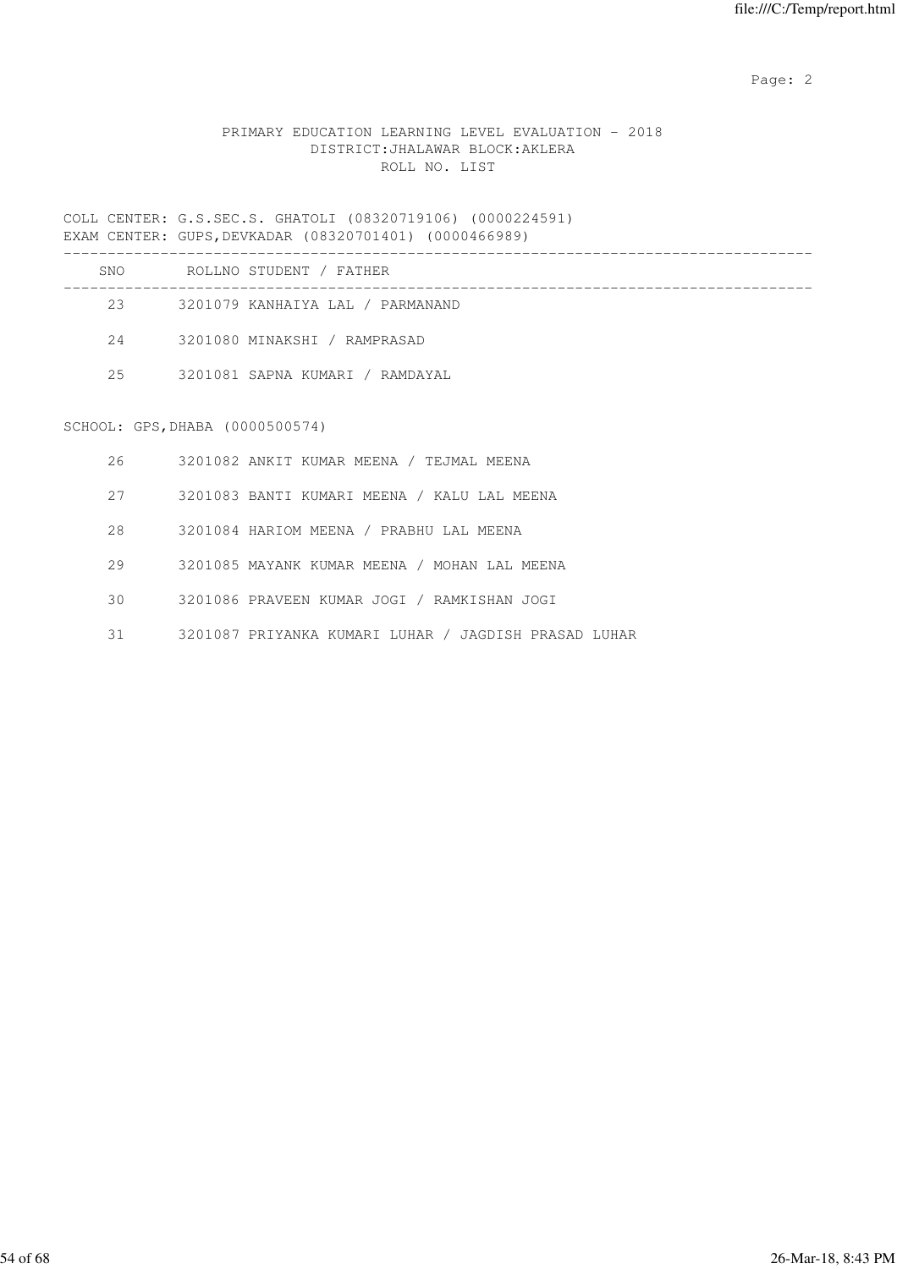# PRIMARY EDUCATION LEARNING LEVEL EVALUATION - 2018 DISTRICT:JHALAWAR BLOCK:AKLERA ROLL NO. LIST

COLL CENTER: G.S.SEC.S. GHATOLI (08320719106) (0000224591) EXAM CENTER: GUPS,DEVKADAR (08320701401) (0000466989)

| SNO | ROLLNO STUDENT / FATHER          |
|-----|----------------------------------|
| 23  | 3201079 KANHAIYA LAL / PARMANAND |
| 24  | 3201080 MINAKSHI / RAMPRASAD     |
| 2.5 | 3201081 SAPNA KUMARI / RAMDAYAL  |
|     |                                  |

# SCHOOL: GPS,DHABA (0000500574)

| 26  | 3201082 ANKIT KUMAR MEENA / TEJMAL MEENA             |
|-----|------------------------------------------------------|
| 27  | 3201083 BANTI KUMARI MEENA / KALU LAL MEENA          |
| 2.8 | 3201084 HARIOM MEENA / PRABHU LAL MEENA              |
| 29  | 3201085 MAYANK KUMAR MEENA / MOHAN LAL MEENA         |
| 30  | 3201086 PRAVEEN KUMAR JOGI / RAMKISHAN JOGI          |
| 31  | 3201087 PRIYANKA KUMARI LUHAR / JAGDISH PRASAD LUHAR |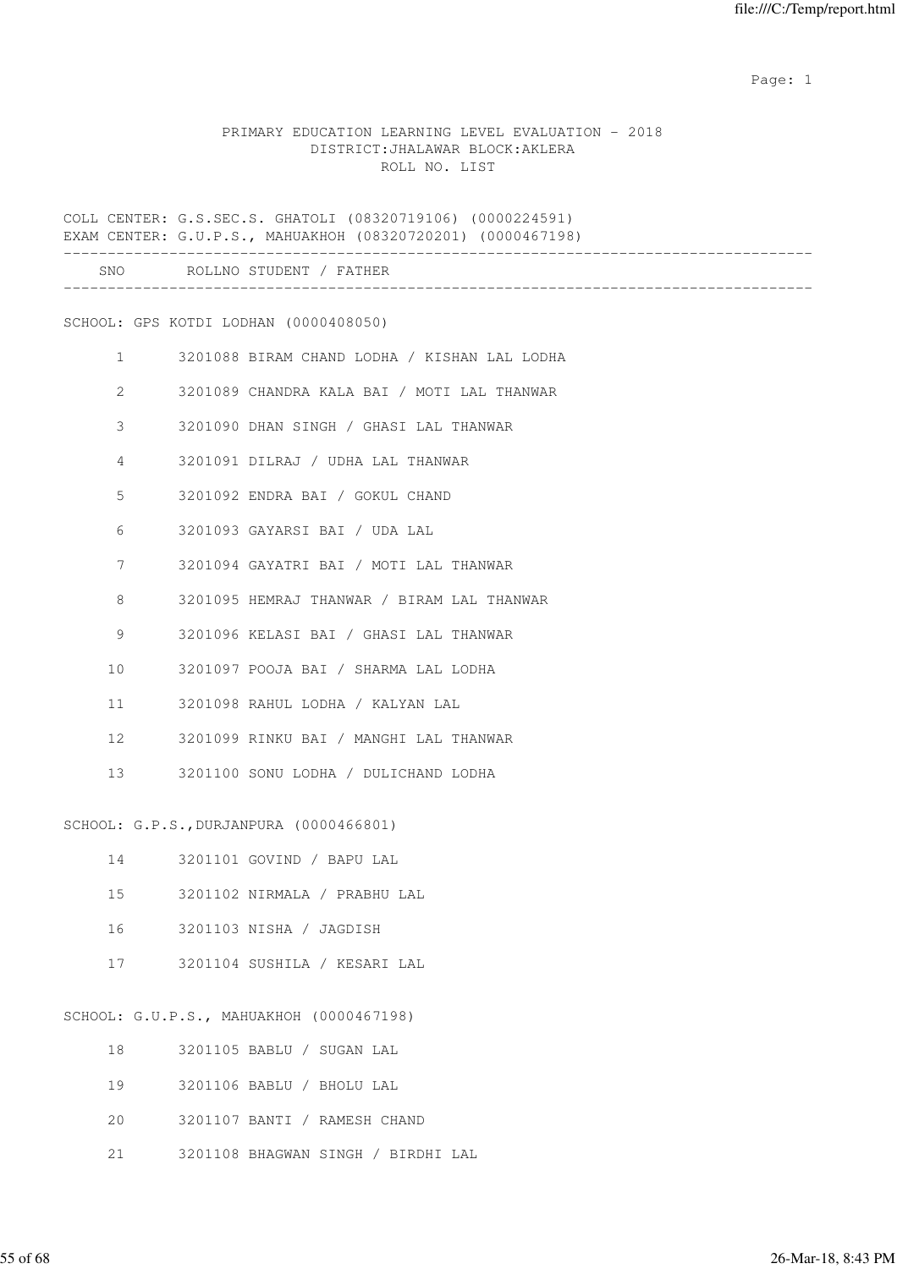#### PRIMARY EDUCATION LEARNING LEVEL EVALUATION - 2018 DISTRICT:JHALAWAR BLOCK:AKLERA ROLL NO. LIST

COLL CENTER: G.S.SEC.S. GHATOLI (08320719106) (0000224591) EXAM CENTER: G.U.P.S., MAHUAKHOH (08320720201) (0000467198)

|                   | SNO ROLLNO STUDENT / FATHER                  |
|-------------------|----------------------------------------------|
|                   | SCHOOL: GPS KOTDI LODHAN (0000408050)        |
|                   |                                              |
| $\mathbf{1}$      | 3201088 BIRAM CHAND LODHA / KISHAN LAL LODHA |
| $\overline{2}$    | 3201089 CHANDRA KALA BAI / MOTI LAL THANWAR  |
| 3                 | 3201090 DHAN SINGH / GHASI LAL THANWAR       |
| 4                 | 3201091 DILRAJ / UDHA LAL THANWAR            |
| 5                 | 3201092 ENDRA BAI / GOKUL CHAND              |
| 6                 | 3201093 GAYARSI BAI / UDA LAL                |
| 7                 | 3201094 GAYATRI BAI / MOTI LAL THANWAR       |
| 8                 | 3201095 HEMRAJ THANWAR / BIRAM LAL THANWAR   |
| 9                 | 3201096 KELASI BAI / GHASI LAL THANWAR       |
| 10                | 3201097 POOJA BAI / SHARMA LAL LODHA         |
| 11                | 3201098 RAHUL LODHA / KALYAN LAL             |
| $12 \overline{ }$ | 3201099 RINKU BAI / MANGHI LAL THANWAR       |
| 13                | 3201100 SONU LODHA / DULICHAND LODHA         |
|                   |                                              |

SCHOOL: G.P.S.,DURJANPURA (0000466801)

| 14 | 3201101 GOVIND / BAPU LAL    |  |
|----|------------------------------|--|
| 15 | 3201102 NIRMALA / PRABHU LAL |  |
| 16 | 3201103 NISHA / JAGDISH      |  |
| 17 | 3201104 SUSHILA / KESARI LAL |  |
|    |                              |  |

SCHOOL: G.U.P.S., MAHUAKHOH (0000467198)

| 18 |  | 3201105 BABLU / SUGAN LAL          |
|----|--|------------------------------------|
| 19 |  | 3201106 BABLU / BHOLU LAL          |
| 20 |  | 3201107 BANTI / RAMESH CHAND       |
| 21 |  | 3201108 BHAGWAN SINGH / BIRDHI LAL |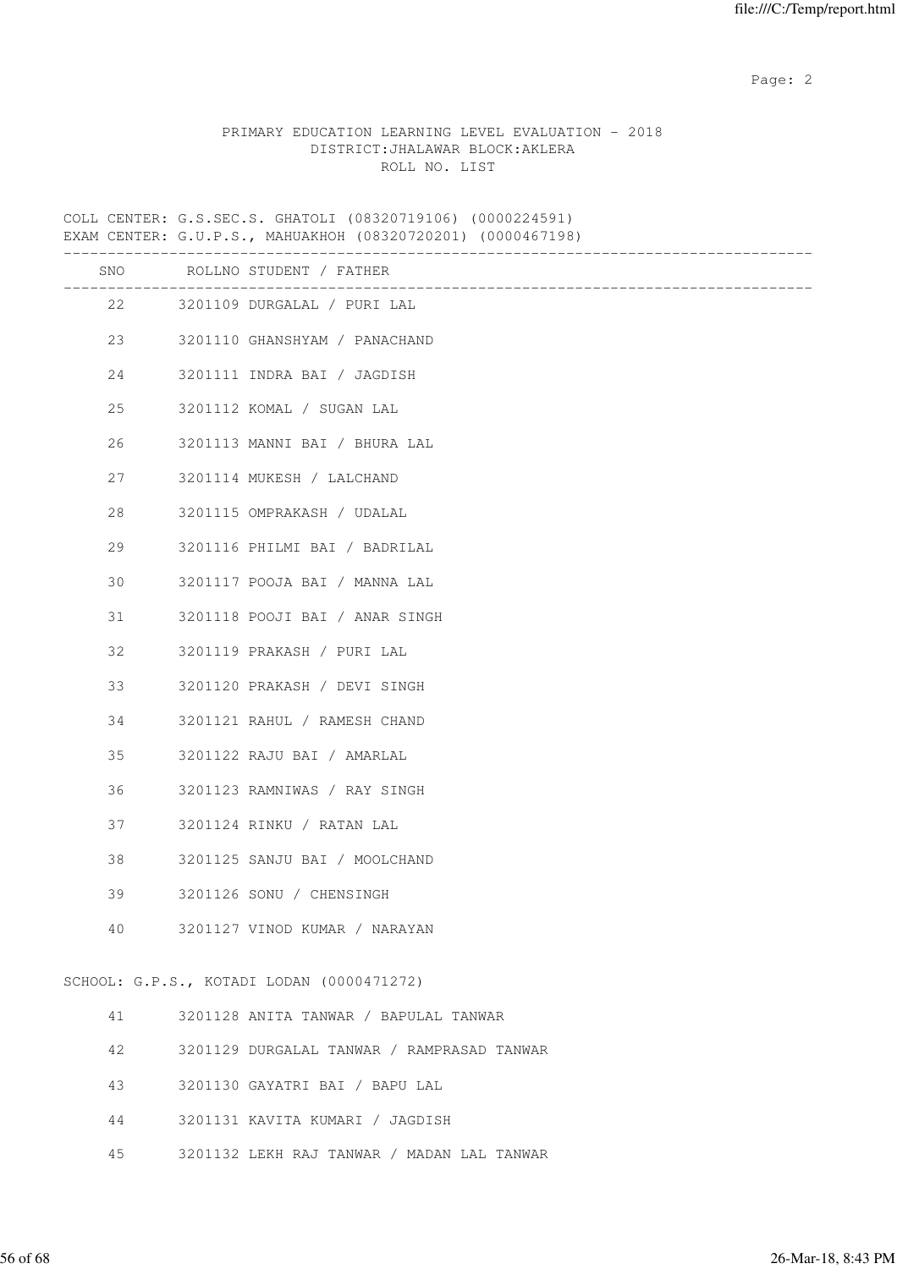# PRIMARY EDUCATION LEARNING LEVEL EVALUATION - 2018 DISTRICT:JHALAWAR BLOCK:AKLERA ROLL NO. LIST

COLL CENTER: G.S.SEC.S. GHATOLI (08320719106) (0000224591)

|     | EXAM CENTER: G.U.P.S., MAHUAKHOH (08320720201) (0000467198) |
|-----|-------------------------------------------------------------|
| SNO | ROLLNO STUDENT / FATHER<br>__________________________       |
| 22  | 3201109 DURGALAL / PURI LAL                                 |
| 23  | 3201110 GHANSHYAM / PANACHAND                               |
| 24  | 3201111 INDRA BAI / JAGDISH                                 |
| 25  | 3201112 KOMAL / SUGAN LAL                                   |
| 26  | 3201113 MANNI BAI / BHURA LAL                               |
| 27  | 3201114 MUKESH / LALCHAND                                   |
| 28  | 3201115 OMPRAKASH / UDALAL                                  |
| 29  | 3201116 PHILMI BAI / BADRILAL                               |
| 30  | 3201117 POOJA BAI / MANNA LAL                               |
| 31  | 3201118 POOJI BAI / ANAR SINGH                              |
| 32  | 3201119 PRAKASH / PURI LAL                                  |
| 33  | 3201120 PRAKASH / DEVI SINGH                                |
| 34  | 3201121 RAHUL / RAMESH CHAND                                |
| 35  | 3201122 RAJU BAI / AMARLAL                                  |
| 36  | 3201123 RAMNIWAS / RAY SINGH                                |
| 37  | 3201124 RINKU / RATAN LAL                                   |
| 38  | 3201125 SANJU BAI / MOOLCHAND                               |
| 39  | 3201126 SONU / CHENSINGH                                    |
| 40  | 3201127 VINOD KUMAR / NARAYAN                               |
|     | SCHOOL: G.P.S., KOTADI LODAN (0000471272)                   |
| 41  | 3201128 ANITA TANWAR / BAPULAL TANWAR                       |
| 42  | 3201129 DURGALAL TANWAR / RAMPRASAD TANWAR                  |

- 43 3201130 GAYATRI BAI / BAPU LAL
- 44 3201131 KAVITA KUMARI / JAGDISH
- 45 3201132 LEKH RAJ TANWAR / MADAN LAL TANWAR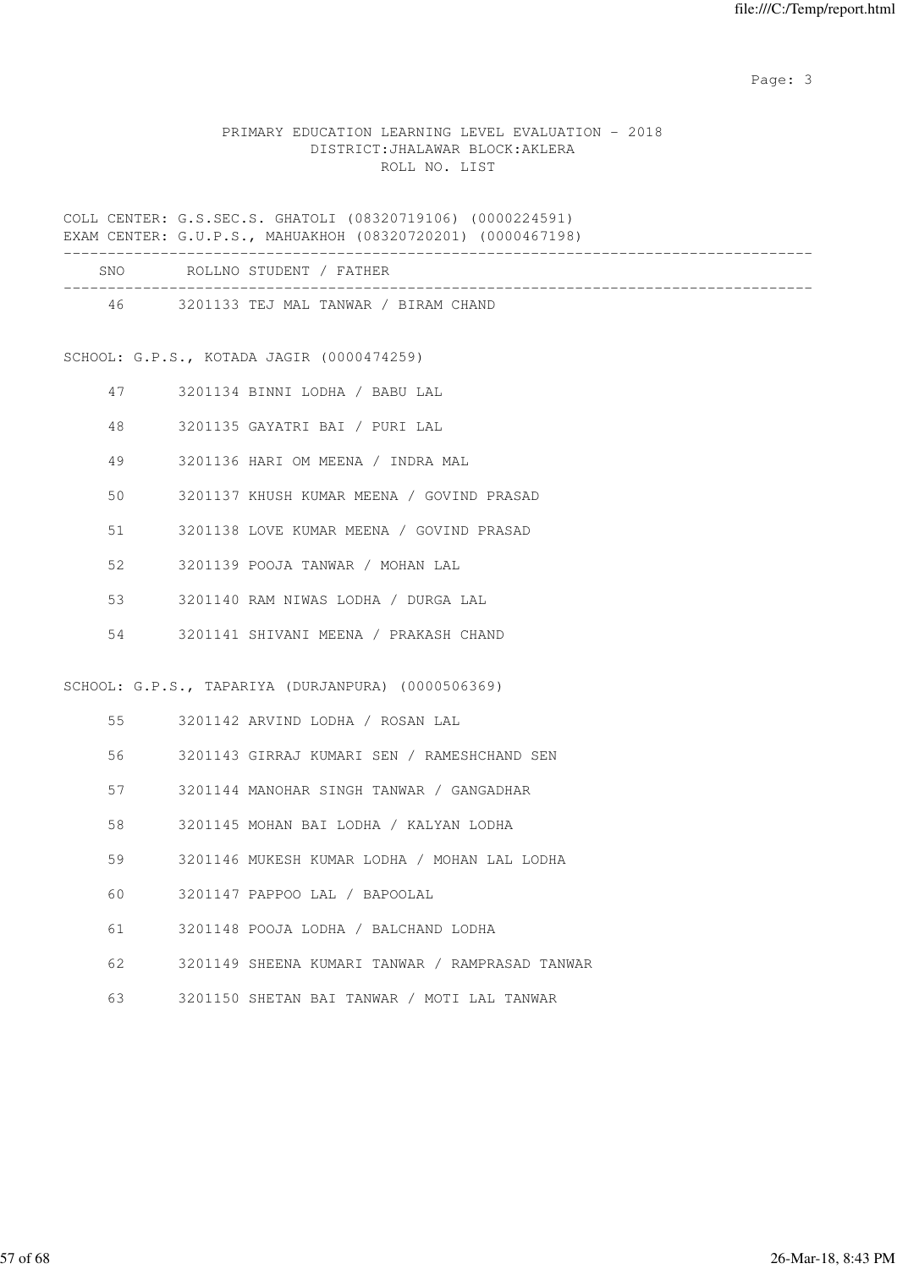## PRIMARY EDUCATION LEARNING LEVEL EVALUATION - 2018 DISTRICT:JHALAWAR BLOCK:AKLERA ROLL NO. LIST

COLL CENTER: G.S.SEC.S. GHATOLI (08320719106) (0000224591) EXAM CENTER: G.U.P.S., MAHUAKHOH (08320720201) (0000467198)

| SNO | ROLLNO STUDENT / FATHER              |  |
|-----|--------------------------------------|--|
| 46  | 3201133 TEJ MAL TANWAR / BIRAM CHAND |  |

SCHOOL: G.P.S., KOTADA JAGIR (0000474259)

- 47 3201134 BINNI LODHA / BABU LAL
- 48 3201135 GAYATRI BAI / PURI LAL
- 49 3201136 HARI OM MEENA / INDRA MAL
- 50 3201137 KHUSH KUMAR MEENA / GOVIND PRASAD
- 51 3201138 LOVE KUMAR MEENA / GOVIND PRASAD
- 52 3201139 POOJA TANWAR / MOHAN LAL
- 53 3201140 RAM NIWAS LODHA / DURGA LAL
- 54 3201141 SHIVANI MEENA / PRAKASH CHAND

SCHOOL: G.P.S., TAPARIYA (DURJANPURA) (0000506369)

- 55 3201142 ARVIND LODHA / ROSAN LAL
- 56 3201143 GIRRAJ KUMARI SEN / RAMESHCHAND SEN
- 57 3201144 MANOHAR SINGH TANWAR / GANGADHAR
- 58 3201145 MOHAN BAI LODHA / KALYAN LODHA
- 59 3201146 MUKESH KUMAR LODHA / MOHAN LAL LODHA
- 60 3201147 PAPPOO LAL / BAPOOLAL
- 61 3201148 POOJA LODHA / BALCHAND LODHA
- 62 3201149 SHEENA KUMARI TANWAR / RAMPRASAD TANWAR
- 63 3201150 SHETAN BAI TANWAR / MOTI LAL TANWAR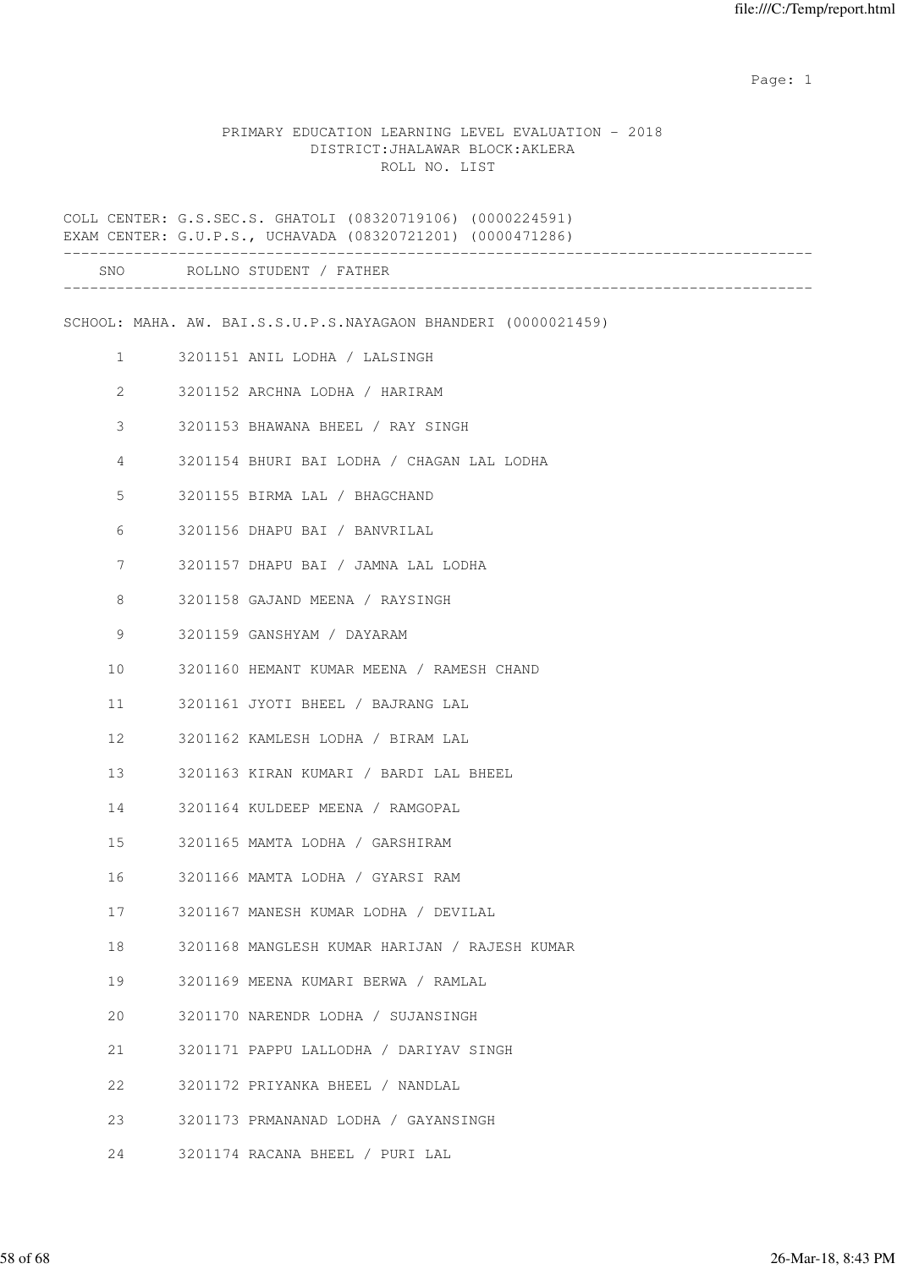#### PRIMARY EDUCATION LEARNING LEVEL EVALUATION - 2018 DISTRICT:JHALAWAR BLOCK:AKLERA ROLL NO. LIST

COLL CENTER: G.S.SEC.S. GHATOLI (08320719106) (0000224591) EXAM CENTER: G.U.P.S., UCHAVADA (08320721201) (0000471286) ------------------------------------------------------------------------------------- SNO ROLLNO STUDENT / FATHER ------------------------------------------------------------------------------------- SCHOOL: MAHA. AW. BAI.S.S.U.P.S.NAYAGAON BHANDERI (0000021459) 1 3201151 ANIL LODHA / LALSINGH 2 3201152 ARCHNA LODHA / HARIRAM 3 3201153 BHAWANA BHEEL / RAY SINGH 4 3201154 BHURI BAI LODHA / CHAGAN LAL LODHA 5 3201155 BIRMA LAL / BHAGCHAND 6 3201156 DHAPU BAI / BANVRILAL 7 3201157 DHAPU BAI / JAMNA LAL LODHA 8 3201158 GAJAND MEENA / RAYSINGH 9 3201159 GANSHYAM / DAYARAM 10 3201160 HEMANT KUMAR MEENA / RAMESH CHAND 11 3201161 JYOTI BHEEL / BAJRANG LAL 12 3201162 KAMLESH LODHA / BIRAM LAL 13 3201163 KIRAN KUMARI / BARDI LAL BHEEL 14 3201164 KULDEEP MEENA / RAMGOPAL 15 3201165 MAMTA LODHA / GARSHIRAM 16 3201166 MAMTA LODHA / GYARSI RAM 17 3201167 MANESH KUMAR LODHA / DEVILAL 18 3201168 MANGLESH KUMAR HARIJAN / RAJESH KUMAR 19 3201169 MEENA KUMARI BERWA / RAMLAL 20 3201170 NARENDR LODHA / SUJANSINGH 21 3201171 PAPPU LALLODHA / DARIYAV SINGH 22 3201172 PRIYANKA BHEEL / NANDLAL 23 3201173 PRMANANAD LODHA / GAYANSINGH 24 3201174 RACANA BHEEL / PURI LAL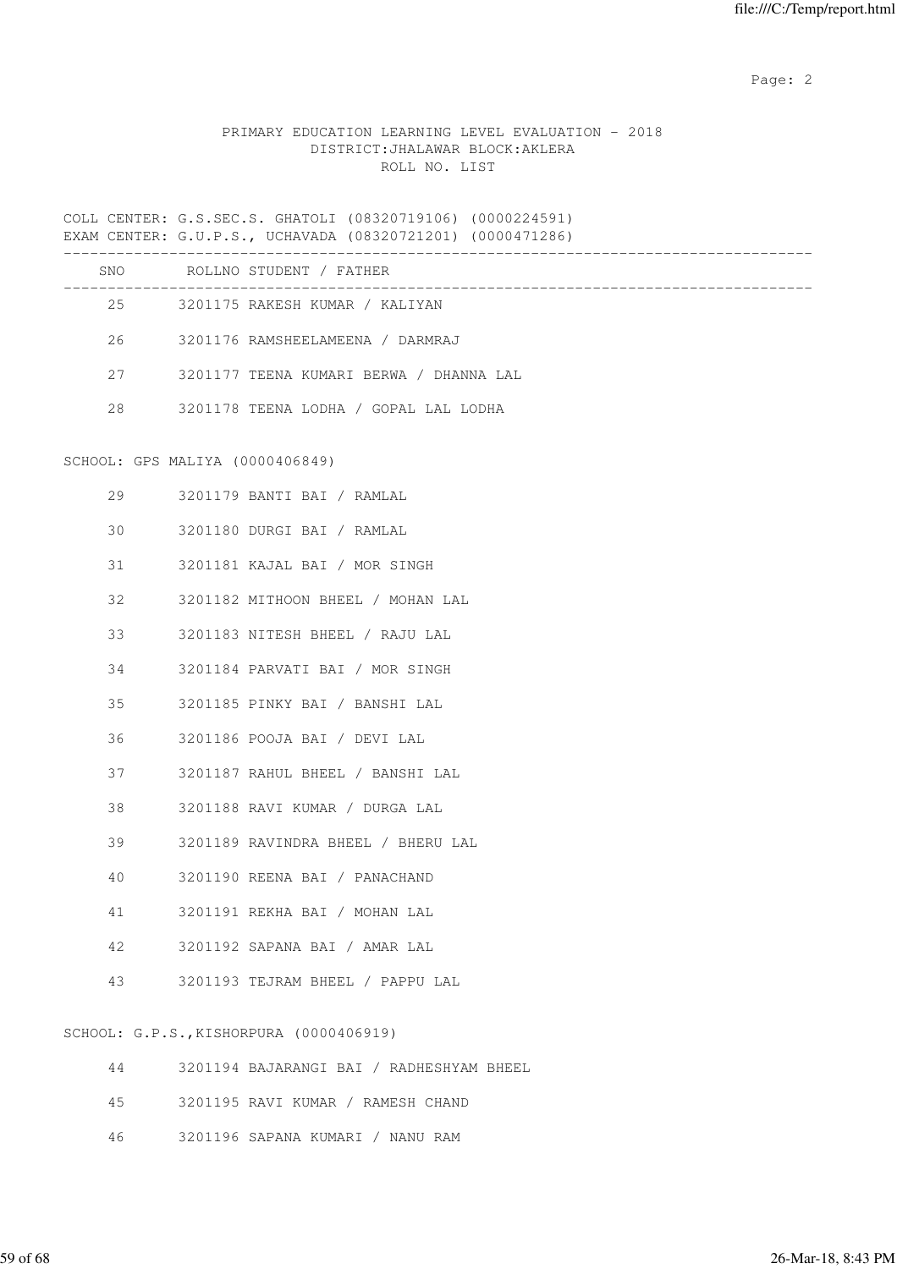# PRIMARY EDUCATION LEARNING LEVEL EVALUATION - 2018 DISTRICT:JHALAWAR BLOCK:AKLERA ROLL NO. LIST

COLL CENTER: G.S.SEC.S. GHATOLI (08320719106) (0000224591) EXAM CENTER: G.U.P.S., UCHAVADA (08320721201) (0000471286)

|                                 | SNO ROLLNO STUDENT / FATHER              |
|---------------------------------|------------------------------------------|
|                                 | 25 3201175 RAKESH KUMAR / KALIYAN        |
|                                 | 26 3201176 RAMSHEELAMEENA / DARMRAJ      |
| 27                              | 3201177 TEENA KUMARI BERWA / DHANNA LAL  |
|                                 | 28 3201178 TEENA LODHA / GOPAL LAL LODHA |
| SCHOOL: GPS MALIYA (0000406849) |                                          |
|                                 | 29 3201179 BANTI BAI / RAMLAL            |
|                                 | 30 3201180 DURGI BAI / RAMLAL            |
| 31                              | 3201181 KAJAL BAI / MOR SINGH            |

- 32 3201182 MITHOON BHEEL / MOHAN LAL
- 33 3201183 NITESH BHEEL / RAJU LAL
- 34 3201184 PARVATI BAI / MOR SINGH
- 35 3201185 PINKY BAI / BANSHI LAL
- 36 3201186 POOJA BAI / DEVI LAL
- 37 3201187 RAHUL BHEEL / BANSHI LAL
- 38 3201188 RAVI KUMAR / DURGA LAL
- 39 3201189 RAVINDRA BHEEL / BHERU LAL
- 40 3201190 REENA BAI / PANACHAND
- 41 3201191 REKHA BAI / MOHAN LAL
- 42 3201192 SAPANA BAI / AMAR LAL
- 43 3201193 TEJRAM BHEEL / PAPPU LAL

SCHOOL: G.P.S.,KISHORPURA (0000406919)

| 44      | 3201194 BAJARANGI BAI / RADHESHYAM BHEEL |
|---------|------------------------------------------|
|         | 45 3201195 RAVI KUMAR / RAMESH CHAND     |
| 46 - 16 | 3201196 SAPANA KUMARI / NANU RAM         |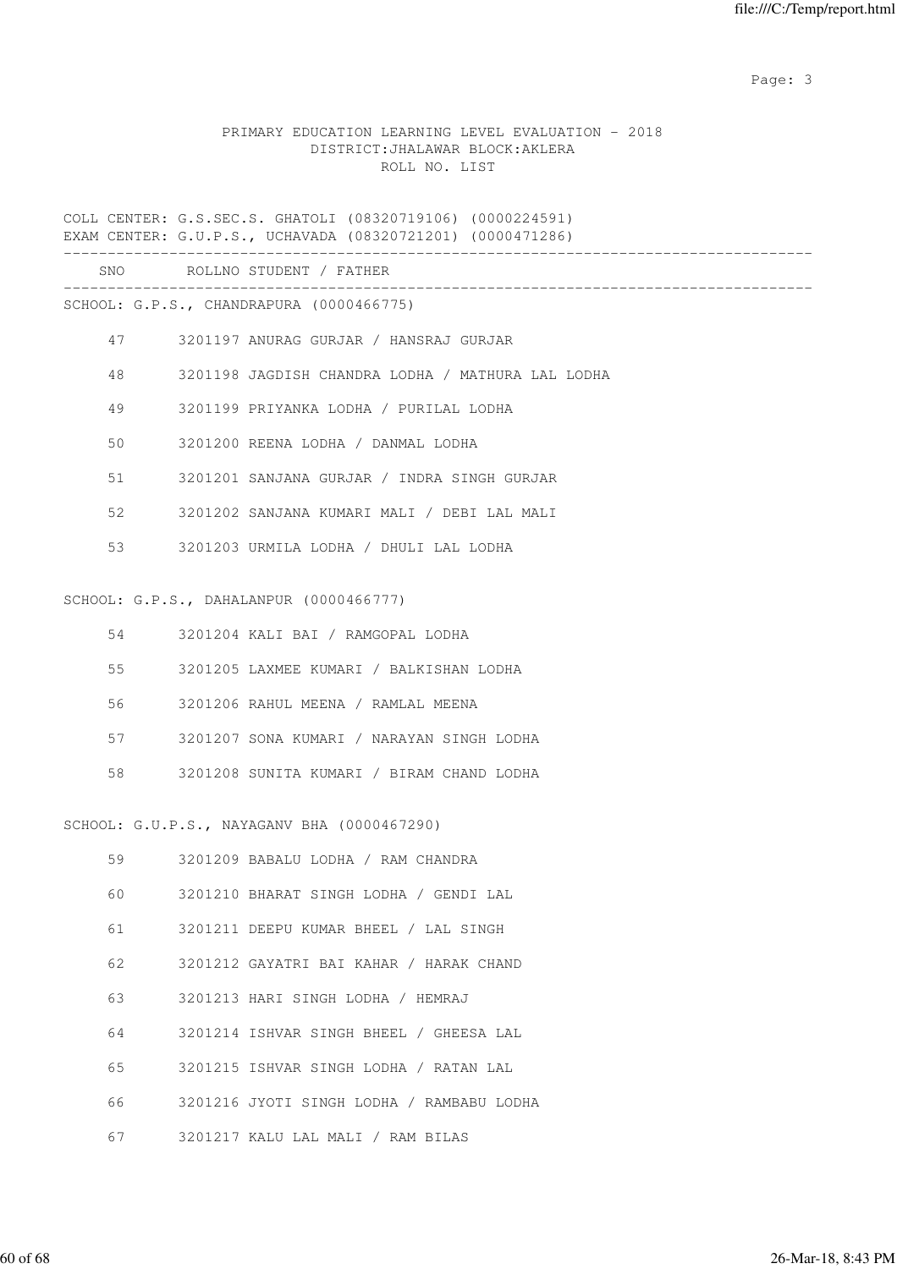#### PRIMARY EDUCATION LEARNING LEVEL EVALUATION - 2018 DISTRICT:JHALAWAR BLOCK:AKLERA ROLL NO. LIST

COLL CENTER: G.S.SEC.S. GHATOLI (08320719106) (0000224591) EXAM CENTER: G.U.P.S., UCHAVADA (08320721201) (0000471286)

 SNO ROLLNO STUDENT / FATHER -------------------------------------------------------------------------------------

SCHOOL: G.P.S., CHANDRAPURA (0000466775)

- 47 3201197 ANURAG GURJAR / HANSRAJ GURJAR
- 48 3201198 JAGDISH CHANDRA LODHA / MATHURA LAL LODHA
- 49 3201199 PRIYANKA LODHA / PURILAL LODHA
- 50 3201200 REENA LODHA / DANMAL LODHA
- 51 3201201 SANJANA GURJAR / INDRA SINGH GURJAR
- 52 3201202 SANJANA KUMARI MALI / DEBI LAL MALI
- 53 3201203 URMILA LODHA / DHULI LAL LODHA

#### SCHOOL: G.P.S., DAHALANPUR (0000466777)

|  | 54 3201204 KALI BAI / RAMGOPAL LODHA       |
|--|--------------------------------------------|
|  | 55 3201205 LAXMEE KUMARI / BALKISHAN LODHA |
|  |                                            |

- 57 3201207 SONA KUMARI / NARAYAN SINGH LODHA
- 58 3201208 SUNITA KUMARI / BIRAM CHAND LODHA

#### SCHOOL: G.U.P.S., NAYAGANV BHA (0000467290)

| 59 | 3201209 BABALU LODHA / RAM CHANDRA        |
|----|-------------------------------------------|
| 60 | 3201210 BHARAT SINGH LODHA / GENDI LAL    |
| 61 | 3201211 DEEPU KUMAR BHEEL / LAL SINGH     |
| 62 | 3201212 GAYATRI BAI KAHAR / HARAK CHAND   |
| 63 | 3201213 HARI SINGH LODHA / HEMRAJ         |
| 64 | 3201214 ISHVAR SINGH BHEEL / GHEESA LAL   |
| 65 | 3201215 ISHVAR SINGH LODHA / RATAN LAL    |
| 66 | 3201216 JYOTI SINGH LODHA / RAMBABU LODHA |
| 67 | 3201217 KALU LAL MALI / RAM BILAS         |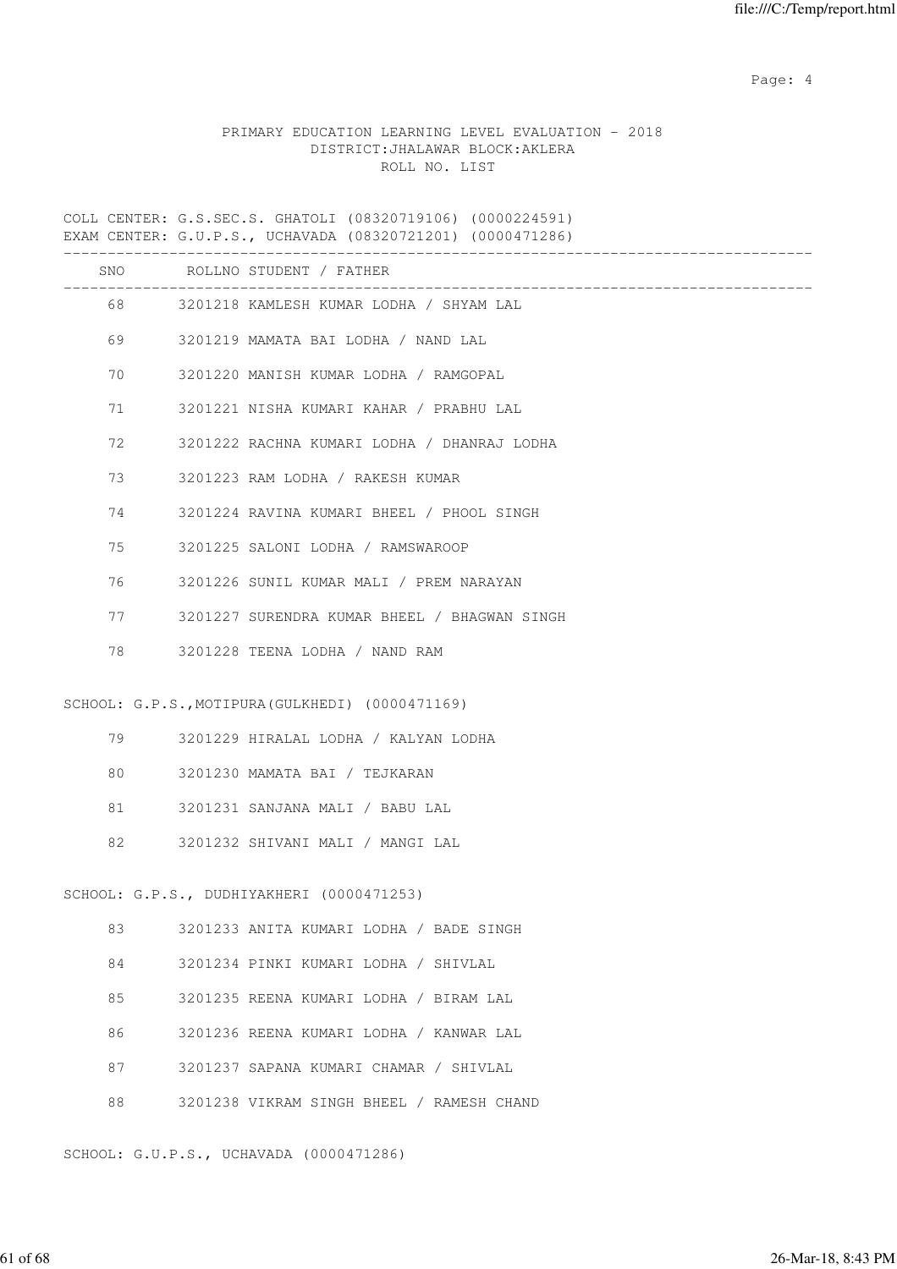Page: 4  $P$ 

# PRIMARY EDUCATION LEARNING LEVEL EVALUATION - 2018 DISTRICT:JHALAWAR BLOCK:AKLERA ROLL NO. LIST

COLL CENTER: G.S.SEC.S. GHATOLI (08320719106) (0000224591) EXAM CENTER: G.U.P.S., UCHAVADA (08320721201) (0000471286)

|    |         | SNO ROLLNO STUDENT / FATHER                                            |
|----|---------|------------------------------------------------------------------------|
|    |         | ________________________<br>68 3201218 KAMLESH KUMAR LODHA / SHYAM LAL |
|    | 69      | 3201219 MAMATA BAI LODHA / NAND LAL                                    |
| 70 |         | 3201220 MANISH KUMAR LODHA / RAMGOPAL                                  |
| 71 |         | 3201221 NISHA KUMARI KAHAR / PRABHU LAL                                |
| 72 |         | 3201222 RACHNA KUMARI LODHA / DHANRAJ LODHA                            |
| 73 |         | 3201223 RAM LODHA / RAKESH KUMAR                                       |
| 74 |         | 3201224 RAVINA KUMARI BHEEL / PHOOL SINGH                              |
| 75 |         | 3201225 SALONI LODHA / RAMSWAROOP                                      |
| 76 |         | 3201226 SUNIL KUMAR MALI / PREM NARAYAN                                |
|    | 77 — 20 | 3201227 SURENDRA KUMAR BHEEL / BHAGWAN SINGH                           |
| 78 |         | 3201228 TEENA LODHA / NAND RAM                                         |
|    |         |                                                                        |
|    |         | SCHOOL: G.P.S., MOTIPURA (GULKHEDI) (0000471169)                       |
|    | 79      | 3201229 HIRALAL LODHA / KALYAN LODHA                                   |
| 80 |         | 3201230 MAMATA BAI / TEJKARAN                                          |
| 81 |         | 3201231 SANJANA MALI / BABU LAL                                        |
| 82 |         | 3201232 SHIVANI MALI / MANGI LAL                                       |
|    |         |                                                                        |
|    |         | SCHOOL: G.P.S., DUDHIYAKHERI (0000471253)                              |
| 83 |         | 3201233 ANITA KUMARI LODHA / BADE SINGH                                |
| 84 |         | 3201234 PINKI KUMARI LODHA / SHIVLAL                                   |
| 85 |         | 3201235 REENA KUMARI LODHA / BIRAM LAL                                 |
| 86 |         | 3201236 REENA KUMARI LODHA / KANWAR LAL                                |
| 87 |         | 3201237 SAPANA KUMARI CHAMAR / SHIVLAL                                 |
| 88 |         | 3201238 VIKRAM SINGH BHEEL / RAMESH CHAND                              |
|    |         | SCHOOL: G.U.P.S., UCHAVADA (0000471286)                                |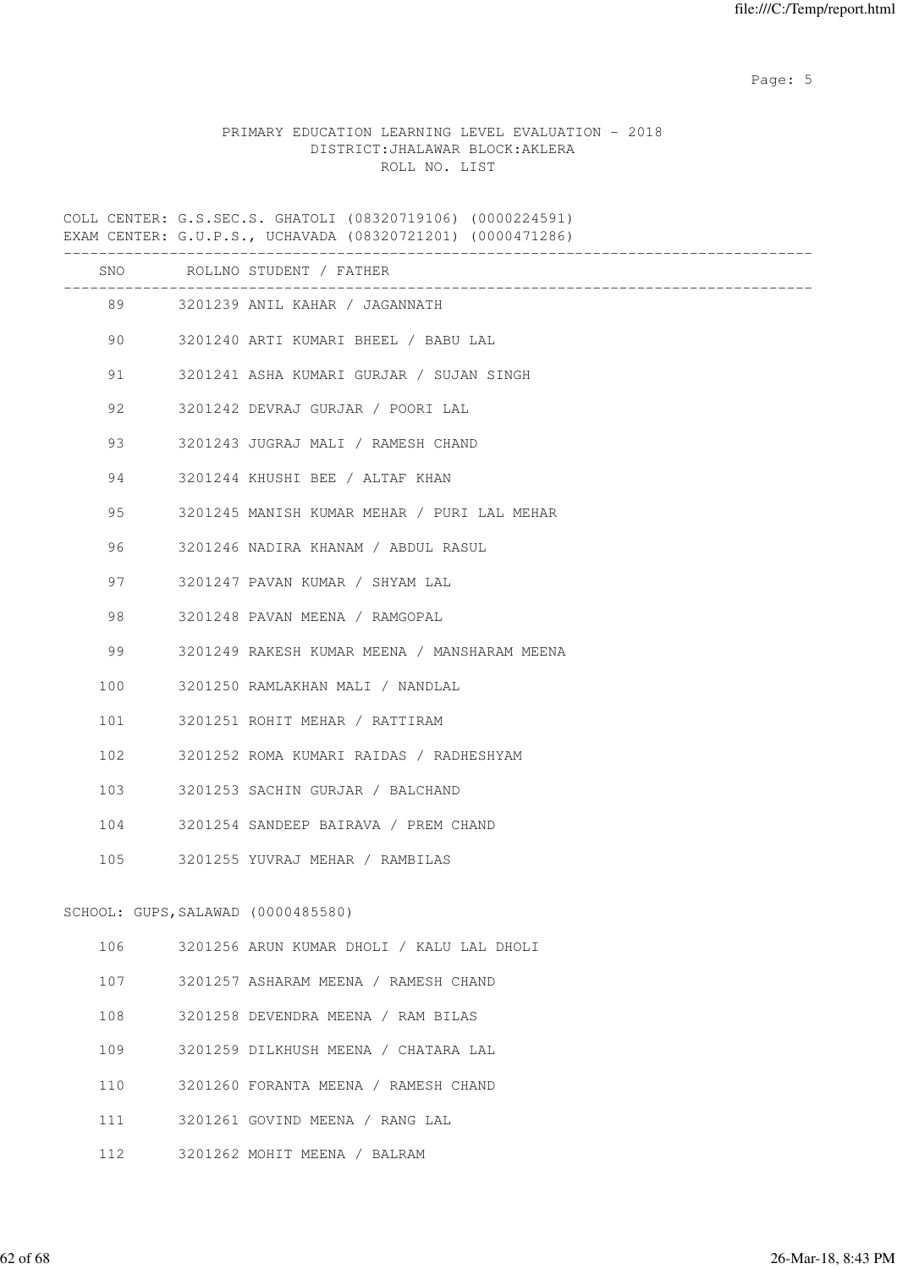Page: 5  $P$  and  $P$  and  $P$  and  $P$  and  $P$  and  $P$  and  $P$  and  $P$  and  $P$  and  $P$  and  $P$  and  $P$  and  $P$  and  $P$  and  $P$  and  $P$  and  $P$  and  $P$  and  $P$  and  $P$  and  $P$  and  $P$  and  $P$  and  $P$  and  $P$  and  $P$  and  $P$  an

# PRIMARY EDUCATION LEARNING LEVEL EVALUATION - 2018 DISTRICT:JHALAWAR BLOCK:AKLERA ROLL NO. LIST

COLL CENTER: G.S.SEC.S. GHATOLI (08320719106) (0000224591) EXAM CENTER: G.U.P.S., UCHAVADA (08320721201) (0000471286)

|     |                                    | SNO ROLLNO STUDENT / FATHER<br>_________________________________ |
|-----|------------------------------------|------------------------------------------------------------------|
|     |                                    | 89 3201239 ANIL KAHAR / JAGANNATH                                |
|     | 90                                 | 3201240 ARTI KUMARI BHEEL / BABU LAL                             |
|     | 91 — 10                            | 3201241 ASHA KUMARI GURJAR / SUJAN SINGH                         |
| 92  |                                    | 3201242 DEVRAJ GURJAR / POORI LAL                                |
| 93  |                                    | 3201243 JUGRAJ MALI / RAMESH CHAND                               |
| 94  |                                    | 3201244 KHUSHI BEE / ALTAF KHAN                                  |
| 95  |                                    | 3201245 MANISH KUMAR MEHAR / PURI LAL MEHAR                      |
| 96  |                                    | 3201246 NADIRA KHANAM / ABDUL RASUL                              |
|     | 97 — 10                            | 3201247 PAVAN KUMAR / SHYAM LAL                                  |
| 98  |                                    | 3201248 PAVAN MEENA / RAMGOPAL                                   |
| 99  |                                    | 3201249 RAKESH KUMAR MEENA / MANSHARAM MEENA                     |
| 100 |                                    | 3201250 RAMLAKHAN MALI / NANDLAL                                 |
|     | 101                                | 3201251 ROHIT MEHAR / RATTIRAM                                   |
|     | 102                                | 3201252 ROMA KUMARI RAIDAS / RADHESHYAM                          |
|     | 103                                | 3201253 SACHIN GURJAR / BALCHAND                                 |
|     | 104                                | 3201254 SANDEEP BAIRAVA / PREM CHAND                             |
|     |                                    | 105 3201255 YUVRAJ MEHAR / RAMBILAS                              |
|     | SCHOOL: GUPS, SALAWAD (0000485580) |                                                                  |
| 106 |                                    | 3201256 ARUN KUMAR DHOLI / KALU LAL DHOLI                        |
|     |                                    |                                                                  |
| 107 |                                    | 3201257 ASHARAM MEENA / RAMESH CHAND                             |
| 108 |                                    | 3201258 DEVENDRA MEENA / RAM BILAS                               |
| 109 |                                    | 3201259 DILKHUSH MEENA / CHATARA LAL                             |
| 110 |                                    | 3201260 FORANTA MEENA / RAMESH CHAND                             |
| 111 |                                    | 3201261 GOVIND MEENA / RANG LAL                                  |
| 112 |                                    | 3201262 MOHIT MEENA / BALRAM                                     |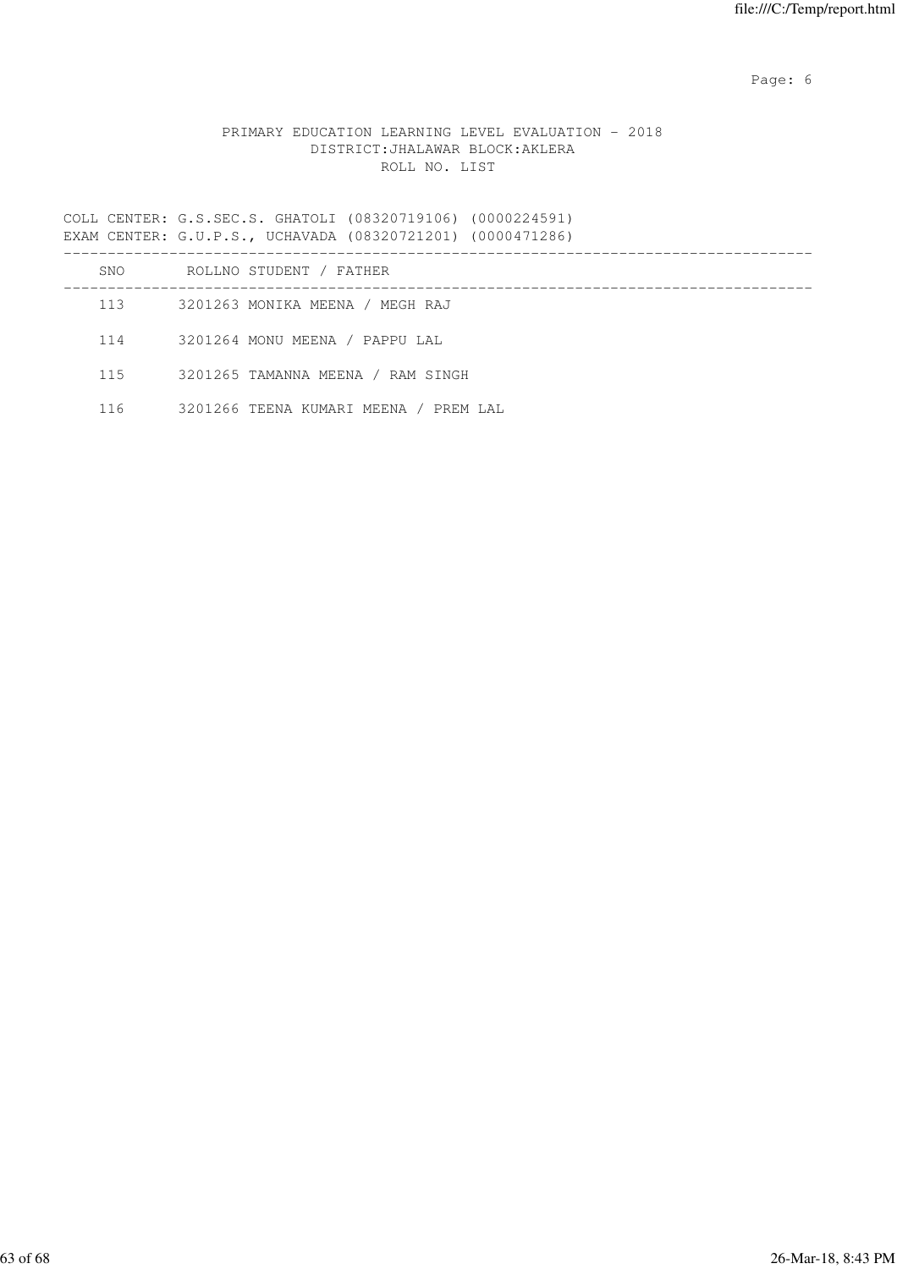Page: 6  $P$  and  $P$  and  $P$  and  $P$  and  $P$  and  $P$  and  $P$  and  $P$  and  $P$  and  $P$  and  $P$  and  $P$  and  $P$  and  $P$  and  $P$  and  $P$  and  $P$  and  $P$  and  $P$  and  $P$  and  $P$  and  $P$  and  $P$  and  $P$  and  $P$  and  $P$  and  $P$  an

# PRIMARY EDUCATION LEARNING LEVEL EVALUATION - 2018 DISTRICT:JHALAWAR BLOCK:AKLERA ROLL NO. LIST

COLL CENTER: G.S.SEC.S. GHATOLI (08320719106) (0000224591) EXAM CENTER: G.U.P.S., UCHAVADA (08320721201) (0000471286)

| SNO | ROLLNO STUDENT / FATHER               |
|-----|---------------------------------------|
| 113 | 3201263 MONIKA MEENA / MEGH RAJ       |
| 114 | 3201264 MONU MEENA / PAPPU LAL        |
| 115 | 3201265 TAMANNA MEENA / RAM SINGH     |
| 116 | 3201266 TEENA KUMARI MEENA / PREM LAL |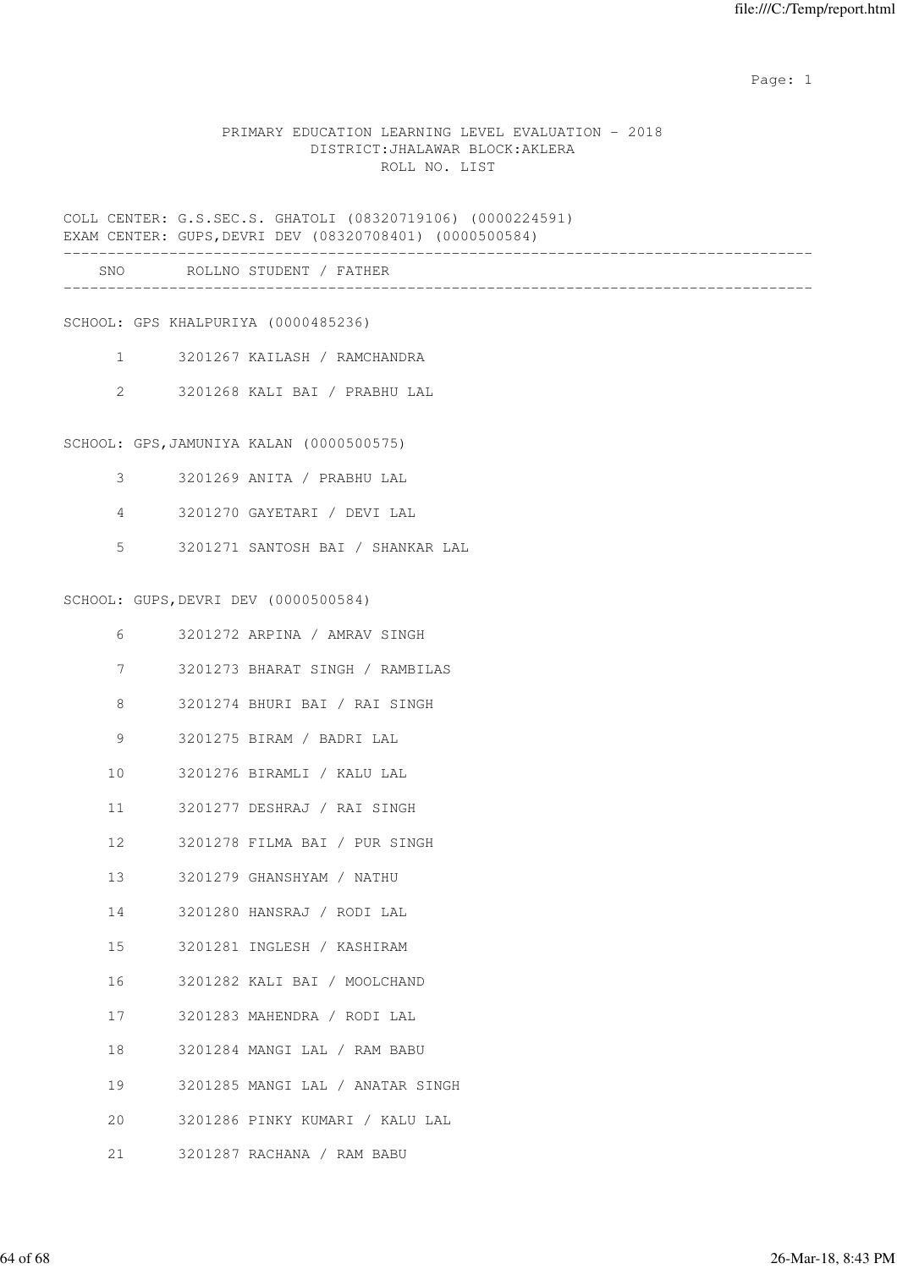example of the state of the state of the state of the state of the state of the state of the state of the state of the state of the state of the state of the state of the state of the state of the state of the state of the

#### PRIMARY EDUCATION LEARNING LEVEL EVALUATION - 2018 DISTRICT:JHALAWAR BLOCK:AKLERA ROLL NO. LIST

COLL CENTER: G.S.SEC.S. GHATOLI (08320719106) (0000224591) EXAM CENTER: GUPS,DEVRI DEV (08320708401) (0000500584)

| SNC | $\circ$ $\circ$ $\circ$<br>. N 0<br><b>NI</b><br>---- |  |  |
|-----|-------------------------------------------------------|--|--|
|     |                                                       |  |  |

SCHOOL: GPS KHALPURIYA (0000485236)

- 1 3201267 KAILASH / RAMCHANDRA
- 2 3201268 KALI BAI / PRABHU LAL

SCHOOL: GPS,JAMUNIYA KALAN (0000500575)

- 3 3201269 ANITA / PRABHU LAL
- 4 3201270 GAYETARI / DEVI LAL
- 5 3201271 SANTOSH BAI / SHANKAR LAL

SCHOOL: GUPS,DEVRI DEV (0000500584)

| 6  | 3201272 ARPINA / AMRAV SINGH        |
|----|-------------------------------------|
| 7  | 3201273 BHARAT SINGH / RAMBILAS     |
| 8  | 3201274 BHURI BAI / RAI SINGH       |
| 9  | 3201275 BIRAM / BADRI LAL           |
|    | 10 3201276 BIRAMLI / KALU LAL       |
|    | 11 3201277 DESHRAJ / RAI SINGH      |
| 12 | 3201278 FILMA BAI / PUR SINGH       |
|    | 13 3201279 GHANSHYAM / NATHU        |
| 14 | 3201280 HANSRAJ / RODI LAL          |
|    | 15 3201281 INGLESH / KASHIRAM       |
| 16 | 3201282 KALI BAI / MOOLCHAND        |
|    | 17 3201283 MAHENDRA / RODI LAL      |
|    | 18 3201284 MANGI LAL / RAM BABU     |
|    | 19 3201285 MANGI LAL / ANATAR SINGH |
| 20 | 3201286 PINKY KUMARI / KALU LAL     |
| 21 | 3201287 RACHANA / RAM BABU          |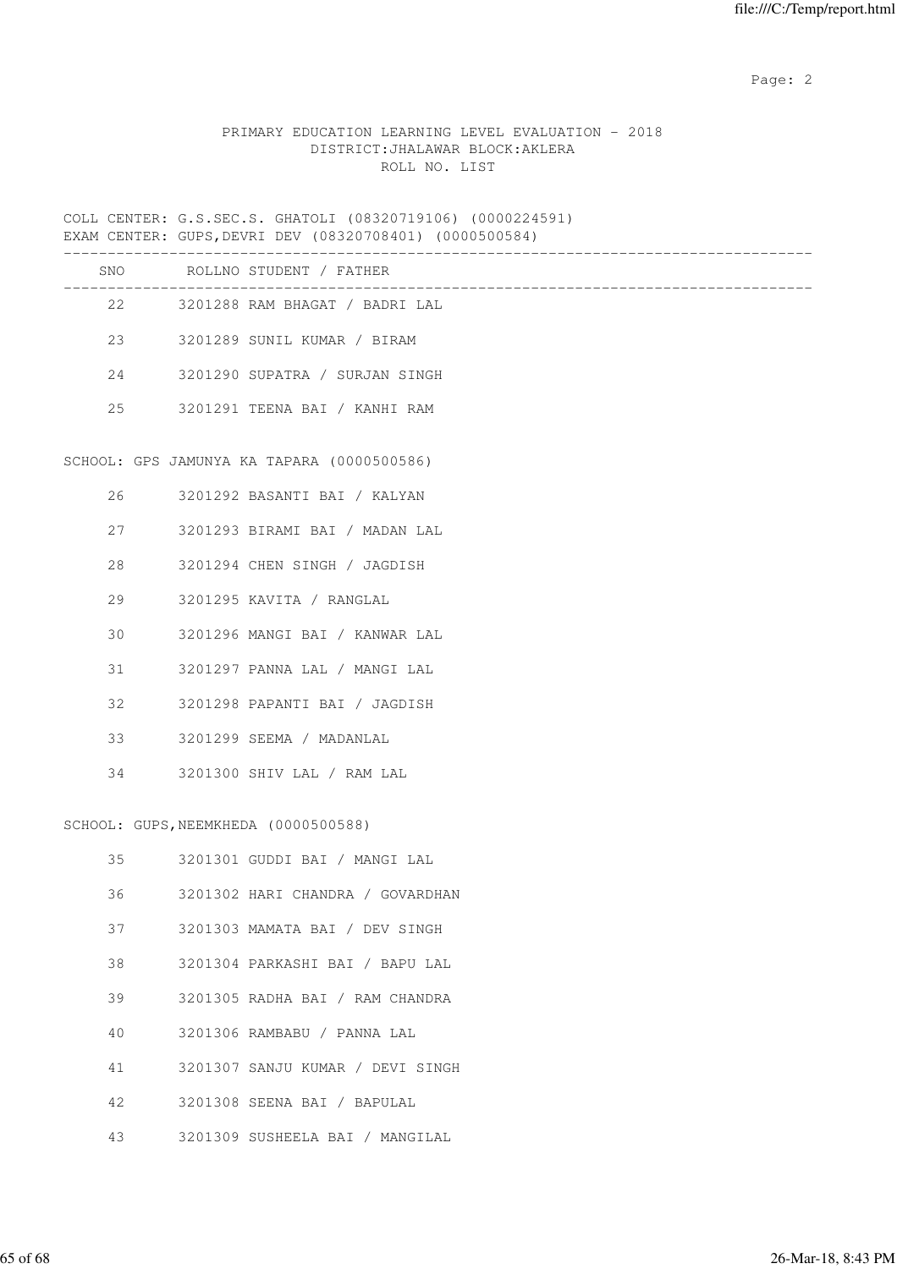# PRIMARY EDUCATION LEARNING LEVEL EVALUATION - 2018 DISTRICT:JHALAWAR BLOCK:AKLERA ROLL NO. LIST

COLL CENTER: G.S.SEC.S. GHATOLI (08320719106) (0000224591) EXAM CENTER: GUPS,DEVRI DEV (08320708401) (0000500584)

|    |      | SNO ROLLNO STUDENT / FATHER                |
|----|------|--------------------------------------------|
|    |      | 22 3201288 RAM BHAGAT / BADRI LAL          |
| 23 |      | 3201289 SUNIL KUMAR / BIRAM                |
|    |      | 24 3201290 SUPATRA / SURJAN SINGH          |
| 25 |      | 3201291 TEENA BAI / KANHI RAM              |
|    |      |                                            |
|    |      | SCHOOL: GPS JAMUNYA KA TAPARA (0000500586) |
|    |      | 26 3201292 BASANTI BAI / KALYAN            |
| 27 |      | 3201293 BIRAMI BAI / MADAN LAL             |
| 28 |      | 3201294 CHEN SINGH / JAGDISH               |
| 29 |      | 3201295 KAVITA / RANGLAL                   |
| 30 |      | 3201296 MANGI BAI / KANWAR LAL             |
|    | 31 \ | 3201297 PANNA LAL / MANGI LAL              |
| 32 |      | 3201298 PAPANTI BAI / JAGDISH              |
| 33 |      | 3201299 SEEMA / MADANLAL                   |
| 34 |      | 3201300 SHIV LAL / RAM LAL                 |

#### SCHOOL: GUPS,NEEMKHEDA (0000500588)

| 35 | 3201301 GUDDI BAI / MANGI LAL    |
|----|----------------------------------|
| 36 | 3201302 HARI CHANDRA / GOVARDHAN |
| 37 | 3201303 MAMATA BAI / DEV SINGH   |
| 38 | 3201304 PARKASHI BAI / BAPU LAL  |
| 39 | 3201305 RADHA BAI / RAM CHANDRA  |
| 40 | 3201306 RAMBABU / PANNA LAL      |
| 41 | 3201307 SANJU KUMAR / DEVI SINGH |
| 42 | 3201308 SEENA BAI / BAPULAL      |
| 43 | 3201309 SUSHEELA BAI / MANGILAL  |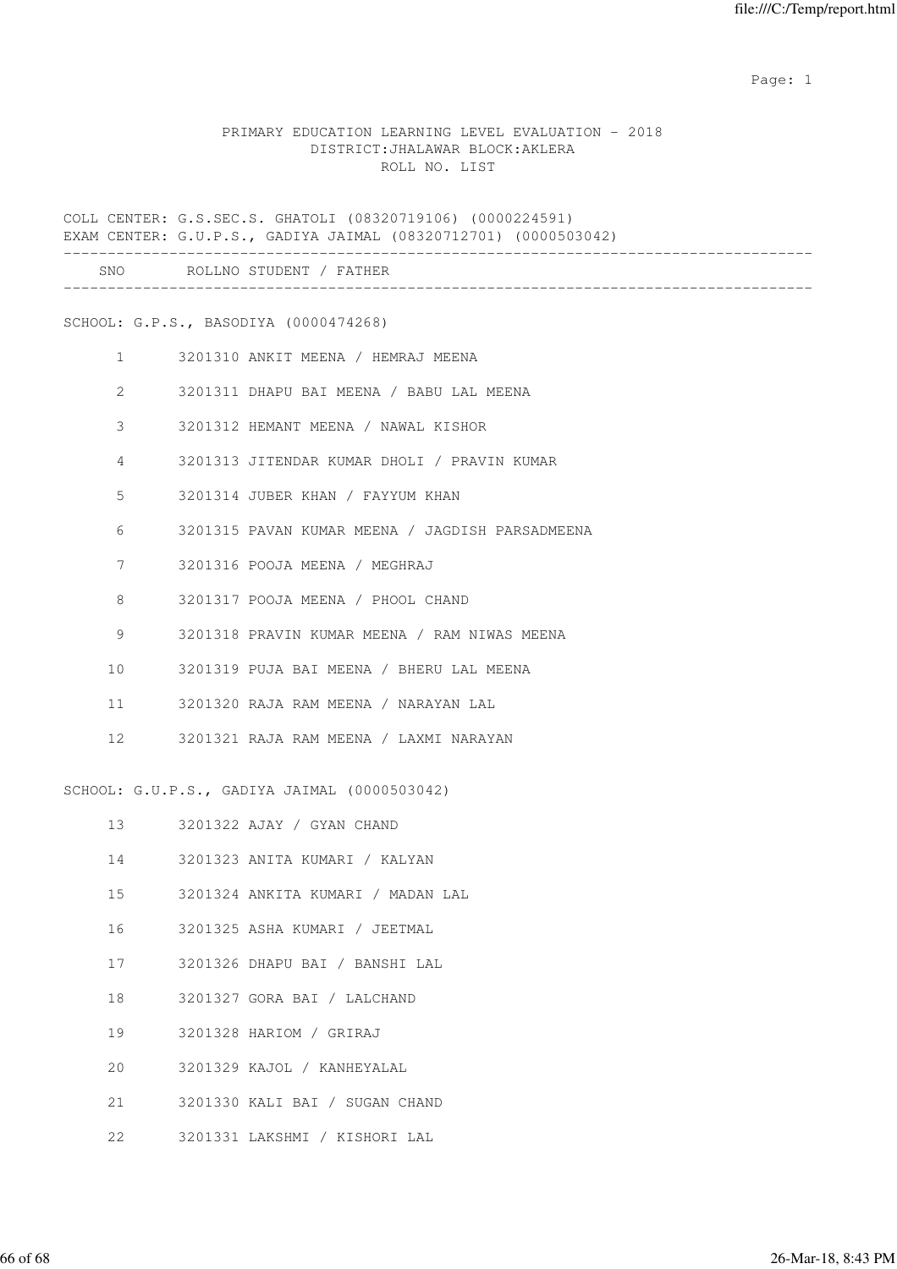example of the state of the state of the state of the state of the state of the state of the state of the state of the state of the state of the state of the state of the state of the state of the state of the state of the

#### PRIMARY EDUCATION LEARNING LEVEL EVALUATION - 2018 DISTRICT:JHALAWAR BLOCK:AKLERA ROLL NO. LIST

COLL CENTER: G.S.SEC.S. GHATOLI (08320719106) (0000224591) EXAM CENTER: G.U.P.S., GADIYA JAIMAL (08320712701) (0000503042) ------------------------------------------------------------------------------------- SNO ROLLNO STUDENT / FATHER ------------------------------------------------------------------------------------- SCHOOL: G.P.S., BASODIYA (0000474268) 1 3201310 ANKIT MEENA / HEMRAJ MEENA 2 3201311 DHAPU BAI MEENA / BABU LAL MEENA 3 3201312 HEMANT MEENA / NAWAL KISHOR 4 3201313 JITENDAR KUMAR DHOLI / PRAVIN KUMAR 5 3201314 JUBER KHAN / FAYYUM KHAN 6 3201315 PAVAN KUMAR MEENA / JAGDISH PARSADMEENA 7 3201316 POOJA MEENA / MEGHRAJ 8 3201317 POOJA MEENA / PHOOL CHAND 9 3201318 PRAVIN KUMAR MEENA / RAM NIWAS MEENA 10 3201319 PUJA BAI MEENA / BHERU LAL MEENA 11 3201320 RAJA RAM MEENA / NARAYAN LAL 12 3201321 RAJA RAM MEENA / LAXMI NARAYAN SCHOOL: G.U.P.S., GADIYA JAIMAL (0000503042) 13 3201322 AJAY / GYAN CHAND 14 3201323 ANITA KUMARI / KALYAN 15 3201324 ANKITA KUMARI / MADAN LAL 16 3201325 ASHA KUMARI / JEETMAL 17 3201326 DHAPU BAI / BANSHI LAL 18 3201327 GORA BAI / LALCHAND

- 19 3201328 HARIOM / GRIRAJ
- 20 3201329 KAJOL / KANHEYALAL
- 21 3201330 KALI BAI / SUGAN CHAND
- 22 3201331 LAKSHMI / KISHORI LAL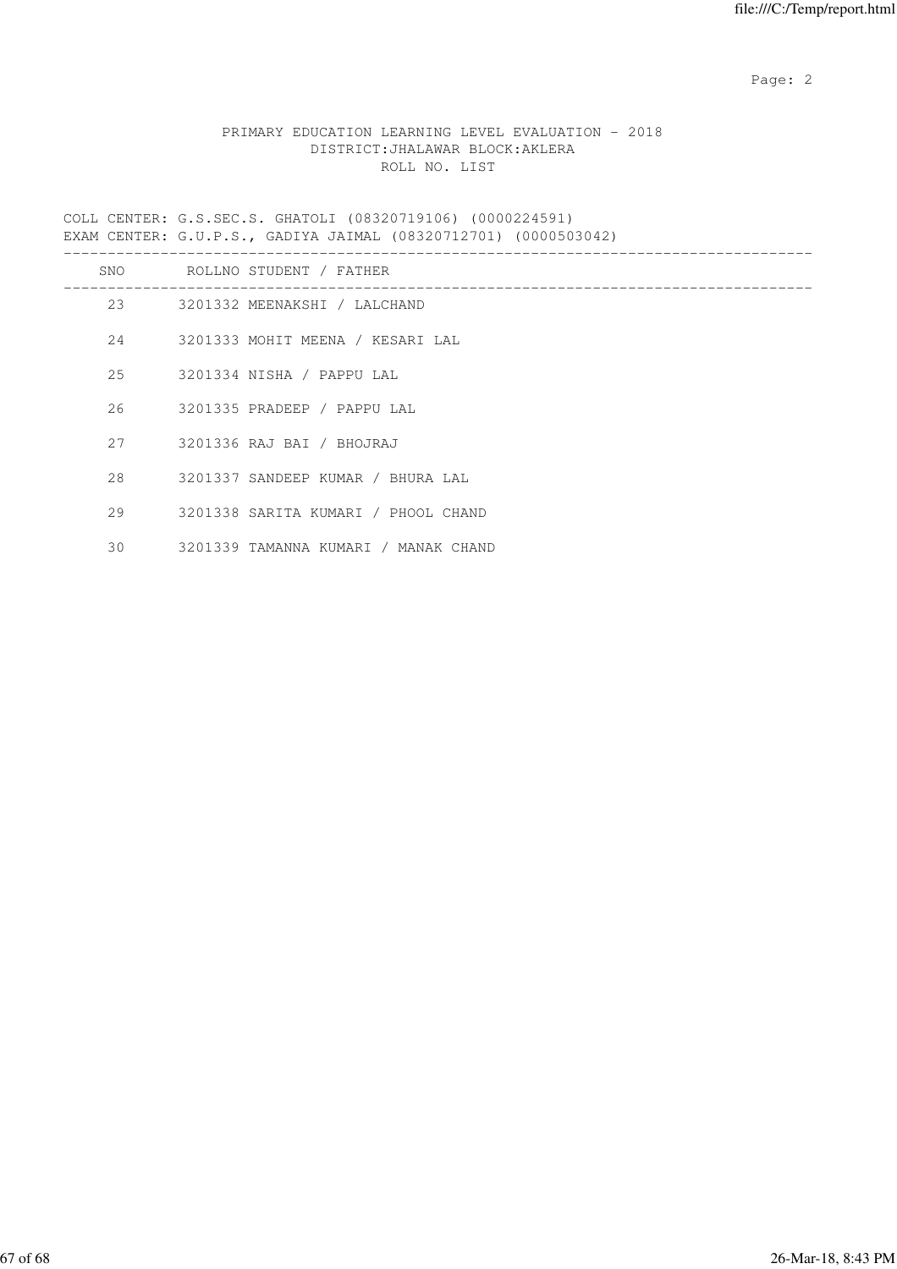# PRIMARY EDUCATION LEARNING LEVEL EVALUATION - 2018 DISTRICT:JHALAWAR BLOCK:AKLERA ROLL NO. LIST

COLL CENTER: G.S.SEC.S. GHATOLI (08320719106) (0000224591) EXAM CENTER: G.U.P.S., GADIYA JAIMAL (08320712701) (0000503042)

|     | SNO ROLLNO STUDENT / FATHER          |
|-----|--------------------------------------|
| 2.3 | 3201332 MEENAKSHI / LALCHAND         |
| 24  | 3201333 MOHIT MEENA / KESARI LAL     |
| 25  | 3201334 NISHA / PAPPU LAL            |
| 26  | 3201335 PRADEEP / PAPPU LAL          |
| 27  | 3201336 RAJ BAI / BHOJRAJ            |
| 28  | 3201337 SANDEEP KUMAR / BHURA LAL    |
| 29  | 3201338 SARITA KUMARI / PHOOL CHAND  |
| 30  | 3201339 TAMANNA KUMARI / MANAK CHAND |